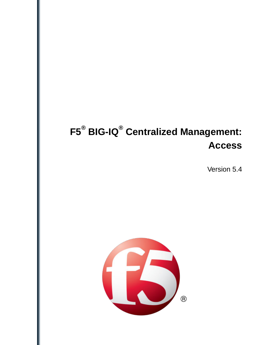# **F5® BIG-IQ® Centralized Management: Access**

Version 5.4

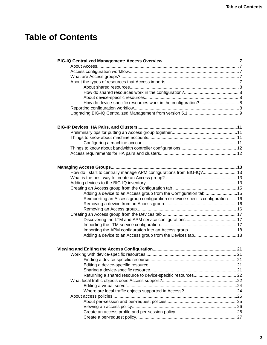## **Table of Contents**

| How do I start to centrally manage APM configurations from BIG-IQ? 13         |  |
|-------------------------------------------------------------------------------|--|
|                                                                               |  |
|                                                                               |  |
|                                                                               |  |
| Adding a device to an Access group from the Configuration tab15               |  |
| Reimporting an Access group configuration or device-specific configuration 16 |  |
|                                                                               |  |
|                                                                               |  |
|                                                                               |  |
|                                                                               |  |
|                                                                               |  |
|                                                                               |  |
|                                                                               |  |
|                                                                               |  |
|                                                                               |  |
|                                                                               |  |
|                                                                               |  |
|                                                                               |  |
|                                                                               |  |
|                                                                               |  |
|                                                                               |  |
|                                                                               |  |
|                                                                               |  |
|                                                                               |  |
|                                                                               |  |
|                                                                               |  |
|                                                                               |  |
|                                                                               |  |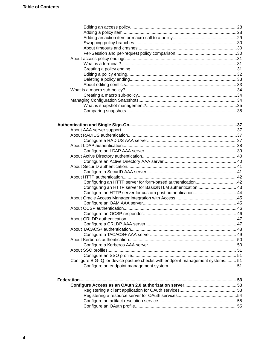| Configuring an HTTP server for form-based authentication42                     |  |
|--------------------------------------------------------------------------------|--|
| Configuring an HTTP server for Basic/NTLM authentication 43                    |  |
|                                                                                |  |
|                                                                                |  |
|                                                                                |  |
|                                                                                |  |
|                                                                                |  |
|                                                                                |  |
|                                                                                |  |
|                                                                                |  |
|                                                                                |  |
|                                                                                |  |
|                                                                                |  |
|                                                                                |  |
|                                                                                |  |
| Configure BIG-IQ for device posture checks with endpoint management systems 51 |  |
|                                                                                |  |
|                                                                                |  |
|                                                                                |  |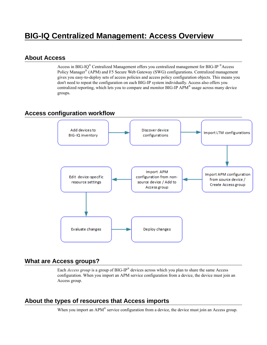## <span id="page-6-0"></span>**BIG-IQ Centralized Management: Access Overview**

## **About Access**

Access in BIG-IQ<sup>®</sup> Centralized Management offers you centralized management for BIG-IP <sup>®</sup>Access Policy Manager® (APM) and F5 Secure Web Gateway (SWG) configurations. Centralized management gives you easy-to-deploy sets of access policies and access policy configuration objects. This means you don't need to repeat the configuration on each BIG-IP system individually. Access also offers you centralized reporting, which lets you to compare and monitor BIG-IP APM<sup>®</sup> usage across many device groups.

## **Access configuration workflow**



## **What are Access groups?**

Each *Access group* is a group of BIG-IP® devices across which you plan to share the same Access configuration. When you import an APM service configuration from a device, the device must join an Access group.

## **About the types of resources that Access imports**

When you import an APM® service configuration from a device, the device must join an Access group.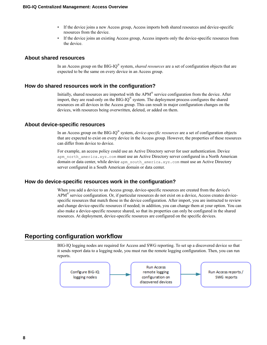- If the device joins a new Access group, Access imports both shared resources and device-specific resources from the device.
- If the device joins an existing Access group, Access imports only the device-specific resources from the device.

## <span id="page-7-0"></span>**About shared resources**

In an Access group on the BIG-IQ<sup>®</sup> system, *shared resources* are a set of configuration objects that are expected to be the same on every device in an Access group.

#### **How do shared resources work in the configuration?**

Initially, shared resources are imported with the APM® service configuration from the device. After import, they are read-only on the BIG-IQ® system. The deployment process configures the shared resources on all devices in the Access group. This can result in major configuration changes on the devices, with resources being overwritten, deleted, or added on them.

## **About device-specific resources**

In an Access group on the BIG-IQ® system, *device-specific resources* are a set of configuration objects that are expected to exist on every device in the Access group. However, the properties of these resources can differ from device to device.

For example, an access policy could use an Active Directory server for user authentication. Device apm\_north\_america.xyz.com must use an Active Directory server configured in a North American domain or data center, while device apm south america.xyz.com must use an Active Directory server configured in a South American domain or data center.

#### **How do device-specific resources work in the configuration?**

When you add a device to an Access group, device-specific resources are created from the device's APM<sup>®</sup> service configuration. Or, if particular resources do not exist on a device, Access creates devicespecific resources that match those in the device configuration. After import, you are instructed to review and change device-specific resources if needed; in addition, you can change them at your option. You can also make a device-specific resource shared, so that its properties can only be configured in the shared resources. At deployment, device-specific resources are configured on the specific devices.

## **Reporting configuration workflow**

BIG-IQ logging nodes are required for Access and SWG reporting. To set up a discovered device so that it sends report data to a logging node, you must run the remote logging configuration. Then, you can run reports.

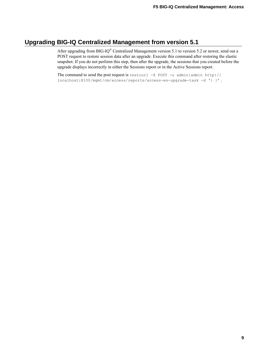## <span id="page-8-0"></span>**Upgrading BIG-IQ Centralized Management from version 5.1**

After upgrading from BIG-IQ<sup>®</sup> Centralized Management version 5.1 to version 5.2 or newer, send out a POST request to restore session data after an upgrade. Execute this command after restoring the elastic snapshot. If you do not perform this step, then after the upgrade, the sessions that you created before the upgrade displays incorrectly in either the Sessions report or in the Active Sessions report.

The command to send the post request is restcurl -X POST -u admin:admin http:// localhost:8100/mgmt/cm/access/reports/access-es-upgrade-task -d '{ }' .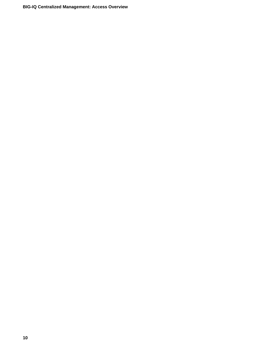**BIG-IQ Centralized Management: Access Overview**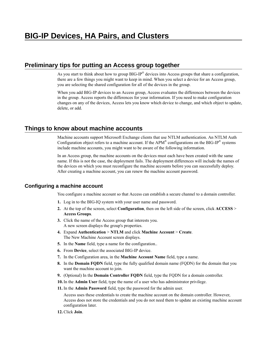## <span id="page-10-0"></span>**Preliminary tips for putting an Access group together**

As you start to think about how to group  $BIG-IP^{\otimes}$  devices into Access groups that share a configuration, there are a few things you might want to keep in mind. When you select a device for an Access group, you are selecting the shared configuration for all of the devices in the group.

When you add BIG-IP devices to an Access group, Access evaluates the differences between the devices in the group. Access reports the differences for your information. If you need to make configuration changes on any of the devices, Access lets you know which device to change, and which object to update, delete, or add.

## **Things to know about machine accounts**

Machine accounts support Microsoft Exchange clients that use NTLM authentication. An NTLM Auth Configuration object refers to a machine account. If the APM<sup>®</sup> configurations on the BIG-IP<sup>®</sup> systems include machine accounts, you might want to be aware of the following information.

In an Access group, the machine accounts on the devices must each have been created with the same name. If this is not the case, the deployment fails. The deployment differences will include the names of the devices on which you must reconfigure the machine accounts before you can successfully deploy. After creating a machine account, you can renew the machine account password.

## **Configuring a machine account**

You configure a machine account so that Access can establish a secure channel to a domain controller.

- **1.** Log in to the BIG-IQ system with your user name and password.
- **2.** At the top of the screen, select **Configuration**, then on the left side of the screen, click **ACCESS** > **Access Groups**.
- **3.** Click the name of the Access group that interests you. A new screen displays the group's properties.
- **4.** Expand **Authentication** > **NTLM** and click **Machine Account** > **Create**. The New Machine Account screen displays.
- **5.** In the **Name** field, type a name for the configuration..
- **6.** From **Device**, select the associated BIG-IP device.
- **7.** In the Configuration area, in the **Machine Account Name** field, type a name.
- **8.** In the **Domain FQDN** field, type the fully qualified domain name (FQDN) for the domain that you want the machine account to join.
- **9.** (Optional) In the **Domain Controller FQDN** field, type the FQDN for a domain controller.
- **10.** In the **Admin User** field, type the name of a user who has administrator privilege.
- **11.** In the **Admin Password** field, type the password for the admin user.

Access uses these credentials to create the machine account on the domain controller. However, Access does not store the credentials and you do not need them to update an existing machine account configuration later.

**12.** Click **Join**.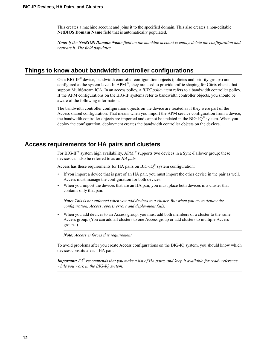<span id="page-11-0"></span>This creates a machine account and joins it to the specified domain. This also creates a non-editable **NetBIOS Domain Name** field that is automatically populated.

*Note: If the NetBIOS Domain Name field on the machine account is empty, delete the configuration and recreate it. The field populates.*

## **Things to know about bandwidth controller configurations**

On a BIG-IP<sup>®</sup> device, bandwidth controller configuration objects (policies and priority groups) are configured at the system level. In APM  $^{\circ}$ , they are used to provide traffic shaping for Citrix clients that support MultiStream ICA. In an access policy, a *BWC policy* item refers to a bandwidth controller policy. If the APM configurations on the BIG-IP systems refer to bandwidth controller objects, you should be aware of the following information.

The bandwidth controller configuration objects on the device are treated as if they were part of the Access shared configuration. That means when you import the APM service configuration from a device, the bandwidth controller objects are imported and cannot be updated in the BIG-IQ $^{\circ}$  system. When you deploy the configuration, deployment creates the bandwidth controller objects on the devices.

## **Access requirements for HA pairs and clusters**

For BIG-IP<sup>®</sup> system high availability, APM <sup>®</sup> supports two devices in a Sync-Failover group; these devices can also be referred to as an *HA pair*.

Access has these requirements for HA pairs on BIG-IQ $^{\circ}$  system configuration:

- If you import a device that is part of an HA pair, you must import the other device in the pair as well. Access must manage the configuration for both devices.
- When you import the devices that are an HA pair, you must place both devices in a cluster that contains only that pair.

*Note: This is not enforced when you add devices to a cluster. But when you try to deploy the configuration, Access reports errors and deployment fails.*

When you add devices to an Access group, you must add both members of a cluster to the same Access group. (You can add all clusters to one Access group or add clusters to multiple Access groups.)

*Note: Access enforces this requirement.*

To avoid problems after you create Access configurations on the BIG-IQ system, you should know which devices constitute each HA pair.

**Important:** F5<sup>®</sup> recommends that you make a list of HA pairs, and keep it available for ready reference *while you work in the BIG-IQ system.*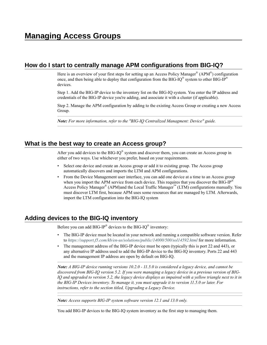## <span id="page-12-0"></span>**How do I start to centrally manage APM configurations from BIG-IQ?**

Here is an overview of your first steps for setting up an Access Policy Manager® (APM®) configuration once, and then being able to deploy that configuration from the BIG-IQ<sup>®</sup> system to other BIG-IP<sup>®</sup> devices.

Step 1. Add the BIG-IP device to the inventory list on the BIG-IQ system. You enter the IP address and credentials of the BIG-IP device you're adding, and associate it with a cluster (if applicable).

Step 2. Manage the APM configuration by adding to the existing Access Group or creating a new Access Group.

*Note: For more information, refer to the "BIG-IQ Centralized Managment: Device" guide.*

## **What is the best way to create an Access group?**

After you add devices to the BIG-IQ $^{\circ}$  system and discover them, you can create an Access group in either of two ways. Use whichever you prefer, based on your requirements.

- Select one device and create an Access group or add it to existing group. The Access group automatically discovers and imports the LTM and APM configurations.
- From the Device Management user interface, you can add one device at a time to an Access group when you import the APM service from each device. This requires that you discover the BIG-IP<sup>®</sup> Access Policy Manager® (APM)and the Local Traffic Manager™ (LTM) configurations manually. You must discover LTM first, because APM uses some resources that are managed by LTM. Afterwards, import the LTM configuration into the BIG-IQ system

## **Adding devices to the BIG-IQ inventory**

Before you can add BIG-IP<sup>®</sup> devices to the BIG-IQ<sup>®</sup> inventory:

- The BIG-IP device must be located in your network and running a compatible software version. Refer to *<https://support.f5.com/kb/en-us/solutions/public/14000/500/sol14592.html>* for more information.
- The management address of the BIG-IP device must be open (typically this is port 22 and 443), or any alternative IP address used to add the BIG-IP device to the BIG-IQ inventory. Ports 22 and 443 and the management IP address are open by default on BIG-IQ.

*Note: A BIG-IP device running versions 10.2.0 - 11.5.0 is considered a legacy device, and cannot be discovered from BIG-IQ version 5.2. If you were managing a legacy device in a previous version of BIG-IQ and upgraded to version 5.2, the legacy device displays as impaired with a yellow triangle next to it in the BIG-IP Devices inventory. To manage it, you must upgrade it to version 11.5.0 or later. For instructions, refer to the section titled, Upgrading a Legacy Device.*

*Note: Access supports BIG-IP system software version 12.1 and 13.0 only.*

You add BIG-IP devices to the BIG-IQ system inventory as the first step to managing them.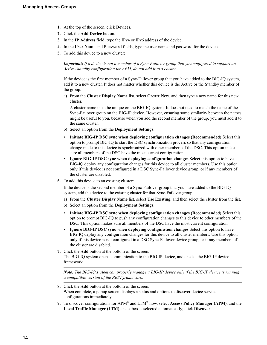- **1.** At the top of the screen, click **Devices**.
- **2.** Click the **Add Device** button.
- **3.** In the **IP Address** field, type the IPv4 or IPv6 address of the device.
- **4.** In the **User Name** and **Password** fields, type the user name and password for the device.
- **5.** To add this device to a new cluster:

*Important: If a device is not a member of a Sync-Failover group that you configured to support an Active-Standby configuration for APM, do not add it to a cluster.*

If the device is the first member of a Sync-Failover group that you have added to the BIG-IQ system, add it to a new cluster. It does not matter whether this device is the Active or the Standby member of the group.

a) From the **Cluster Display Name** list, select **Create New**, and then type a new name for this new cluster.

A cluster name must be unique on the BIG-IQ system. It does not need to match the name of the Sync-Failover group on the BIG-IP device. However, ensuring some similarity between the names might be useful to you, because when you add the second member of the group, you must add it to the same cluster.

- b) Select an option from the **Deployment Settings**:
- **Initiate BIG-IP DSC sync when deploying configuration changes (Recommended)** Select this option to prompt BIG-IQ to start the DSC synchronization process so that any configuration change made to this device is synchronized with other members of the DSC. This option makes sure all members of the DSC have the most current configuration.
- **Ignore BIG-IP DSC sync when deploying configuration changes** Select this option to have BIG-IQ deploy any configuration changes for this device to all cluster members. Use this option only if this device is not configured in a DSC Sync-Failover device group, or if any members of the cluster are disabled.
- **6.** To add this device to an existing cluster:

If the device is the second member of a Sync-Failover group that you have added to the BIG-IQ system, add the device to the existing cluster for that Sync-Failover group.

- a) From the **Cluster Display Name** list, select **Use Existing**, and then select the cluster from the list.
- b) Select an option from the **Deployment Settings**:
- **Initiate BIG-IP DSC sync when deploying configuration changes (Recommended)** Select this option to prompt BIG-IQ to push any configuration changes to this device to other members of the DSC. This option makes sure all members of the DSC have the most current configuration.
- **Ignore BIG-IP DSC sync when deploying configuration changes** Select this option to have BIG-IQ deploy any configuration changes for this device to all cluster members. Use this option only if this device is not configured in a DSC Sync-Failover device group, or if any members of the cluster are disabled.
- **7.** Click the **Add** button at the bottom of the screen. The BIG-IQ system opens communication to the BIG-IP device, and checks the BIG-IP device framework.

*Note: The BIG-IQ system can properly manage a BIG-IP device only if the BIG-IP device is running a compatible version of the REST framework.*

- **8.** Click the **Add** button at the bottom of the screen. When complete, a popup screen displays a status and options to discover device service configurations immediately.
- **9.** To discover configurations for APM<sup>®</sup> and LTM<sup>®</sup> now, select **Access Policy Manager (APM)**, and the **Local Traffic Manager (LTM)** check box is selected automatically; click **Discover**.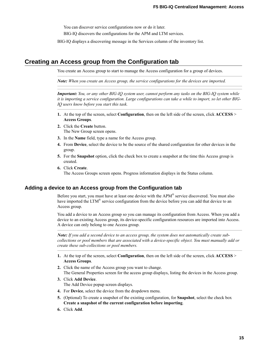You can discover service configurations now or do it later.

BIG-IQ discovers the configurations for the APM and LTM services.

BIG-IQ displays a discovering message in the Services column of the inventory list.

## <span id="page-14-0"></span>**Creating an Access group from the Configuration tab**

You create an Access group to start to manage the Access configuration for a group of devices.

*Note: When you create an Access group, the service configurations for the devices are imported.*

*Important: You, or any other BIG-IQ system user, cannot perform any tasks on the BIG-IQ system while it is importing a service configuration. Large configurations can take a while to import, so let other BIG-IQ users know before you start this task.*

- **1.** At the top of the screen, select **Configuration**, then on the left side of the screen, click **ACCESS** > **Access Groups**.
- **2.** Click the **Create** button. The New Group screen opens.
- **3.** In the **Name** field, type a name for the Access group.
- **4.** From **Device**, select the device to be the source of the shared configuration for other devices in the group.
- **5.** For the **Snapshot** option, click the check box to create a snapshot at the time this Access group is created.
- **6.** Click **Create**.

The Access Groups screen opens. Progress information displays in the Status column.

#### **Adding a device to an Access group from the Configuration tab**

Before you start, you must have at least one device with the APM® service discovered. You must also have imported the LTM<sup>®</sup> service configuration from the device before you can add that device to an Access group.

You add a device to an Access group so you can manage its configuration from Access. When you add a device to an existing Access group, its device-specific configuration resources are imported into Access. A device can only belong to one Access group.

*Note: If you add a second device to an access group, the system does not automatically create subcollections or pool members that are associated with a device-specific object. You must manually add or create these sub-collections or pool members.*

- **1.** At the top of the screen, select **Configuration**, then on the left side of the screen, click **ACCESS** > **Access Groups**.
- **2.** Click the name of the Access group you want to change. The General Properties screen for the access group displays, listing the devices in the Access group.
- **3.** Click **Add Device**. The Add Device popup screen displays.
- **4.** For **Device**, select the device from the dropdown menu.
- **5.** (Optional) To create a snapshot of the existing configuration, for **Snapshot**, select the check box **Create a snapshot of the current configuration before importing**.
- **6.** Click **Add**.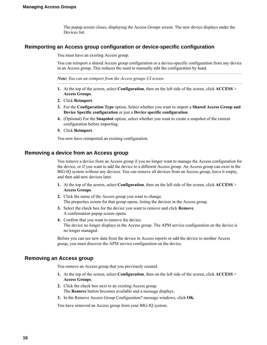The popup screen closes, displaying the Access Groups screen. The new device displays under the Devices list.

## <span id="page-15-0"></span>**Reimporting an Access group configuration or device-specific configuration**

You must have an existing Access group.

You can reimport a shared Access group configuration or a device-specific configuration from any device in an Access group. This reduces the need to manually edit the configuration by hand.

*Note: You can an reimport from the Access groups UI screen.*

- **1.** At the top of the screen, select **Configuration**, then on the left side of the screen, click **ACCESS** > **Access Groups**.
- **2.** Click **Reimport**.
- **3.** For the **Configuration Type** option, Select whether you want to import a **Shared Access Group and Device Specific configuration** or just a **Device specific configuration**.
- **4.** (Optional) For the **Snapshot** option, select whether you want to create a snapshot of the current configuration before importing.
- **5.** Click **Reimport**.

You now have reimported an existing configuration.

#### **Removing a device from an Access group**

You remove a device from an Access group if you no longer want to manage the Access configuration for the device, or if you want to add the device to a different Access group. An Access group can exist in the BIG-IQ system without any devices. You can remove all devices from an Access group, leave it empty, and then add new devices later.

- **1.** At the top of the screen, select **Configuration**, then on the left side of the screen, click **ACCESS** > **Access Groups**.
- **2.** Click the name of the Access group you want to change. The properties screen for that group opens, listing the devices in the Access group.
- **3.** Select the check box for the device you want to remove and click **Remove**. A confirmation popup screen opens.
- **4.** Confirm that you want to remove the device. The device no longer displays in the Access group. The APM service configuration on the device is no longer managed.

Before you can see new data from the device in Access reports or add the device to another Access group, you must discover the APM service configuration on the device.

## **Removing an Access group**

You remove an Access group that you previously created.

- **1.** At the top of the screen, select **Configuration**, then on the left side of the screen, click **ACCESS** > **Access Groups**.
- **2.** Click the check box next to an existing Access group. The **Remove** button becomes available and a message displays.
- **3.** In the Remove Access Group Configuration? message windows, click **OK**.

You have removed an Access group from your BIG-IQ system.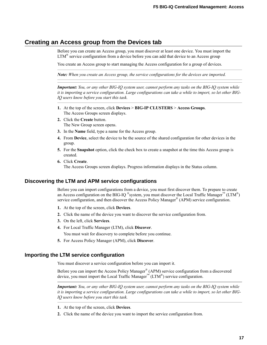## <span id="page-16-0"></span>**Creating an Access group from the Devices tab**

Before you can create an Access group, you must discover at least one device. You must import the LTM<sup>®</sup> service configuration from a device before you can add that device to an Access group

You create an Access group to start managing the Access configuration for a group of devices.

*Note: When you create an Access group, the service configurations for the devices are imported.*

*Important: You, or any other BIG-IQ system user, cannot perform any tasks on the BIG-IQ system while it is importing a service configuration. Large configurations can take a while to import, so let other BIG-IQ users know before you start this task.*

- **1.** At the top of the screen, click **Devices** > **BIG-IP CLUSTERS** > **Access Groups**. The Access Groups screen displays.
- **2.** Click the **Create** button. The New Group screen opens.
- **3.** In the **Name** field, type a name for the Access group.
- **4.** From **Device**, select the device to be the source of the shared configuration for other devices in the group.
- **5.** For the **Snapshot** option, click the check box to create a snapshot at the time this Access group is created.
- **6.** Click **Create**. The Access Groups screen displays. Progress information displays in the Status column.

## **Discovering the LTM and APM service configurations**

Before you can import configurations from a device, you must first discover them. To prepare to create an Access configuration on the BIG-IQ  $^{\circ}$ system, you must discover the Local Traffic Manager<sup>™</sup> (LTM $^{\circ}$ ) service configuration, and then discover the Access Policy Manager® (APM) service configuration.

- **1.** At the top of the screen, click **Devices**.
- **2.** Click the name of the device you want to discover the service configuration from.
- **3.** On the left, click **Services**.
- **4.** For Local Traffic Manager (LTM), click **Discover**.

You must wait for discovery to complete before you continue.

**5.** For Access Policy Manager (APM), click **Discover**.

#### **Importing the LTM service configuration**

You must discover a service configuration before you can import it.

Before you can import the Access Policy Manager<sup>®</sup> (APM) service configuration from a discovered device, you must import the Local Traffic Manager<sup>™</sup> (LTM<sup>®</sup>) service configuration.

*Important: You, or any other BIG-IQ system user, cannot perform any tasks on the BIG-IQ system while it is importing a service configuration. Large configurations can take a while to import, so let other BIG-IQ users know before you start this task.*

- **1.** At the top of the screen, click **Devices**.
- **2.** Click the name of the device you want to import the service configuration from.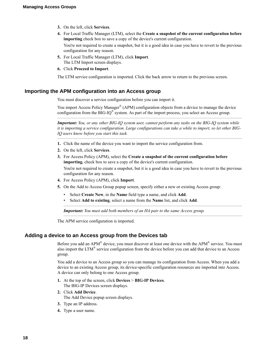- <span id="page-17-0"></span>**3.** On the left, click **Services**.
- **4.** For Local Traffic Manager (LTM), select the **Create a snapshot of the current configuration before importing** check box to save a copy of the device's current configuration.

You're not required to create a snapshot, but it is a good idea in case you have to revert to the previous configuration for any reason.

- **5.** For Local Traffic Manager (LTM), click **Import**. The LTM Import screen displays.
- **6.** Click **Proceed to Import**.

The LTM service configuration is imported. Click the back arrow to return to the previous screen.

#### **Importing the APM configuration into an Access group**

You must discover a service configuration before you can import it.

You import Access Policy Manager® (APM) configuration objects from a device to manage the device configuration from the BIG-IQ<sup>®</sup> system. As part of the import process, you select an Access group.

*Important: You, or any other BIG-IQ system user, cannot perform any tasks on the BIG-IQ system while it is importing a service configuration. Large configurations can take a while to import, so let other BIG-IQ users know before you start this task.*

- **1.** Click the name of the device you want to import the service configuration from.
- **2.** On the left, click **Services**.
- **3.** For Access Policy (APM), select the **Create a snapshot of the current configuration before importing.** check box to save a copy of the device's current configuration.

You're not required to create a snapshot, but it is a good idea in case you have to revert to the previous configuration for any reason.

- **4.** For Access Policy (APM), click **Import**.
- **5.** On the Add to Access Group popup screen, specify either a new or existing Access group:
	- Select **Create New**, in the **Name** field type a name, and click **Add**.
	- Select **Add to existing**, select a name from the **Name** list, and click **Add**.

*Important: You must add both members of an HA pair to the same Access group.*

The APM service configuration is imported.

#### **Adding a device to an Access group from the Devices tab**

Before you add an APM<sup>®</sup> device, you must discover at least one device with the APM<sup>®</sup> service. You must also import the LTM<sup>®</sup> service configuration from the device before you can add that device to an Access group.

You add a device to an Access group so you can manage its configuration from Access. When you add a device to an existing Access group, its device-specific configuration resources are imported into Access. A device can only belong to one Access group.

- **1.** At the top of the screen, click **Devices** > **BIG-IP Devices**. The BIG-IP Devices screen displays.
- **2.** Click **Add Device**. The Add Device popup screen displays.
- **3.** Type an IP address.
- **4.** Type a user name.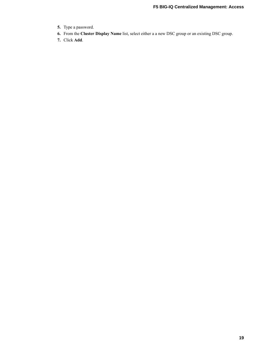- **5.** Type a password.
- **6.** From the **Cluster Display Name** list, select either a a new DSC group or an existing DSC group.
- **7.** Click **Add**.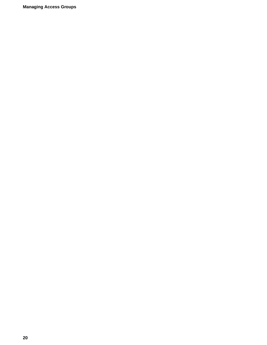**Managing Access Groups**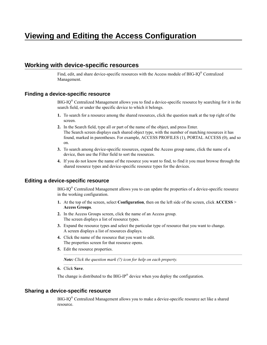## <span id="page-20-0"></span>**Viewing and Editing the Access Configuration**

## **Working with device-specific resources**

Find, edit, and share device-specific resources with the Access module of BIG-IQ® Centralized Management.

## **Finding a device-specific resource**

 $BIG-IQ^{\circledast}$  Centralized Management allows you to find a device-specific resource by searching for it in the search field, or under the specific device to which it belongs.

- **1.** To search for a resource among the shared resources, click the question mark at the top right of the screen.
- **2.** In the Search field, type all or part of the name of the object, and press Enter. The Search screen displays each shared object type, with the number of matching resources it has found, marked in parentheses. For example, ACCESS PROFILES (1), PORTAL ACCESS (0), and so on.
- **3.** To search among device-specific resources, expand the Access group name, click the name of a device, then use the Filter field to sort the resources.
- **4.** If you do not know the name of the resource you want to find, to find it you must browse through the shared resource types and device-specific resource types for the devices.

#### **Editing a device-specific resource**

BIG-IQ<sup>®</sup> Centralized Management allows you to can update the properties of a device-specific resource in the working configuration.

- **1.** At the top of the screen, select **Configuration**, then on the left side of the screen, click **ACCESS** > **Access Groups**.
- **2.** In the Access Groups screen, click the name of an Access group. The screen displays a list of resource types.
- **3.** Expand the resource types and select the particular type of resource that you want to change. A screen displays a list of resources displays.
- **4.** Click the name of the resource that you want to edit. The properties screen for that resource opens.
- **5.** Edit the resource properties.

*Note: Click the question mark (?) icon for help on each property.*

**6.** Click **Save**.

The change is distributed to the BIG-IP<sup>®</sup> device when you deploy the configuration.

## **Sharing a device-specific resource**

BIG-IQ<sup>®</sup> Centralized Management allows you to make a device-specific resource act like a shared resource.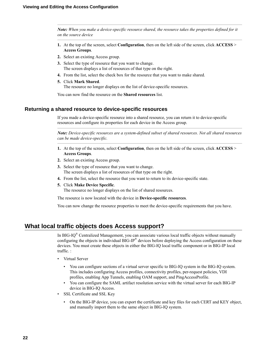<span id="page-21-0"></span>*Note: When you make a device-specific resource shared, the resource takes the properties defined for it on the source device*

- **1.** At the top of the screen, select **Configuration**, then on the left side of the screen, click **ACCESS** > **Access Groups**.
- **2.** Select an existing Access group.
- **3.** Select the type of resource that you want to change. The screen displays a list of resources of that type on the right.
- **4.** From the list, select the check box for the resource that you want to make shared.
- **5.** Click **Mark Shared**. The resource no longer displays on the list of device-specific resources.

You can now find the resource on the **Shared resources** list.

## **Returning a shared resource to device-specific resources**

If you made a device-specific resource into a shared resource, you can return it to device-specific resources and configure its properties for each device in the Access group.

*Note: Device-specific resources are a system-defined subset of shared resources. Not all shared resources can be made device-specific.*

- **1.** At the top of the screen, select **Configuration**, then on the left side of the screen, click **ACCESS** > **Access Groups**.
- **2.** Select an existing Access group.
- **3.** Select the type of resource that you want to change. The screen displays a list of resources of that type on the right.
- **4.** From the list, select the resource that you want to return to its device-specific state.
- **5.** Click **Make Device Specific**.

The resource no longer displays on the list of shared resources.

The resource is now located with the device in **Device-specific resources**.

You can now change the resource properties to meet the device-specific requirements that you have.

## **What local traffic objects does Access support?**

In BIG-IQ<sup>®</sup> Centralized Management, you can associate various local traffic objects without manually configuring the objects in individual BIG-IP<sup>®</sup> devices before deploying the Access configuration on these devices. You must create these objects in either the BIG-IQ local traffic component or in BIG-IP local traffic. :

- Virtual Server
	- You can configure sections of a virtual server specific to BIG-IQ system in the BIG-IQ system. This includes configuring Access profiles, connectivity profiles, per-request policies, VDI profiles, enabling App Tunnels, enabling OAM support, and PingAccessProfile.
	- You can configure the SAML artifact resolution service with the virtual server for each BIG-IP device in BIG-IQ Access.
- SSL Certificate and SSL Key
	- On the BIG-IP device, you can export the certificate and key files for each CERT and KEY object, and manually import them to the same object in BIG-IQ system.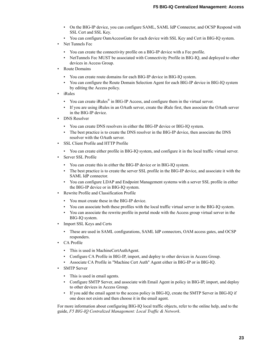- On the BIG-IP device, you can configure SAML, SAML IdP Connector, and OCSP Respond with SSL Cert and SSL Key.
- You can configure OamAccessGate for each device with SSL Key and Cert in BIG-IQ system.
- Net Tunnels Fec
	- You can create the connectivity profile on a BIG-IP device with a Fec profile.
	- NetTunnels Fec MUST be associated with Connectivity Profile in BIG-IQ, and deployed to other devices in Access Group.
- Route Domains
	- You can create route domains for each BIG-IP device in BIG-IQ system.
	- You can configure the Route Domain Selection Agent for each BIG-IP device in BIG-IQ system by editing the Access policy.
- iRules
	- You can create iRules<sup>®</sup> in BIG-IP Access, and configure them in the virtual server.
	- If you are using iRules in an OAuth server, create the iRule first, then associate the OAuth server in the BIG-IP device.
- DNS Resolver
	- You can create DNS resolvers in either the BIG-IP device or BIG-IQ system.
	- The best practice is to create the DNS resolver in the BIG-IP device, then associate the DNS resolver with the OAuth server.
- SSL Client Profile and HTTP Profile
	- You can create either profile in BIG-IQ system, and configure it in the local traffic virtual server.
- Server SSL Profile
	- You can create this in either the BIG-IP device or in BIG-IQ system.
	- The best practice is to create the server SSL profile in the BIG-IP device, and associate it with the SAML IdP connector.
	- You can configure LDAP and Endpoint Management systems with a server SSL profile in either the BIG-IP device or in BIG-IQ system.
- Rewrite Profile and Classification Profile
	- You must create these in the BIG-IP device.
	- You can associate both these profiles with the local traffic virtual server in the BIG-IQ system.
	- You can associate the rewrite profile in portal mode with the Access group virtual server in the BIG-IQ system.
- Import SSL Keys and Certs
	- These are used in SAML configurations, SAML IdP connectors, OAM access gates, and OCSP responders.
- CA Profile
	- This is used in MachineCertAuthAgent.
	- Configure CA Profile in BIG-IP, import, and deploy to other devices in Access Group.
	- Associate CA Profile in "Machine Cert Auth" Agent either in BIG-IP or in BIG-IQ.
- SMTP Server
	- This is used in email agents.
	- Configure SMTP Server, and associate with Email Agent in policy in BIG-IP, import, and deploy to other devices in Access Group.
	- If you add the email agent to the access policy in BIG-IQ, create the SMTP Server in BIG-IQ if one does not exists and then choose it in the email agent.

For more information about configuring BIG-IQ local traffic objects, refer to the online help, and to the guide, *F5 BIG-IQ Centralized Management: Local Traffic & Network*.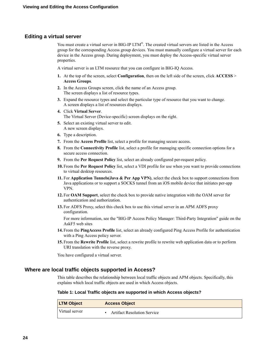## <span id="page-23-0"></span>**Editing a virtual server**

You must create a virtual server in BIG-IP LTM®. The created virtual servers are listed in the Access group for the corresponding Access group devices. You must manually configure a virtual server for each device in the Access group. During deployment, you must deploy the Access-specific virtual server properties.

A virtual server is an LTM resource that you can configure in BIG-IQ Access.

- **1.** At the top of the screen, select **Configuration**, then on the left side of the screen, click **ACCESS** > **Access Groups**.
- **2.** In the Access Groups screen, click the name of an Access group. The screen displays a list of resource types.
- **3.** Expand the resource types and select the particular type of resource that you want to change. A screen displays a list of resources displays.
- **4.** Click **Virtual Server**. The Virtual Server (Device-specific) screen displays on the right.
- **5.** Select an existing virtual server to edit. A new screen displays.
- **6.** Type a description.
- **7.** From the **Access Profile** list, select a profile for managing secure access.
- **8.** From the **Connectivity Profile** list, select a profile for managing specific connection options for a secure access connection.
- **9.** From the **Per Request Policy** list, select an already configured per-request policy.
- **10.**From the **Per Request Policy** list, select a VDI profile for use when you want to provide connections to virtual desktop resources.
- **11.** For **Application Tunnels(Java & Per App VPN)**, select the check box to support connections from Java applications or to support a SOCKS tunnel from an iOS mobile device that initiates per-app VPN.
- **12.**For **OAM Support**, select the check box to provide native integration with the OAM server for authentication and authorization.
- **13.**For ADFS Proxy, select this check box to use this virtual server in an APM ADFS proxy configuration.

For more information, see the "BIG-IP Access Policy Manager: Third-Party Integration" guide on the AskF5 web sites

- **14.**From the **PingAccess Profile** list, select an already configured Ping Access Profile for authentication with a Ping Access policy server.
- **15.**From the **Rewrite Profile** list, select a rewrite profile to rewrite web application data or to perform URI translation with the reverse proxy.

You have configured a virtual server.

## **Where are local traffic objects supported in Access?**

This table describes the relationship between local traffic objects and APM objects. Specifically, this explains which local traffic objects are used in which Access objects.

#### **Table 1: Local Traffic objects are supported in which Access objects?**

| <b>LTM Object</b> | <b>Access Object</b>               |
|-------------------|------------------------------------|
| Virtual server    | <b>Artifact Resolution Service</b> |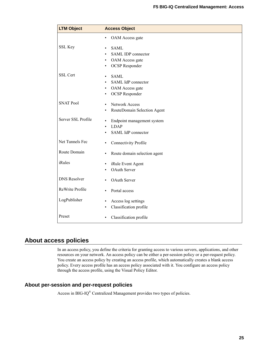<span id="page-24-0"></span>

| <b>LTM Object</b>   | <b>Access Object</b>                                                                                                 |
|---------------------|----------------------------------------------------------------------------------------------------------------------|
|                     | OAM Access gate<br>$\bullet$                                                                                         |
| <b>SSL Key</b>      | <b>SAML</b><br>$\bullet$<br>SAML IDP connector<br>OAM Access gate<br>$\bullet$<br><b>OCSP</b> Responder<br>$\bullet$ |
| <b>SSL Cert</b>     | <b>SAML</b><br>SAML IdP connector<br>OAM Access gate<br>$\bullet$<br><b>OCSP</b> Responder<br>$\bullet$              |
| <b>SNAT Pool</b>    | <b>Network Access</b><br>$\bullet$<br>RouteDomain Selection Agent<br>$\bullet$                                       |
| Server SSL Profile  | Endpoint management system<br>$\bullet$<br><b>LDAP</b><br>$\bullet$<br>SAML IdP connector                            |
| Net Tunnels Fec     | Connectivity Profile<br>$\bullet$                                                                                    |
| Route Domain        | Route domain selection agent<br>$\bullet$                                                                            |
| iRules              | iRule Event Agent<br>$\bullet$<br>OAuth Server                                                                       |
| <b>DNS Resolver</b> | OAuth Server<br>$\bullet$                                                                                            |
| ReWrite Profile     | Portal access<br>$\bullet$                                                                                           |
| LogPublisher        | Access log settings<br>$\bullet$<br>Classification profile                                                           |
| Preset              | Classification profile                                                                                               |

## **About access policies**

In an access policy, you define the criteria for granting access to various servers, applications, and other resources on your network. An access policy can be either a per-session policy or a per-request policy. You create an access policy by creating an access profile, which automatically creates a blank access policy. Every access profile has an access policy associated with it. You configure an access policy through the access profile, using the Visual Policy Editor.

## **About per-session and per-request policies**

Access in BIG-IQ<sup>®</sup> Centralized Management provides two types of policies.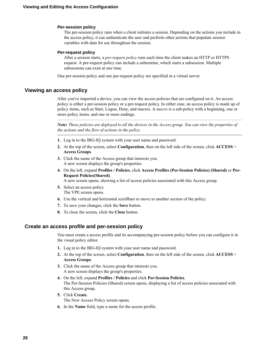#### <span id="page-25-0"></span>**Per-session policy**

The per-session policy runs when a client initiates a session. Depending on the actions you include in the access policy, it can authenticate the user and perform other actions that populate session variables with data for use throughout the session.

#### **Per-request policy**

After a session starts, a *per-request policy* runs each time the client makes an HTTP or HTTPS request. A per-request policy can include a subroutine, which starts a subsession. Multiple subsessions can exist at one time.

One per-session policy and one per-request policy are specified in a virtual server.

#### **Viewing an access policy**

After you've imported a device, you can view the access policies that are configured on it. An access policy is either a per-session policy or a per-request policy. In either case, an access policy is made up of policy items, such as Start, Logon, Deny, and macros. A *macro* is a sub-policy with a beginning, one or more policy items, and one or more endings.

*Note: These policies are deployed to all the devices in the Access group. You can view the properties of the actions and the flow of actions in the policy.*

- **1.** Log in to the BIG-IQ system with your user name and password.
- **2.** At the top of the screen, select **Configuration**, then on the left side of the screen, click **ACCESS** > **Access Groups**.
- **3.** Click the name of the Access group that interests you. A new screen displays the group's properties.
- **4.** On the left, expand **Profiles / Policies**, click **Access Profiles (Per-Session Policies) (Shared)** or **Per-Request Policies(Shared)**.

A new screen opens, showing a list of access policies associated with this Access group.

- **5.** Select an access policy. The VPE screen opens.
- **6.** Use the vertical and horizontal scrollbars to move to another section of the policy.
- **7.** To save your changes, click the **Save** button.
- **8.** To close the screen, click the **Close** button.

#### **Create an access profile and per-session policy**

You must create a access profile and its accompanying per-session policy before you can configure it in the visual policy editor.

- **1.** Log in to the BIG-IQ system with your user name and password.
- **2.** At the top of the screen, select **Configuration**, then on the left side of the screen, click **ACCESS** > **Access Groups**.
- **3.** Click the name of the Access group that interests you. A new screen displays the group's properties.
- **4.** On the left, expand **Profiles / Policies** and click **Per-Session Policies**. The Per-Session Policies (Shared) screen opens, displaying a list of access policies associated with this Access group.
- **5.** Click **Create**. The New Access Policy screen opens.
- **6.** In the **Name** field, type a name for the access profile.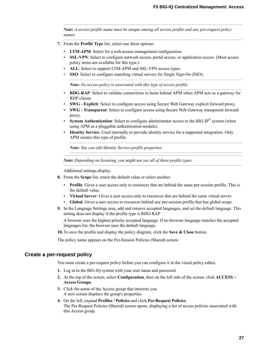<span id="page-26-0"></span>*Note: A access profile name must be unique among all access profile and any per-request policy names.*

- **7.** From the **Profile Type** list, select one these options:
	- **LTM-APM**: Select for a web access management configuration.
	- **SSL-VPN**: Select to configure network access, portal access, or application access. (Most access policy items are available for this type.)
	- **ALL**: Select to support LTM-APM and SSL-VPN access types.
	- **SSO**: Select to configure matching virtual servers for Single Sign-On (SSO).

*Note: No access policy is associated with this type of access profile*

- **RDG-RAP**: Select to validate connections to hosts behind APM when APM acts as a gateway for RDP clients.
- **SWG Explicit**: Select to configure access using Secure Web Gateway explicit forward proxy.
- **SWG Transparent**: Select to configure access using Secure Web Gateway transparent forward proxy.
- System Authentication: Select to configure administrator access to the BIG-IP<sup>®</sup> system (when using APM as a pluggable authentication module).
- **Identity Service**: Used internally to provide identity service for a supported integration. Only APM creates this type of profile.

*Note: You can edit Identity Service profile properties.*

*Note: Depending on licensing, you might not see all of these profile types.*

Additional settings display.

- **8.** From the **Scope** list, retain the default value or select another.
	- **Profile**: Gives a user access only to resources that are behind the same per-session profile. This is the default value.
	- **Virtual Server**: Gives a user access only to resources that are behind the same virtual server.
	- **Global**: Gives a user access to resources behind any per-session profile that has global scope.
- **9.** In the Language Settings area, add and remove accepted languages, and set the default language. This setting does not display if the profile type is RDG-RAP

A browser uses the highest priority accepted language. If no browser language matches the accepted languages list, the browser uses the default language.

**10.** To save the profile and display the policy diagram, click the **Save & Close** button.

The policy name appears on the Per-Session Policies (Shared) screen.

#### **Create a per-request policy**

You must create a per-request policy before you can configure it in the visual policy editor.

- **1.** Log in to the BIG-IQ system with your user name and password.
- **2.** At the top of the screen, select **Configuration**, then on the left side of the screen, click **ACCESS** > **Access Groups**.
- **3.** Click the name of the Access group that interests you. A new screen displays the group's properties.
- **4.** On the left, expand **Profiles / Policies** and click **Per-Request Policies**. The Per-Request Policies (Shared) screen opens, displaying a list of access policies associated with this Access group.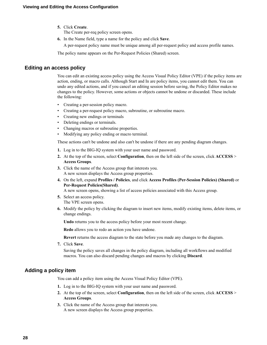<span id="page-27-0"></span>**5.** Click **Create**.

The Create per-req policy screen opens.

**6.** In the Name field, type a name for the policy and click **Save**.

A per-request policy name must be unique among all per-request policy and access profile names.

The policy name appears on the Per-Request Policies (Shared) screen.

## **Editing an access policy**

You can edit an existing access policy using the Access Visual Policy Editor (VPE) if the policy items are action, ending, or macro calls. Although Start and In are policy items, you cannot edit them. You can undo any edited actions, and if you cancel an editing session before saving, the Policy Editor makes no changes to the policy. However, some actions or objects cannot be undone or discarded. These include the following:

- Creating a per-session policy macro.
- Creating a per-request policy macro, subroutine, or subroutine macro.
- Creating new endings or terminals
- Deleting endings or terminals.
- Changing macros or subroutine properties.
- Modifying any policy ending or macro terminal.

These actions can't be undone and also can't be undone if there are any pending diagram changes.

- **1.** Log in to the BIG-IQ system with your user name and password.
- **2.** At the top of the screen, select **Configuration**, then on the left side of the screen, click **ACCESS** > **Access Groups**.
- **3.** Click the name of the Access group that interests you. A new screen displays the Access group properties.
- **4.** On the left, expand **Profiles / Policies**, and click **Access Profiles (Per-Session Policies) (Shared)** or **Per-Request Policies(Shared)**.

A new screen opens, showing a list of access policies associated with this Access group.

- **5.** Select an access policy. The VPE screen opens.
- **6.** Modify the policy by clicking the diagram to insert new items, modify existing items, delete items, or change endings.

**Undo** returns you to the access policy before your most recent change.

**Redo** allows you to redo an action you have undone.

**Revert** returns the access diagram to the state before you made any changes to the diagram.

**7.** Click **Save**.

Saving the policy saves all changes in the policy diagram, including all workflows and modified macros. You can also discard pending changes and macros by clicking **Discard**.

## **Adding a policy item**

You can add a policy item using the Access Visual Policy Editor (VPE).

- **1.** Log in to the BIG-IQ system with your user name and password.
- **2.** At the top of the screen, select **Configuration**, then on the left side of the screen, click **ACCESS** > **Access Groups**.
- **3.** Click the name of the Access group that interests you. A new screen displays the Access group properties.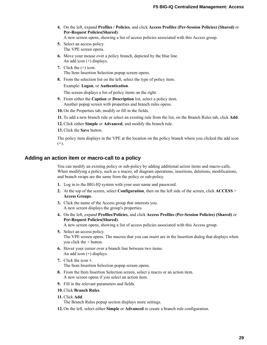<span id="page-28-0"></span>**4.** On the left, expand **Profiles / Policies**, and click **Access Profiles (Per-Session Policies) (Shared)** or **Per-Request Policies(Shared)**.

A new screen opens, showing a list of access policies associated with this Access group.

- **5.** Select an access policy. The VPE screen opens.
- **6.** Move your mouse over a policy branch, depicted by the blue line. An add icon  $(+)$  displays.
- **7.** Click the (+) icon. The Item Insertion Selection popup screen opens.
- **8.** From the selection list on the left, select the type of policy item.

Example: **Logon**, or **Authentication**.

The screen displays a list of policy items on the right.

- **9.** From either the **Caption** or **Description** list, select a policy item. Another popup screen with properties and branch rules opens.
- **10.** On the Properties tab, modify or fill in the fields.
- **11.** To add a new branch rule or select an existing rule from the list, on the Branch Rules tab, click **Add**.
- **12.** Click either **Simple** or **Advanced**, and modify the branch rule.

**13.** Click the **Save** button.

The policy item displays in the VPE at the location on the policy branch where you clicked the add icon  $(+)$ .

## **Adding an action item or macro-call to a policy**

You can modify an existing policy or sub-policy by adding additional action items and macro-calls. When modifying a policy, such as a macro, all diagram operations, insertions, deletions, modifications, and branch swaps are the same from the policy or sub-policy.

- **1.** Log in to the BIG-IQ system with your user name and password.
- **2.** At the top of the screen, select **Configuration**, then on the left side of the screen, click **ACCESS** > **Access Groups**.
- **3.** Click the name of the Access group that interests you. A new screen displays the group's properties.
- **4.** On the left, expand **Profiles/Policies**, and click **Access Profiles (Per-Session Policies) (Shared)** or **Per-Request Policies(Shared)**.

A new screen opens, showing a list of access policies associated with this Access group.

- **5.** Select an access policy. The VPE screen opens. The macros that you can insert are in the Insertion dialog that displays when you click the + button.
- **6.** Hover your cursor over a branch line between two items. An add icon  $(+)$  displays.
- **7.** Click the icon **+**. The Item Insertion Selection popup screen opens.
- **8.** From the Item Insertion Selection screen, select a macro or an action item. A new screen opens if you select an action item.
- **9.** Fill in the relevant parameters and fields.
- **10.** Click **Branch Rules**.
- **11.** Click **Add**.

The Branch Rules popup section displays more settings.

**12.** On the left, select either **Simple** or **Advanced** to create a branch rule configuration.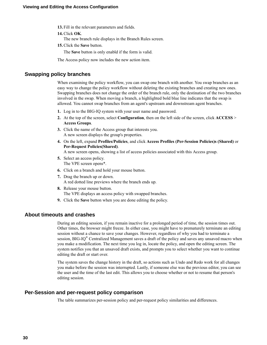- <span id="page-29-0"></span>**13.**Fill in the relevant parameters and fields.
- **14.** Click **OK**.
	- The new branch rule displays in the Branch Rules screen.
- **15.** Click the **Save** button.

The **Save** button is only enabld if the form is valid.

The Access policy now includes the new action item.

### **Swapping policy branches**

When examining the policy workflow, you can swap one branch with another. You swap branches as an easy way to change the policy workflow without deleting the existing branches and creating new ones. Swapping branches does not change the order of the branch rule, only the destination of the two branches involved in the swap. When moving a branch, a highlighted bold blue line indicates that the swap is allowed. You cannot swap branches from an agent's upstream and downstream agent branches.

- **1.** Log in to the BIG-IQ system with your user name and password.
- **2.** At the top of the screen, select **Configuration**, then on the left side of the screen, click **ACCESS** > **Access Groups**.
- **3.** Click the name of the Access group that interests you. A new screen displays the group's properties.
- **4.** On the left, expand **Profiles/Policies**, and click **Access Profiles (Per-Session Policies)s (Shared)** or **Per-Request Policies(Shared)**.

A new screen opens, showing a list of access policies associated with this Access group.

- **5.** Select an access policy. The VPE screen opens\*.
- **6.** Click on a branch and hold your mouse button.
- **7.** Drag the branch up or down. A red dotted line previews where the branch ends up.
- **8.** Release your mouse button. The VPE displays an access policy with swapped branches.
- **9.** Click the **Save** button when you are done editing the policy.

## **About timeouts and crashes**

During an editing session, if you remain inactive for a prolonged period of time, the session times out. Other times, the browser might freeze. In either case, you might have to prematurely terminate an editing session without a chance to save your changes. However, regardless of why you had to terminate a session, BIG-IQ<sup>®</sup> Centralized Management saves a draft of the policy and saves any unsaved macro when you make a modification. The next time you log in, locate the policy, and open the editing screen. The system notifies you that an unsaved draft exists, and prompts you to select whether you want to continue editing the draft or start over.

The system saves the change history in the draft, so actions such as Undo and Redo work for all changes you make before the session was interrupted. Lastly, if someone else was the previous editor, you can see the user and the time of the last edit. This allows you to choose whether or not to resume that person's editing session.

## **Per-Session and per-request policy comparison**

The table summarizes per-session policy and per-request policy similarities and differences.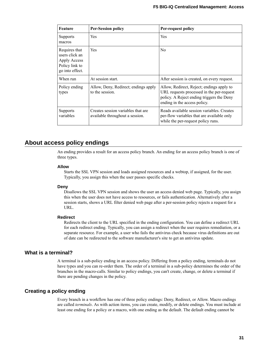<span id="page-30-0"></span>

| Feature                                                                              | <b>Per-Session policy</b>                                             | <b>Per-request policy</b>                                                                                                                                           |
|--------------------------------------------------------------------------------------|-----------------------------------------------------------------------|---------------------------------------------------------------------------------------------------------------------------------------------------------------------|
| <b>Supports</b><br>macros                                                            | Yes                                                                   | Yes                                                                                                                                                                 |
| Requires that<br>users click an<br>Apply Access<br>Policy link to<br>go into effect. | Yes                                                                   | N <sub>0</sub>                                                                                                                                                      |
| When run                                                                             | At session start.                                                     | After session is created, on every request.                                                                                                                         |
| Policy ending<br>types                                                               | Allow, Deny, Redirect; endings apply<br>to the session.               | Allow, Redirect, Reject; endings apply to<br>URL requests processed in the per-request<br>policy. A Reject ending triggers the Deny<br>ending in the access policy. |
| <b>Supports</b><br>variables                                                         | Creates session variables that are<br>available throughout a session. | Reads available session variables. Creates<br>per-flow variables that are available only<br>while the per-request policy runs.                                      |

## **About access policy endings**

An ending provides a result for an access policy branch. An ending for an access policy branch is one of three types.

#### **Allow**

Starts the SSL VPN session and loads assigned resources and a webtop, if assigned, for the user. Typically, you assign this when the user passes specific checks.

#### **Deny**

Disallows the SSL VPN session and shows the user an access denied web page. Typically, you assign this when the user does not have access to resources, or fails authentication. Alternatively after a session starts, shows a URL filter denied web page after a per-session policy rejects a request for a URL.

#### **Redirect**

Redirects the client to the URL specified in the ending configuration. You can define a redirect URL for each redirect ending. Typically, you can assign a redirect when the user requires remediation, or a separate resource. For example, a user who fails the antivirus check because virus definitions are out of date can be redirected to the software manufacturer's site to get an antivirus update.

## **What is a terminal?**

A terminal is a sub-policy ending in an access policy. Differing from a policy ending, terminals do not have types and you can re-order them. The order of a terminal in a sub-policy determines the order of the branches in the macro-calls. Similar to policy endings, you can't create, change, or delete a terminal if there are pending changes in the policy.

## **Creating a policy ending**

Every branch in a workflow has one of three policy endings: Deny, Redirect, or Allow. Macro endings are called *terminals*. As with action items, you can create, modify, or delete endings. You must include at least one ending for a policy or a macro, with one ending as the default. The default ending cannot be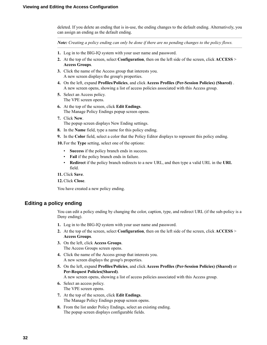<span id="page-31-0"></span>deleted. If you delete an ending that is in-use, the ending changes to the default ending. Alternatively, you can assign an ending as the default ending.

*Note: Creating a policy ending can only be done if there are no pending changes to the policy flows.*

- **1.** Log in to the BIG-IQ system with your user name and password.
- **2.** At the top of the screen, select **Configuration**, then on the left side of the screen, click **ACCESS** > **Access Groups**.
- **3.** Click the name of the Access group that interests you. A new screen displays the group's properties.
- **4.** On the left, expand **Profiles/Policies**, and click **Access Profiles (Per-Session Policies) (Shared)** . A new screen opens, showing a list of access policies associated with this Access group.
- **5.** Select an Access policy. The VPE screen opens.
- **6.** At the top of the screen, click **Edit Endings**. The Manage Policy Endings popup screen opens.
- **7.** Click **New**. The popup screen displays New Ending settings.
- **8.** In the **Name** field, type a name for this policy ending.
- **9.** In the **Color** field, select a color that the Policy Editor displays to represent this policy ending.

**10.**For the **Type** setting, select one of the options:

- **Success** if the policy branch ends in success.
- **Fail** if the policy branch ends in failure.
- **Redirect** if the policy branch redirects to a new URL, and then type a valid URL in the **URL** field.

**11.** Click **Save**.

**12.** Click **Close**.

You have created a new policy ending.

## **Editing a policy ending**

You can edit a policy ending by changing the color, caption, type, and redirect URL (if the sub-policy is a Deny ending).

- **1.** Log in to the BIG-IQ system with your user name and password.
- **2.** At the top of the screen, select **Configuration**, then on the left side of the screen, click **ACCESS** > **Access Groups**.
- **3.** On the left, click **Access Groups**. The Access Groups screen opens.
- **4.** Click the name of the Access group that interests you. A new screen displays the group's properties.
- **5.** On the left, expand **Profiles/Policies**, and click **Access Profiles (Per-Session Policies) (Shared)** or **Per-Request Policies(Shared)**.

A new screen opens, showing a list of access policies associated with this Access group.

- **6.** Select an access policy. The VPE screen opens.
- **7.** At the top of the screen, click **Edit Endings**. The Manage Policy Endings popup screen opens.
- **8.** From the list under Policy Endings, select an existing ending. The popup screen displays configurable fields.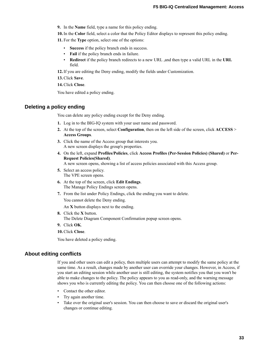<span id="page-32-0"></span>**9.** In the **Name** field, type a name for this policy ending.

**10.** In the **Color** field, select a color that the Policy Editor displays to represent this policy ending.

**11.** For the **Type** option, select one of the options:

- Success if the policy branch ends in success.
- **Fail** if the policy branch ends in failure.
- **Redirect** if the policy branch redirects to a new URL ,and then type a valid URL in the **URL** field.

**12.** If you are editing the Deny ending, modify the fields under Customization.

**13.** Click **Save**.

**14.** Click **Close**.

You have edited a policy ending.

## **Deleting a policy ending**

You can delete any policy ending except for the Deny ending.

- **1.** Log in to the BIG-IQ system with your user name and password.
- **2.** At the top of the screen, select **Configuration**, then on the left side of the screen, click **ACCESS** > **Access Groups**.
- **3.** Click the name of the Access group that interests you. A new screen displays the group's properties.
- **4.** On the left, expand **Profiles/Policies**, click **Access Profiles (Per-Session Policies) (Shared)** or **Per-Request Policies(Shared)**.

A new screen opens, showing a list of access policies associated with this Access group.

- **5.** Select an access policy. The VPE screen opens.
- **6.** At the top of the screen, click **Edit Endings**. The Manage Policy Endings screen opens.
- **7.** From the list under Policy Endings, click the ending you want to delete.

You cannot delete the Deny ending.

An **X** button displays next to the ending.

**8.** Click the **X** button.

The Delete Diagram Component Confirmation popup screen opens.

- **9.** Click **OK**.
- **10.** Click **Close**.

You have deleted a policy ending.

## **About editing conflicts**

If you and other users can edit a policy, then multiple users can attempt to modify the same policy at the same time. As a result, changes made by another user can override your changes. However, in Access, if you start an editing session while another user is still editing, the system notifies you that you won't be able to make changes to the policy. The policy appears to you as read-only, and the warning message shows you who is currently editing the policy. You can then choose one of the following actions:

- Contact the other editor.
- Try again another time.
- Take over the original user's session. You can then choose to save or discard the original user's changes or continue editing.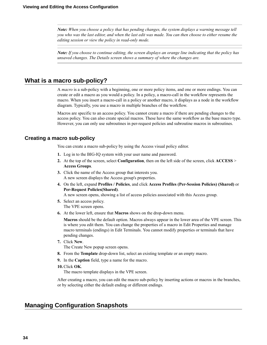<span id="page-33-0"></span>*Note: When you choose a policy that has pending changes, the system displays a warning message tell you who was the last editor, and when the last edit was made. You can then choose to either resume the editing session or view the policy in read-only mode.*

*Note: If you choose to continue editing, the screen displays an orange line indicating that the policy has unsaved changes. The Details screen shows a summary of where the changes are.*

## **What is a macro sub-policy?**

A *macro* is a sub-policy with a beginning, one or more policy items, and one or more endings. You can create or edit a macro as you would a policy. In a policy, a macro-call in the workflow represents the macro. When you insert a macro-call in a policy or another macro, it displays as a node in the workflow diagram. Typically, you use a macro in multiple branches of the workflow.

Macros are specific to an access policy. You cannot create a macro if there are pending changes to the access policy. You can also create special macros. These have the same workflow as the base macro type. However, you can only use subroutines in per-request policies and subroutine macros in subroutines.

#### **Creating a macro sub-policy**

You can create a macro sub-policy by using the Access visual policy editor.

- **1.** Log in to the BIG-IQ system with your user name and password.
- **2.** At the top of the screen, select **Configuration**, then on the left side of the screen, click **ACCESS** > **Access Groups**.
- **3.** Click the name of the Access group that interests you. A new screen displays the Access group's properties.
- **4.** On the left, expand **Profiles / Policies**, and click **Access Profiles (Per-Session Policies) (Shared)** or **Per-Request Policies(Shared)**.

A new screen opens, showing a list of access policies associated with this Access group.

- **5.** Select an access policy. The VPE screen opens.
- **6.** At the lower left, ensure that **Macros** shows on the drop-down menu.

**Macros** should be the default option. Macros always appear in the lower area of the VPE screen. This is where you edit them. You can change the properties of a macro in Edit Properties and manage macro terminals (endings) in Edit Terminals. You cannot modify properties or terminals that have pending changes.

**7.** Click **New**.

The Create New popup screen opens.

- **8.** From the **Template** drop-down list, select an existing template or an empty macro.
- **9.** In the **Caption** field, type a name for the macro.
- **10.** Click **OK**.

The macro template displays in the VPE screen.

After creating a macro, you can edit the macro sub-policy by inserting actions or macros in the branches, or by selecting either the default ending or different endings.

## **Managing Configuration Snapshots**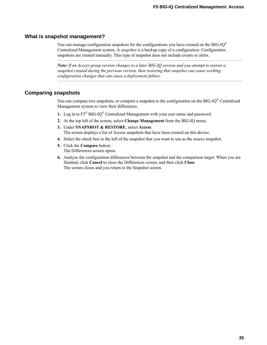#### <span id="page-34-0"></span>**What is snapshot management?**

You can manage configuration snapshots for the configurations you have created on the BIG-IQ<sup>®</sup> Centralized Management system. A *snapshot* is a backup copy of a configuration. Configuration snapshots are created manually. This type of snapshot does not include events or alerts.

*Note: If an Access group version changes to a later BIG-IQ version and you attempt to restore a snapshot created during the previous version, then restoring that snapshot can cause working configuration changes that can cause a deployment failure.*

#### **Comparing snapshots**

You can compare two snapshots, or compare a snapshot to the configuration on the BIG-IQ<sup>®</sup> Centralized Management system to view their differences.

- **1.** Log in to F5<sup>®</sup> BIG-IQ<sup>®</sup> Centralized Management with your user name and password.
- **2.** At the top left of the screen, select **Change Management** from the BIG-IQ menu.
- **3.** Under **SNAPSHOT & RESTORE**, select **Access**. The screen displays a list of Access snapshots that have been created on this device.
- **4.** Select the check box to the left of the snapshot that you want to use as the source snapshot.
- **5.** Click the **Compare** button. The Differences screen opens.
- **6.** Analyze the configuration differences between the snapshot and the comparison target. When you are finished, click **Cancel** to close the Differences screen, and then click **Close**. The screen closes and you return to the Snapshot screen.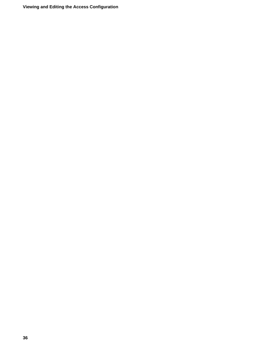**Viewing and Editing the Access Configuration**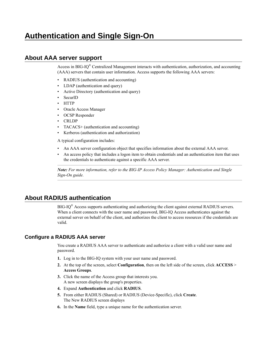### **About AAA server support**

Access in BIG-IQ<sup>®</sup> Centralized Management interacts with authentication, authorization, and accounting (AAA) servers that contain user information. Access supports the following AAA servers:

- RADIUS (authentication and accounting)
- LDAP (authentication and query)
- Active Directory (authentication and query)
- SecurID
- HTTP
- Oracle Access Manager
- OCSP Responder
- CRLDP
- TACACS+ (authentication and accounting)
- Kerberos (authentication and authorization)

A typical configuration includes:

- An AAA server configuration object that specifies information about the external AAA server.
- An access policy that includes a logon item to obtain credentials and an authentication item that uses the credentials to authenticate against a specific AAA server.

*Note: For more information, refer to the BIG-IP Access Policy Manager: Authentication and Single Sign-On guide.*

## **About RADIUS authentication**

 $BIG-IQ^®$  Access supports authenticating and authorizing the client against external RADIUS servers. When a client connects with the user name and password, BIG-IQ Access authenticates against the external server on behalf of the client, and authorizes the client to access resources if the credentials are valid.

### **Configure a RADIUS AAA server**

You create a RADIUS AAA server to authenticate and authorize a client with a valid user name and password.

- **1.** Log in to the BIG-IQ system with your user name and password.
- **2.** At the top of the screen, select **Configuration**, then on the left side of the screen, click **ACCESS** > **Access Groups**.
- **3.** Click the name of the Access group that interests you. A new screen displays the group's properties.
- **4.** Expand **Authentication** and click **RADIUS**.
- **5.** From either RADIUS (Shared) or RADIUS (Device-Specific), click **Create**. The New RADIUS screen displays
- **6.** In the **Name** field, type a unique name for the authentication server.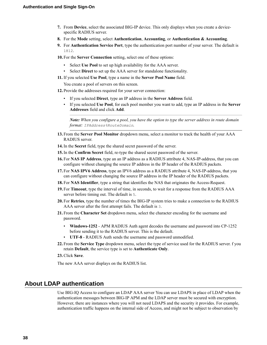- **7.** From **Device**, select the associated BIG-IP device. This only displays when you create a devicespecific RADIUS server.
- **8.** For the **Mode** setting, select **Authentication**, **Accounting**, or **Authentication & Accounting**.
- **9.** For **Authentication Service Port**, type the authentication port number of your server. The default is 1812.

**10.**For the **Server Connection** setting, select one of these options:

- Select Use **Pool** to set up high availability for the AAA server.
- Select **Direct** to set up the AAA server for standalone functionality.
- **11.** If you selected **Use Pool**, type a name in the **Server Pool Name** field.

You create a pool of servers on this screen.

- **12.**Provide the addresses required for your server connection:
	- If you selected **Direct**, type an IP address in the **Server Address** field.
	- If you selected **Use Pool**, for each pool member you want to add, type an IP address in the **Server Addresses** field and click **Add**.

*Note: When you configure a pool, you have the option to type the server address in route domain format: IPAddress%RouteDomain.*

- **13.**From the **Server Pool Monitor** dropdown menu, select a monitor to track the health of your AAA RADIUS server.
- **14.** In the **Secret** field, type the shared secret password of the server.
- **15.** In the **Confirm Secret** field, re-type the shared secret password of the server.
- **16.**For **NAS IP Address**, type an an IP address as a RADIUS attribute 4, NAS-IP-address, that you can configure without changing the source IP address in the IP header of the RADIUS packets.
- **17.**For **NAS IPV6 Address**, type an IPV6 address as a RADIUS attribute 4, NAS-IP-address, that you can configure without changing the source IP address in the IP header of the RADIUS packets.
- **18.**For **NAS Identifier**, type a string that identifies the NAS that originates the Access-Request.
- **19.**For **Timeout**, type the interval of time, in seconds, to wait for a response from the RADIUS AAA server before timing out. The default is 5.
- **20.**For **Retries**, type the number of times the BIG-IP system tries to make a connection to the RADIUS AAA server after the first attempt fails. The default is 3.
- **21.**From the **Character Set** dropdown menu, select the character encoding for the username and password.
	- **Windows-1252** APM RADIUS Auth agent decodes the username and password into CP-1252 before sending it to the RADIUS server. This is the default.
	- **UTF-8** RADIUS Auth sends the username and password unmodified.
- **22.**From the **Service Type** dropdown menu, select the type of service used for the RADIUS server. f you retain **Default**, the service type is set to **Authenticate Only**.
- **23.** Click **Save**.

The new AAA server displays on the RADIUS list.

### **About LDAP authentication**

Use BIG-IQ Access to configure an LDAP AAA server You can use LDAPS in place of LDAP when the authentication messages between BIG-IP APM and the LDAP server must be secured with encryption. However, there are instances where you will not need LDAPS and the security it provides. For example, authentication traffic happens on the internal side of Access, and might not be subject to observation by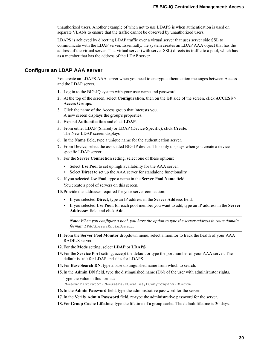unauthorized users. Another example of when not to use LDAPS is when authentication is used on separate VLANs to ensure that the traffic cannot be observed by unauthorized users.

LDAPS is achieved by directing LDAP traffic over a virtual server that uses server side SSL to communicate with the LDAP server. Essentially, the system creates an LDAP AAA object that has the address of the virtual server. That virtual server (with server SSL) directs its traffic to a pool, which has as a member that has the address of the LDAP server.

#### **Configure an LDAP AAA server**

You create an LDAPS AAA server when you need to encrypt authentication messages between Access and the LDAP server.

- **1.** Log in to the BIG-IQ system with your user name and password.
- **2.** At the top of the screen, select **Configuration**, then on the left side of the screen, click **ACCESS** > **Access Groups**.
- **3.** Click the name of the Access group that interests you. A new screen displays the group's properties.
- **4.** Expand **Authentication** and click **LDAP**.
- **5.** From either LDAP (Shared) or LDAP (Device-Specific), click **Create**. The New LDAP screen displays
- **6.** In the **Name** field, type a unique name for the authentication server.
- **7.** From **Device**, select the associated BIG-IP device. This only displays when you create a devicespecific LDAP server.
- **8.** For the **Server Connection** setting, select one of these options:
	- Select **Use Pool** to set up high availability for the AAA server.
	- Select **Direct** to set up the AAA server for standalone functionality.
- **9.** If you selected **Use Pool**, type a name in the **Server Pool Name** field. You create a pool of servers on this screen.
- **10.**Provide the addresses required for your server connection:
	- If you selected **Direct**, type an IP address in the **Server Address** field.
	- If you selected **Use Pool**, for each pool member you want to add, type an IP address in the **Server Addresses** field and click **Add**.

*Note: When you configure a pool, you have the option to type the server address in route domain format: IPAddress%RouteDomain.*

- **11.** From the **Server Pool Monitor** dropdown menu, select a monitor to track the health of your AAA RADIUS server.
- **12.**For the **Mode** setting, select **LDAP** or **LDAPS**.
- **13.**For the **Service Port** setting, accept the default or type the port number of your AAA server. The default is 389 for LDAP and 636 for LDAPS.
- **14.**For **Base Search DN**, type a base distinguished name from which to search.

**15.** In the **Admin DN** field, type the distinguished name (DN) of the user with administrator rights. Type the value in this format:

CN=administrator,CN=users,DC=sales,DC=mycompany,DC=com.

- **16.** In the **Admin Password** field, type the administrative password for the server.
- **17.** In the **Verify Admin Password** field, re-type the administrative password for the server.
- **18.**For **Group Cache Lifetime**, type the lifetime of a group cache. The default lifetime is 30 days.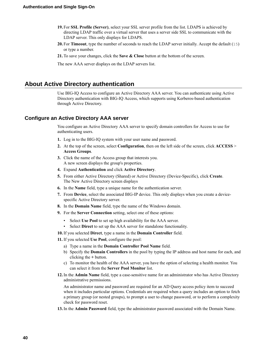- **19.**For **SSL Profile (Server)**, select your SSL server profile from the list. LDAPS is achieved by directing LDAP traffic over a virtual server that uses a server side SSL to communicate with the LDAP server. This only displays for LDAPS.
- **20.**For **Timeout**, type the number of seconds to reach the LDAP server initially. Accept the default (15) or type a number.
- **21.** To save your changes, click the **Save & Close** button at the bottom of the screen.

The new AAA server displays on the LDAP servers list.

### **About Active Directory authentication**

Use BIG-IQ Access to configure an Active Directory AAA server. You can authenticate using Active Directory authentication with BIG-IQ Access, which supports using Kerberos-based authentication through Active Directory.

#### **Configure an Active Directory AAA server**

You configure an Active Directory AAA server to specify domain controllers for Access to use for authenticating users.

- **1.** Log in to the BIG-IQ system with your user name and password.
- **2.** At the top of the screen, select **Configuration**, then on the left side of the screen, click **ACCESS** > **Access Groups**.
- **3.** Click the name of the Access group that interests you. A new screen displays the group's properties.
- **4.** Expand **Authentication** and click **Active Directory**.
- **5.** From either Active Directory (Shared) or Active Directory (Device-Specific), click **Create**. The New Active Directory screen displays
- **6.** In the **Name** field, type a unique name for the authentication server.
- **7.** From **Device**, select the associated BIG-IP device. This only displays when you create a devicespecific Active Directory server.
- **8.** In the **Domain Name** field, type the name of the Windows domain.
- **9.** For the **Server Connection** setting, select one of these options:
	- Select Use Pool to set up high availability for the AAA server.
	- Select **Direct** to set up the AAA server for standalone functionality.
- **10.** If you selected **Direct**, type a name in the **Domain Controller** field.
- **11.** If you selected **Use Pool**, configure the pool:
	- a) Type a name in the **Domain Controller Pool Name** field.
	- b) Specify the **Domain Controllers** in the pool by typing the IP address and host name for each, and clicking the **+** button.
	- c) To monitor the health of the AAA server, you have the option of selecting a health monitor. You can select it from the **Server Pool Monitor** list.
- **12.** In the **Admin Name** field, type a case-sensitive name for an administrator who has Active Directory administrative permissions.

An administrator name and password are required for an AD Query access policy item to succeed when it includes particular options. Credentials are required when a query includes an option to fetch a primary group (or nested groups), to prompt a user to change password, or to perform a complexity check for password reset.

**13.** In the **Admin Password** field, type the administrator password associated with the Domain Name.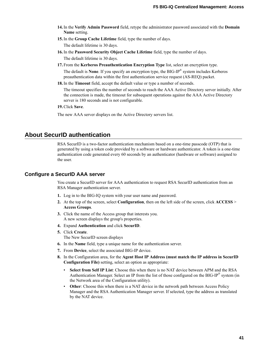- **14.** In the **Verify Admin Password** field, retype the administrator password associated with the **Domain Name** setting.
- **15.** In the **Group Cache Lifetime** field, type the number of days.

The default lifetime is 30 days.

- **16.** In the **Password Security Object Cache Lifetime** field, type the number of days. The default lifetime is 30 days.
- **17.**From the **Kerberos Preauthentication Encryption Type** list, select an encryption type.

The default is **None**. If you specify an encryption type, the BIG-IP<sup>®</sup> system includes Kerberos preauthentication data within the first authentication service request (AS-REQ) packet.

**18.** In the **Timeout** field, accept the default value or type a number of seconds.

The timeout specifies the number of seconds to reach the AAA Active Directory server initially. After the connection is made, the timeout for subsequent operations against the AAA Active Directory server is 180 seconds and is not configurable.

**19.** Click **Save**.

The new AAA server displays on the Active Directory servers list.

### **About SecurID authentication**

RSA SecurID is a two-factor authentication mechanism based on a one-time passcode (OTP) that is generated by using a token code provided by a software or hardware authenticator. A token is a one-time authentication code generated every 60 seconds by an authenticator (hardware or software) assigned to the user.

#### **Configure a SecurID AAA server**

You create a SecurID server for AAA authentication to request RSA SecurID authentication from an RSA Manager authentication server.

- **1.** Log in to the BIG-IQ system with your user name and password.
- **2.** At the top of the screen, select **Configuration**, then on the left side of the screen, click **ACCESS** > **Access Groups**.
- **3.** Click the name of the Access group that interests you. A new screen displays the group's properties.
- **4.** Expand **Authentication** and click **SecurID**.
- **5.** Click **Create**.

The New SecurID screen displays

- **6.** In the **Name** field, type a unique name for the authentication server.
- **7.** From **Device**, select the associated BIG-IP device.
- **8.** In the Configuration area, for the **Agent Host IP Address (must match the IP address in SecurID Configuration File)** setting, select an option as appropriate:
	- **Select from Self IP List**: Choose this when there is no NAT device between APM and the RSA Authentication Manager. Select an IP from the list of those configured on the BIG-IP® system (in the Network area of the Configuration utility).
	- **Other**: Choose this when there is a NAT device in the network path between Access Policy Manager and the RSA Authentication Manager server. If selected, type the address as translated by the NAT device.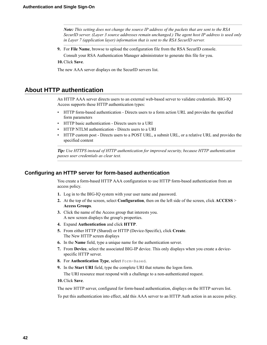*Note: This setting does not change the source IP address of the packets that are sent to the RSA SecurID server. (Layer 3 source addresses remain unchanged.) The agent host IP address is used only in Layer 7 (application layer) information that is sent to the RSA SecurID server.*

**9.** For **File Name**, browse to upload the configuration file from the RSA SecurID console. Consult your RSA Authentication Manager administrator to generate this file for you.

**10.** Click **Save**.

The new AAA server displays on the SecurID servers list.

## **About HTTP authentication**

An HTTP AAA server directs users to an external web-based server to validate credentials. BIG-IQ Access supports these HTTP authentication types:

- HTTP form-based authentication Directs users to a form action URL and provides the specified form parameters
- HTTP basic authentication Directs users to a URI
- HTTP NTLM authentication Directs users to a URI
- HTTP custom post Directs users to a POST URL, a submit URL, or a relative URL and provides the specified content

*Tip: Use HTTPS instead of HTTP authentication for improved security, because HTTP authentication passes user credentials as clear text.*

### **Configuring an HTTP server for form-based authentication**

You create a form-based HTTP AAA configuration to use HTTP form-based authentication from an access policy.

- **1.** Log in to the BIG-IQ system with your user name and password.
- **2.** At the top of the screen, select **Configuration**, then on the left side of the screen, click **ACCESS** > **Access Groups**.
- **3.** Click the name of the Access group that interests you. A new screen displays the group's properties.
- **4.** Expand **Authentication** and click **HTTP**.
- **5.** From either HTTP (Shared) or HTTP (Device-Specific), click **Create**. The New HTTP screen displays
- **6.** In the **Name** field, type a unique name for the authentication server.
- **7.** From **Device**, select the associated BIG-IP device. This only displays when you create a devicespecific HTTP server.
- **8.** For **Authentication Type**, select Form-Based.
- **9.** In the **Start URI** field, type the complete URI that returns the logon form.

The URI resource must respond with a challenge to a non-authenticated request.

**10.** Click **Save**.

The new HTTP server, configured for form-based authentication, displays on the HTTP servers list.

To put this authentication into effect, add this AAA server to an HTTP Auth action in an access policy.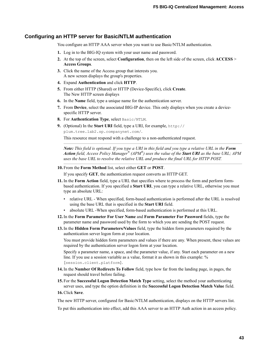#### **Configuring an HTTP server for Basic/NTLM authentication**

You configure an HTTP AAA server when you want to use Basic/NTLM authentication.

- **1.** Log in to the BIG-IQ system with your user name and password.
- **2.** At the top of the screen, select **Configuration**, then on the left side of the screen, click **ACCESS** > **Access Groups**.
- **3.** Click the name of the Access group that interests you. A new screen displays the group's properties.
- **4.** Expand **Authentication** and click **HTTP**.
- **5.** From either HTTP (Shared) or HTTP (Device-Specific), click **Create**. The New HTTP screen displays
- **6.** In the **Name** field, type a unique name for the authentication server.
- **7.** From **Device**, select the associated BIG-IP device. This only displays when you create a devicespecific HTTP server.
- **8.** For **Authentication Type**, select Basic/NTLM.
- **9.** (Optional) In the **Start URI** field, type a URI, for example, http:// plum.tree.lab2.sp.companynet.com/.

This resource must respond with a challenge to a non-authenticated request.

*Note: This field is optional. If you type a URI in this field and you type a relative URL in the Form Action field, Access Policy Manager® (APM® ) uses the value of the Start URI as the base URL; APM uses the base URL to resolve the relative URL and produce the final URL for HTTP POST.*

**10.**From the **Form Method** list, select either **GET** or **POST**.

If you specify **GET**, the authentication request converts as HTTP GET.

- **11.** In the **Form Action** field, type a URL that specifies where to process the form and perform formbased authentication. If you specified a **Start URI**, you can type a relative URL, otherwise you must type an absolute URL:
	- relative URL When specified, form-based authentication is performed after the URL is resolved using the base URL that is specified in the **Start URI** field.
	- absolute URL -When specified, form-based authentication is performed at this URL.
- **12.** In the **Form Parameter For User Name** and **Form Parameter For Password** fields, type the parameter name and password used by the form to which you are sending the POST request.
- **13.** In the **Hidden Form Parameters/Values** field, type the hidden form parameters required by the authentication server logon form at your location.

You must provide hidden form parameters and values if there are any. When present, these values are required by the authentication server logon form at your location.

Specify a parameter name, a space, and the parameter value, if any. Start each parameter on a new line. If you use a session variable as a value, format it as shown in this example: % {session.client.platform}.

- **14.** In the **Number Of Redirects To Follow** field, type how far from the landing page, in pages, the request should travel before failing.
- **15.**For the **Successful Logon Detection Match Type** setting, select the method your authenticating server uses, and type the option definition in the **Successful Logon Detection Match Value** field.
- **16.** Click **Save**.

The new HTTP server, configured for Basic/NTLM authentication, displays on the HTTP servers list.

To put this authentication into effect, add this AAA server to an HTTP Auth action in an access policy.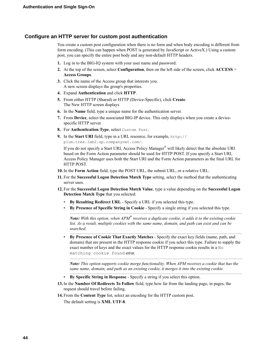#### **Configure an HTTP server for custom post authentication**

You create a custom post configuration when there is no form and when body encoding is different from form encoding. (This can happen when POST is generated by JavaScript or ActiveX.) Using a custom post, you can specify the entire post body and any non-default HTTP headers.

- **1.** Log in to the BIG-IQ system with your user name and password.
- **2.** At the top of the screen, select **Configuration**, then on the left side of the screen, click **ACCESS** > **Access Groups**.
- **3.** Click the name of the Access group that interests you. A new screen displays the group's properties.
- **4.** Expand **Authentication** and click **HTTP**.
- **5.** From either HTTP (Shared) or HTTP (Device-Specific), click **Create**. The New HTTP screen displays
- **6.** In the **Name** field, type a unique name for the authentication server.
- **7.** From **Device**, select the associated BIG-IP device. This only displays when you create a devicespecific HTTP server.
- **8.** For **Authentication Type**, select Custom Post.
- **9.** In the **Start URI** field, type in a URL resource, for example, http:// plum.tree.lab2.sp.companynet.com/.

If you do not specify a Start URI, Access Policy Manager® will likely detect that the absolute URI based on the Form Action parameter should be used for HTTP POST. If you specify a Start URI, Access Policy Manager uses both the Start URI and the Form Action parameters as the final URL for HTTP POST.

- **10.** In the **Form Action** field, type the POST URL, the submit URL, or a relative URL.
- **11.** For the **Successful Logon Detection Match Type** setting, select the method that the authenticating server uses.
- **12.**For the **Successful Logon Detection Match Value**, type a value depending on the **Successful Logon Detection Match Type** that you selected:
	- **By Resulting Redirect URL** Specify a URL if you selected this type.
	- **By Presence of Specific String in Cookie** Specify a single string if you selected this type.

*Note: With this option, when APM® receives a duplicate cookie, it adds it to the existing cookie list. As a result, multiple cookies with the same name, domain, and path can exist and can be searched.*

• **By Presence of Cookie That Exactly Matches** - Specify the exact key fields (name, path, and domain) that are present in the HTTP response cookie if you select this type. Failure to supply the exact number of keys and the exact values for the HTTP response cookie results in a No matching cookie found error.

*Note: This option supports cookie merge functionality. When APM receives a cookie that has the same name, domain, and path as an existing cookie, it merges it into the existing cookie.*

- **By Specific String in Response** Specify a string if you select this option.
- **13.** In the **Number Of Redirects To Follow** field, type how far from the landing page, in pages, the request should travel before failing.
- **14.**From the **Content Type** list, select an encoding for the HTTP custom post.

The default setting is **XML UTF-8**.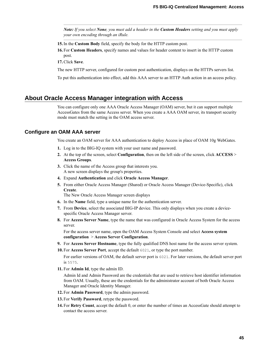*Note: If you select None, you must add a header in the Custom Headers setting and you must apply your own encoding through an iRule.*

**15.** In the **Custom Body** field, specify the body for the HTTP custom post.

**16.**For **Custom Headers**, specify names and values for header content to insert in the HTTP custom post.

**17.** Click **Save**.

The new HTTP server, configured for custom post authentication, displays on the HTTPs servers list.

To put this authentication into effect, add this AAA server to an HTTP Auth action in an access policy.

### **About Oracle Access Manager integration with Access**

You can configure only one AAA Oracle Access Manager (OAM) server, but it can support multiple AccessGates from the same Access server. When you create a AAA OAM server, its transport security mode must match the setting in the OAM access server.

#### **Configure an OAM AAA server**

You create an OAM server for AAA authentication to deploy Access in place of OAM 10g WebGates.

- **1.** Log in to the BIG-IQ system with your user name and password.
- **2.** At the top of the screen, select **Configuration**, then on the left side of the screen, click **ACCESS** > **Access Groups**.
- **3.** Click the name of the Access group that interests you. A new screen displays the group's properties.
- **4.** Expand **Authentication** and click **Oracle Access Manager**.
- **5.** From either Oracle Access Manager (Shared) or Oracle Access Manager (Device-Specific), click **Create**.

The New Oracle Access Manager screen displays

- **6.** In the **Name** field, type a unique name for the authentication server.
- **7.** From **Device**, select the associated BIG-IP device. This only displays when you create a devicespecific Oracle Access Manager server.
- **8.** For **Access Server Name**, type the name that was configured in Oracle Access System for the access server.

For the access server name, open the OAM Access System Console and select **Access system configuration** > **Access Server Configuration**.

- **9.** For **Access Server Hostname**, type the fully qualified DNS host name for the access server system.
- **10.**For **Access Server Port**, accept the default 6021, or type the port number.

For earlier versions of OAM, the default server port is 6021. For later versions, the default server port is 5575.

**11.** For **Admin Id**, type the admin ID.

Admin Id and Admin Password are the credentials that are used to retrieve host identifier information from OAM. Usually, these are the credentials for the administrator account of both Oracle Access Manager and Oracle Identity Manager.

- **12.**For **Admin Password**, type the admin password.
- **13.**For **Verify Password**, retype the password.
- **14.**For **Retry Count**, accept the default 0, or enter the number of times an AccessGate should attempt to contact the access server.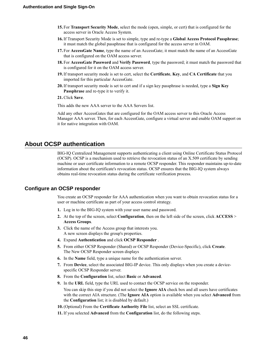- **15.**For **Transport Security Mode**, select the mode (open, simple, or cert) that is configured for the access server in Oracle Access System.
- **16.** If Transport Security Mode is set to simple, type and re-type a **Global Access Protocol Passphrase**; it must match the global passphrase that is configured for the access server in OAM.
- **17.**For **AccessGate Name**, type the name of an AccessGate; it must match the name of an AccessGate that is configured on the OAM access server.
- **18.**For **AccessGate Password** and **Verify Password**, type the password; it must match the password that is configured for it on the OAM access server.
- **19.** If transport security mode is set to cert, select the **Certificate**, **Key**, and **CA Certificate** that you imported for this particular AccessGate.
- **20.** If transport security mode is set to cert and if a sign key passphrase is needed, type a **Sign Key Passphrase** and re-type it to verify it.
- **21.** Click **Save**.

This adds the new AAA server to the AAA Servers list.

Add any other AccessGates that are configured for the OAM access server to this Oracle Access Manager AAA server. Then, for each AccessGate, configure a virtual server and enable OAM support on it for native integration with OAM.

## **About OCSP authentication**

BIG-IQ Centralized Management supports authenticating a client using Online Certificate Status Protocol (OCSP). OCSP is a mechanism used to retrieve the revocation status of an X.509 certificate by sending machine or user certificate information to a remote OCSP responder. This responder maintains up-to-date information about the certificate's revocation status. OCSP ensures that the BIG-IQ system always obtains real-time revocation status during the certificate verification process.

#### **Configure an OCSP responder**

You create an OCSP responder for AAA authentication when you want to obtain revocation status for a user or machine certificate as part of your access control strategy.

- **1.** Log in to the BIG-IQ system with your user name and password.
- **2.** At the top of the screen, select **Configuration**, then on the left side of the screen, click **ACCESS** > **Access Groups**.
- **3.** Click the name of the Access group that interests you. A new screen displays the group's properties.
- **4.** Expand **Authentication** and click **OCSP Responder** .
- **5.** From either OCSP Responder (Shared) or OCSP Responder (Device-Specific), click **Create**. The New OCSP Responder screen displays
- **6.** In the **Name** field, type a unique name for the authentication server.
- **7.** From **Device**, select the associated BIG-IP device. This only displays when you create a devicespecific OCSP Responder server.
- **8.** From the **Configuration** list, select **Basic** or **Advanced**.
- **9.** In the **URL** field, type the URL used to contact the OCSP service on the responder.

You can skip this step if you did not select the **Ignore AIA** check box and all users have certificates with the correct AIA structure. (The **Ignore AIA** option is available when you select **Advanced** from the **Configuration** list; it is disabled by default.)

- **10.** (Optional) From the **Certificate Authority File** list, select an SSL certificate.
- **11.** If you selected **Advanced** from the **Configuration** list, do the following steps.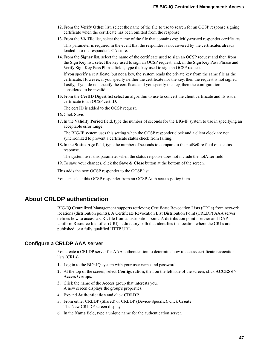- **12.**From the **Verify Other** list, select the name of the file to use to search for an OCSP response signing certificate when the certificate has been omitted from the response.
- **13.**From the **VA File** list, select the name of the file that contains explicitly-trusted responder certificates. This parameter is required in the event that the responder is not covered by the certificates already loaded into the responder's CA store.
- **14.**From the **Signer** list, select the name of the certificate used to sign an OCSP request and then from the Sign Key list, select the key used to sign an OCSP request, and, in the Sign Key Pass Phrase and Verify Sign Key Pass Phrase fields, type the key used to sign an OCSP request.

If you specify a certificate, but not a key, the system reads the private key from the same file as the certificate. However, if you specify neither the certificate nor the key, then the request is not signed. Lastly, if you do not specify the certificate and you specify the key, then the configuration is considered to be invalid.

**15.**From the **CertID Digest** list select an algorithm to use to convert the client certificate and its issuer certificate to an OCSP cert ID.

The cert ID is added to the OCSP request.

- **16.** Click **Save**.
- **17.** In the **Validity Period** field, type the number of seconds for the BIG-IP system to use in specifying an acceptable error range.

The BIG-IP system uses this setting when the OCSP responder clock and a client clock are not synchronized to prevent a certificate status check from failing.

**18.** In the **Status Age** field, type the number of seconds to compare to the notBefore field of a status response.

The system uses this parameter when the status response does not include the notAfter field.

**19.** To save your changes, click the **Save & Close** button at the bottom of the screen.

This adds the new OCSP responder to the OCSP list.

You can select this OCSP responder from an OCSP Auth access policy item.

### **About CRLDP authentication**

BIG-IQ Centralized Management supports retrieving Certificate Revocation Lists (CRLs) from network locations (distribution points). A Certificate Revocation List Distribution Point (CRLDP) AAA server defines how to access a CRL file from a distribution point. A distribution point is either an LDAP Uniform Resource Identifier (URI), a directory path that identifies the location where the CRLs are published, or a fully qualified HTTP URL.

### **Configure a CRLDP AAA server**

You create a CRLDP server for AAA authentication to determine how to access certificate revocation lists (CRLs).

- **1.** Log in to the BIG-IQ system with your user name and password.
- **2.** At the top of the screen, select **Configuration**, then on the left side of the screen, click **ACCESS** > **Access Groups**.
- **3.** Click the name of the Access group that interests you. A new screen displays the group's properties.
- **4.** Expand **Authentication** and click **CRLDP**.
- **5.** From either CRLDP (Shared) or CRLDP (Device-Specific), click **Create**. The New CRLDP screen displays
- **6.** In the **Name** field, type a unique name for the authentication server.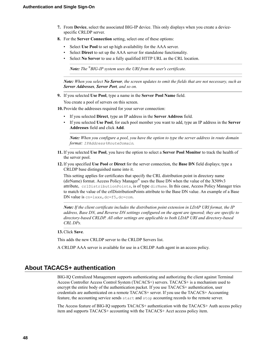- **7.** From **Device**, select the associated BIG-IP device. This only displays when you create a devicespecific CRLDP server.
- **8.** For the **Server Connection** setting, select one of these options:
	- Select **Use Pool** to set up high availability for the AAA server.
	- Select **Direct** to set up the AAA server for standalone functionality.
	- Select **No Server** to use a fully qualified HTTP URL as the CRL location.

*Note: The ® BIG-IP system uses the URI from the user's certificate.*

*Note: When you select No Server, the screen updates to omit the fields that are not necessary, such as Server Addresses, Server Port, and so on.*

**9.** If you selected **Use Pool**, type a name in the **Server Pool Name** field.

You create a pool of servers on this screen.

**10.**Provide the addresses required for your server connection:

- If you selected **Direct**, type an IP address in the **Server Address** field.
- If you selected **Use Pool**, for each pool member you want to add, type an IP address in the **Server Addresses** field and click **Add**.

*Note: When you configure a pool, you have the option to type the server address in route domain format: IPAddress%RouteDomain.*

- **11.** If you selected **Use Pool**, you have the option to select a **Server Pool Monitor** to track the health of the server pool.
- **12.** If you specified **Use Pool** or **Direct** for the server connection, the **Base DN** field displays; type a CRLDP base distinguished name into it.

This setting applies for certificates that specify the CRL distribution point in directory name (dirName) format. Access Policy Manager® uses the Base DN when the value of the X509v3 attribute, crlDistributionPoints, is of type dirName. In this case, Access Policy Manager tries to match the value of the crlDistributionPoints attribute to the Base DN value. An example of a Base DN value is  $cn=1$ xxx,  $dc=f5$ ,  $dc=com$ .

*Note: If the client certificate includes the distribution point extension in LDAP URI format, the IP address, Base DN, and Reverse DN settings configured on the agent are ignored; they are specific to directory-based CRLDP. All other settings are applicable to both LDAP URI and directory-based CRL DPs.*

**13.** Click **Save**.

This adds the new CRLDP server to the CRLDP Servers list.

A CRLDP AAA server is available for use in a CRLDP Auth agent in an access policy.

### **About TACACS+ authentication**

BIG-IQ Centralized Management supports authenticating and authorizing the client against Terminal Access Controller Access Control System (TACACS+) servers. TACACS+ is a mechanism used to encrypt the entire body of the authentication packet. If you use TACACS+ authentication, user credentials are authenticated on a remote TACACS+ server. If you use the TACACS+ Accounting feature, the accounting service sends start and stop accounting records to the remote server.

The Access feature of BIG-IQ supports TACACS+ authentication with the TACACS+ Auth access policy item and supports TACACS+ accounting with the TACACS+ Acct access policy item.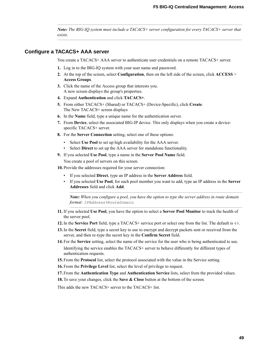*Note: The BIG-IQ system must include a TACACS+ server configuration for every TACACS+ server that exists.*

#### **Configure a TACACS+ AAA server**

You create a TACACS+ AAA server to authenticate user credentials on a remote TACACS+ server.

- **1.** Log in to the BIG-IQ system with your user name and password.
- **2.** At the top of the screen, select **Configuration**, then on the left side of the screen, click **ACCESS** > **Access Groups**.
- **3.** Click the name of the Access group that interests you. A new screen displays the group's properties.
- **4.** Expand **Authentication** and click **TACACS+**.
- **5.** From either TACACS+ (Shared) or TACACS+ (Device-Specific), click **Create**. The New TACACS+ screen displays
- **6.** In the **Name** field, type a unique name for the authentication server.
- **7.** From **Device**, select the associated BIG-IP device. This only displays when you create a devicespecific TACACS+ server.
- **8.** For the **Server Connection** setting, select one of these options:
	- Select **Use Pool** to set up high availability for the AAA server.
	- Select **Direct** to set up the AAA server for standalone functionality.
- **9.** If you selected **Use Pool**, type a name in the **Server Pool Name** field.

You create a pool of servers on this screen.

**10.**Provide the addresses required for your server connection:

- If you selected **Direct**, type an IP address in the **Server Address** field.
- If you selected **Use Pool**, for each pool member you want to add, type an IP address in the **Server Addresses** field and click **Add**.

*Note: When you configure a pool, you have the option to type the server address in route domain format: IPAddress%RouteDomain.*

- **11.** If you selected **Use Pool**, you have the option to select a **Server Pool Monitor** to track the health of the server pool.
- **12.** In the **Service Port** field, type a TACACS+ service port or select one from the list. The default is 49.
- **13.** In the **Secret** field, type a secret key to use to encrypt and decrypt packets sent or received from the server, and then re-type the secret key in the **Confirm Secret** field.
- **14.**For the **Service** setting, select the name of the service for the user who is being authenticated to use. Identifying the service enables the TACACS+ server to behave differently for different types of authentication requests.
- **15.**From the **Protocol** list, select the protocol associated with the value in the Service setting.
- **16.**From the **Privilege Level** list, select the level of privilege to request.
- **17.**From the **Authentication Type** and **Authentication Service** lists, select from the provided values.

**18.** To save your changes, click the **Save & Close** button at the bottom of the screen.

This adds the new TACACS+ server to the TACACS+ list.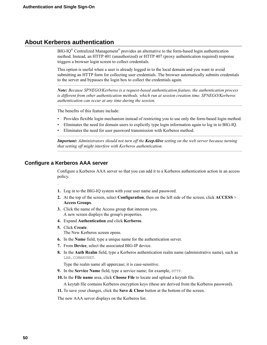### **About Kerberos authentication**

BIG-IQ<sup>®</sup> Centralized Management<sup>®</sup> provides an alternative to the form-based login authentication method. Instead, an HTTP 401 (unauthorized) or HTTP 407 (proxy authentication required) response triggers a browser login screen to collect credentials.

This option is useful when a user is already logged in to the local domain and you want to avoid submitting an HTTP form for collecting user credentials. The browser automatically submits credentials to the server and bypasses the login box to collect the credentials again.

*Note: Because SPNEGO/Kerberos is a request-based authentication feature, the authentication process is different from other authentication methods, which run at session creation time. SPNEGO/Kerberos authentication can occur at any time during the session.*

The benefits of this feature include:

- Provides flexible login mechanism instead of restricting you to use only the form-based login method.
- Eliminates the need for domain users to explicitly type login information again to log in to BIG-IQ.
- Eliminates the need for user password transmission with Kerberos method.

*Important: Administrators should not turn off the KeepAlive setting on the web server because turning that setting off might interfere with Kerberos authentication.*

### **Configure a Kerberos AAA server**

.

Configure a Kerberos AAA server so that you can add it to a Kerberos authentication action in an access policy.

- **1.** Log in to the BIG-IQ system with your user name and password.
- **2.** At the top of the screen, select **Configuration**, then on the left side of the screen, click **ACCESS** > **Access Groups**.
- **3.** Click the name of the Access group that interests you. A new screen displays the group's properties.
- **4.** Expand **Authentication** and click **Kerberos**.
- **5.** Click **Create**. The New Kerberos screen opens.
- **6.** In the **Name** field, type a unique name for the authentication server.
- **7.** From **Device**, select the associated BIG-IP device.
- **8.** In the **Auth Realm** field, type a Kerberos authentication realm name (administrative name), such as LAB.COMANYNET.

Type the realm name all uppercase; it is case-sensitive.

- **9.** In the **Service Name** field, type a service name; for example, HTTP.
- **10.** In the **File name** area, click **Choose File** to locate and upload a keytab file.

A keytab file contains Kerberos encryption keys (these are derived from the Kerberos password).

**11.** To save your changes, click the **Save & Close** button at the bottom of the screen.

The new AAA server displays on the Kerberos list.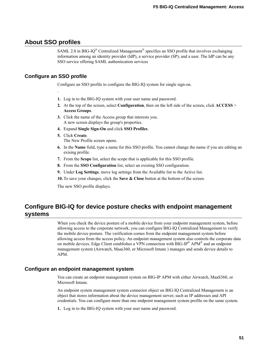### **About SSO profiles**

SAML 2.0 in BIG-IQ<sup>®</sup> Centralized Management<sup>®</sup> specifies an SSO profile that involves exchanging information among an identity provider (IdP), a service provider (SP), and a user. The IdP can be any SSO service offering SAML authentication services

#### **Configure an SSO profile**

.

Configure an SSO profile to configure the BIG-IQ system for single sign-on.

- **1.** Log in to the BIG-IQ system with your user name and password.
- **2.** At the top of the screen, select **Configuration**, then on the left side of the screen, click **ACCESS** > **Access Groups**.
- **3.** Click the name of the Access group that interests you. A new screen displays the group's properties.
- **4.** Expand **Single Sign-On** and click **SSO Profiles**.
- **5.** Click **Create**. The New Profile screen opens.
- **6.** In the **Name** field, type a name for this SSO profile. You cannot change the name if you are editing an exising profile.
- **7.** From the **Scope** list, select the scope that is applicable for this SSO profile.
- **8.** From the **SSO Configuration** list, select an existing SSO configuration.
- **9.** Under **Log Settings**, move log settings from the Available list to the Active list.

**10.** To save your changes, click the **Save & Close** button at the bottom of the screen.

The new SSO profile displays.

## **Configure BIG-IQ for device posture checks with endpoint management systems**

When you check the device posture of a mobile device from your endpoint management system, before allowing access to the corporate network, you can configure BIG-IQ Centralized Management to verify the mobile device posture. The verification comes from the endpoint management system before allowing access from the access policy. An endpoint management system also controls the corporate data on mobile devices. Edge Client establishes a VPN connection with BIG-IP<sup>®</sup> APM<sup>®</sup> and an endpoint management system (Airwatch, Maas360, or Microsoft Intune ) manages and sends device details to APM.

#### **Configure an endpoint management system**

You can create an endpoint management system on BIG-IP APM with either Airwatch, MaaS360, or Microsoft Intune.

An endpoint system management system connector object on BIG-IQ Centralized Managemetn is an object that stores information about the device management server, such as IP addresses and API credentials. You can configure more than one endpoint management system profile on the same system.

**1.** Log in to the BIG-IQ system with your user name and password.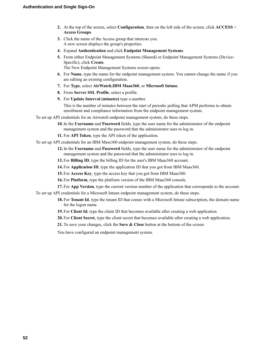- **2.** At the top of the screen, select **Configuration**, then on the left side of the screen, click **ACCESS** > **Access Groups**.
- **3.** Click the name of the Access group that interests you. A new screen displays the group's properties.
- **4.** Expand **Authentication** and click **Endpoint Management Systems**.
- **5.** From either Endpoint Management Systems (Shared) or Endpoint Management Systems (Device-Specific), click **Create**.
	- The New Endpoint Management Systems screen opens.
- **6.** For **Name**, type the name for the endpoint management system. You cannot change the name if you are editing an existing configuration.
- **7.** For **Type**, select **AirWatch**,**IBM Maas360**, or **Microsoft Intune**.
- **8.** From **Server SSL Profile**, select a profile.
- **9.** For **Update Interval (minutes)** type a number.

This is the number of minutes between the start of periodic polling that APM performs to obtain enrollment and compliance information from the endpoint management system.

To set up API credentials for an Airwatch endpoint management system, do these steps.

- **10.** In the **Username** and **Password** fields, type the user name for the administrator of the endpoint management system and the password that the administrator uses to log in.
- **11.** For **API Token**, type the API token of the application.

To set up API credentials for an IBM Mass360 endpoint management system, do these steps.

- **12.** In the **Username** and **Password** fields, type the user name for the administrator of the endpoint management system and the password that the administrator uses to log in.
- **13.**For **Billing ID**, type the billing ID for the user's IBM Maas360 account.
- **14.**For **Application ID**, type the application ID that you got from IBM Maas360.
- **15.**For **Access Key**, type the access key that you got from IBM Maas360.
- **16.**For **Platform**, type the platform version of the IBM Maas360 console.
- **17.**For **App Version**, type the current version number of the application that corresponds to the account.

To set up API credentials for a Microsoft Intune endpoint management system, do these steps.

- **18.**For **Tenant Id**, type the tenant ID that comes with a Microsoft Intune subscription, the domain name for the logon name.
- **19.**For **Client Id**, type the client ID that becomes available after creating a web application
- **20.**For **Client Secret**, type the client secret that becomes available after creating a web application.
- **21.** To save your changes, click the **Save & Close** button at the bottom of the screen.

You have configured an endpoint management system.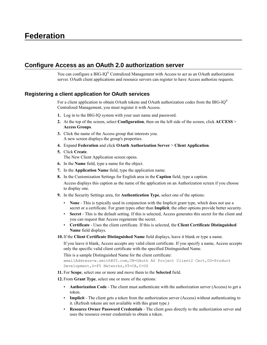## **Configure Access as an OAuth 2.0 authorization server**

You can configure a BIG-IQ® Centralized Management with Access to act as an OAuth authorization server. OAuth client applications and resource servers can register to have Access authorize requests.

#### **Registering a client application for OAuth services**

For a client application to obtain OAuth tokens and OAuth authorization codes from the BIG-IO<sup>®</sup> Centralized Management, you must register it with Access.

- **1.** Log in to the BIG-IQ system with your user name and password.
- **2.** At the top of the screen, select **Configuration**, then on the left side of the screen, click **ACCESS** > **Access Groups**.
- **3.** Click the name of the Access group that interests you. A new screen displays the group's properties.
- **4.** Expand **Federation** and click **OAuth Authorization Server** > **Client Application**.
- **5.** Click **Create**. The New Client Application screen opens.
- **6.** In the **Name** field, type a name for the object.
- **7.** In the **Application Name** field, type the application name.
- **8.** In the Customization Settings for English area in the **Caption** field, type a caption.

Access displays this caption as the name of the application on an Authorization screen if you choose to display one.

- **9.** In the Security Settings area, for **Authentication Type**, select one of the options:
	- **None** This is typically used in conjunction with the Implicit grant type, which does not use a secret or a certificate. For grant types other than **Implicit**, the other options provide better security.
	- **Secret** This is the default setting. If this is selected, Access generates this secret for the client and you can request that Access regenerate the secret.
	- **Certificate** Uses the client certificate. If this is selected, the **Client Certificate Distinguished Name** field displays.

#### **10.** If the **Client Certificate Distinguished Name** field displays, leave it blank or type a name.

If you leave it blank, Access accepts any valid client certificate. If you specify a name, Access accepts only the specific valid client certificate with the specified Distinguished Name.

This is a sample Distinguished Name for the client certificate: emailAddress=w.smith@f5.com,CN=OAuth AS Project Client2 Cert,OU=Product Development, O=F5 Networks, ST=CA, C=US

**11.** For **Scope**, select one or more and move them to the **Selected** field.

**12.**From **Grant Type**, select one or more of the options:

- **Authorization Code** The client must authenticate with the authorization server (Access) to get a token.
- **Implicit** The client gets a token from the authorization server (Access) without authenticating to it. (Refresh tokens are not available with this grant type.)
- **Resource Owner Password Credentials** The client goes directly to the authorization server and uses the resource owner credentials to obtain a token.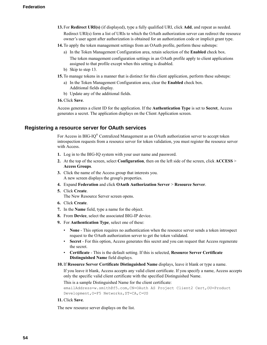- **13.**For **Redirect URI(s)** (if displayed), type a fully qualified URI, click **Add**, and repeat as needed. Redirect URI(s) form a list of URIs to which the OAuth authorization server can redirect the resource owner's user agent after authorization is obtained for an authorization code or implicit grant type.
- **14.** To apply the token management settings from an OAuth profile, perform these substeps:
	- a) In the Token Management Configuration area, retain selection of the **Enabled** check box. The token management configuration settings in an OAuth profile apply to client applications assigned to that profile except when this setting is disabled.
	- b) Skip to step 13.
- **15.** To manage tokens in a manner that is distinct for this client application, perform these substeps:
	- a) In the Token Management Configuration area, clear the **Enabled** check box. Additional fields display.
	- b) Update any of the additional fields.

#### **16.** Click **Save**.

Access generates a client ID for the application. If the **Authentication Type** is set to **Secret**, Access generates a secret. The application displays on the Client Application screen.

#### **Registering a resource server for OAuth services**

For Access in BIG-IQ<sup>®</sup> Centralized Management as an OAuth authorization server to accept token introspection requests from a resource server for token validation, you must register the resource server with Access.

- **1.** Log in to the BIG-IQ system with your user name and password.
- **2.** At the top of the screen, select **Configuration**, then on the left side of the screen, click **ACCESS** > **Access Groups**.
- **3.** Click the name of the Access group that interests you. A new screen displays the group's properties.
- **4.** Expand **Federation** and click **OAuth Authorization Server** > **Resource Server**.
- **5.** Click **Create**. The New Resource Server screen opens.
- **6.** Click **Create**.
- **7.** In the **Name** field, type a name for the object.
- **8.** From **Device**, select the associated BIG-IP device.
- **9.** For **Authentication Type**, select one of these:
	- **None** This option requires no authentication when the resource server sends a token introspect request to the OAuth authorization server to get the token validated.
	- **Secret** For this option, Access generates this secret and you can request that Access regenerate the secret.
	- **Certificate** This is the default setting. If this is selected, **Resource Server Certificate Distinguished Name** field displays.
- **10.** If **Resource Server Certificate Distinguished Name** displays, leave it blank or type a name.

If you leave it blank, Access accepts any valid client certificate. If you specify a name, Access accepts only the specific valid client certificate with the specified Distinguished Name.

This is a sample Distinguished Name for the client certificate:

emailAddress=w.smith@f5.com,CN=OAuth AS Project Client2 Cert,OU=Product Development, O=F5 Networks, ST=CA, C=US

**11.** Click **Save**.

The new resource server displays on the list.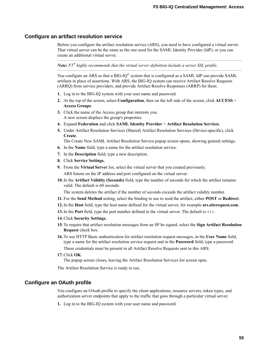#### **Configure an artifact resolution service**

Before you configure the artifact resolution service (ARS), you need to have configured a virtual server. That virtual server can be the same as the one used for the SAML Identity Provider (IdP), or you can create an additional virtual server.

*Note: F5® highly recommends that the virtual server definition include a server SSL profile.*

You configure an ARS so that a BIG-IQ $^{\circ}$  system that is configured as a SAML IdP can provide SAML artifacts in place of assertions. With ARS, the BIG-IQ system can receive Artifact Resolve Requests (ARRQ) from service providers, and provide Artifact Resolve Responses (ARRP) for them.

- **1.** Log in to the BIG-IQ system with your user name and password.
- **2.** At the top of the screen, select **Configuration**, then on the left side of the screen, click **ACCESS** > **Access Groups**.
- **3.** Click the name of the Access group that interests you. A new screen displays the group's properties.
- **4.** Expand **Federation** and click **SAML Identity Provider** > **Artifact Resolution Services**.
- **5.** Under Artifact Resolution Services (Shared) Artifact Resolution Services (Device-specific), click **Create**.

The Create New SAML Artifact Resolution Service popup screen opens, showing general settings.

- **6.** In the **Name** field, type a name for the artifact resolution service.
- **7.** In the **Description** field, type a new description.
- **8.** Click **Service Settings.**
- **9.** From the **Virtual Server** list, select the virtual server that you created previously.

ARS listens on the IP address and port configured on the virtual server.

**10.** In the **Artifact Validity (Seconds)** field, type the number of seconds for which the artifact remains valid. The default is 60 seconds.

The system deletes the artifact if the number of seconds exceeds the artifact validity number.

- **11.** For the **Send Method** setting, select the binding to use to send the artifact, either **POST** or **Redirect**.
- **12.** In the **Host** field, type the host name defined for the virtual server, for example **ars.siterequest.com**.
- **13.** In the **Port** field, type the port number defined in the virtual server. The default is 443.
- **14.** Click **Security Settings.**
- **15.** To require that artifact resolution messages from an SP be signed, select the **Sign Artifact Resolution Request** check box.
- **16.** To use HTTP Basic authentication for artifact resolution request messages, in the **User Name** field, type a name for the artifact resolution service request and in the **Password** field, type a password. These credentials must be present in all Artifact Resolve Requests sent to this ARS.
- **17.** Click **OK**.

The popup screen closes, leaving the Artifact Resolution Services list screen open.

The Artifact Resolution Service is ready to use.

#### **Configure an OAuth profile**

You configure an OAuth profile to specify the client applications, resource servers, token types, and authorization server endpoints that apply to the traffic that goes through a particular virtual server.

**1.** Log in to the BIG-IQ system with your user name and password.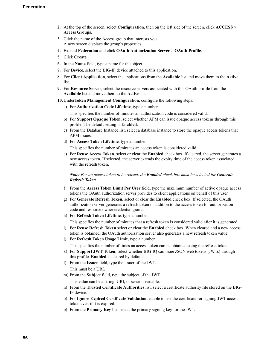- **2.** At the top of the screen, select **Configuration**, then on the left side of the screen, click **ACCESS** > **Access Groups**.
- **3.** Click the name of the Access group that interests you. A new screen displays the group's properties.
- **4.** Expand **Federation** and click **OAuth Authorization Server** > **OAuth Profile**.
- **5.** Click **Create**.
- **6.** In the **Name** field, type a name for the object.
- **7.** For **Device**, select the BIG-IP device attached to this application.
- **8.** For **Client Application**, select the applications from the **Available** list and move them to the **Active** list.
- **9.** For **Resource Server**, select the resource servers associated with this OAuth profile from the **Available** list and move them to the **Active** list.
- **10.** Under**Token Management Configuration**, configure the following steps:
	- a) For **Authorization Code Lifetime**, type a number.
		- This specifies the number of minutes an authorization code is considered valid.
	- b) For **Support Opaque Token**, select whether APM can issue opaque access tokens through this profile. The default setting is **Enabled**.
	- c) From the Database Instance list, select a database instance to store the opaque access tokens that APM issues.
	- d) For **Access Token Lifetime**, type a number.

This specifies the number of minutes an access token is considered valid.

e) For **Reuse Access Token**, select or clear the **Enabled** check box. If cleared, the server generates a new access token. If selected, the server extends the expiry time of the access token associated with the refresh token.

*Note: For an access token to be reused, the Enabled check box must be selected for Generate Refresh Token.*

- f) From the **Access Token Limit Per User** field, type the maximum number of active opaque access tokens the OAuth authorization server provides to client applications on behalf of this user.
- g) For **Generate Refresh Token**, select or clear the **Enabled** check box. If selected, the OAuth authorization server generates a refresh token in addition to the access token for authorization code and resource owner credential grants.
- h) For **Refresh Token Lifetime**, type a number.

This specifies the number of minutes that a refresh token is considered valid after it is generated.

- i) For **Reuse Refresh Token** select or clear the **Enabled** check box. When cleared and a new access token is obtained, the OAuth authorization server also generates a new refresh token value.
- j) For **Refresh Token Usage Limit**, type a number.

This specifies the number of times an access token can be obtained using the refresh token.

- k) For **Support JWT Token**, select whether BIG-IQ can issue JSON web tokens (JWTs) through this profile. **Enabled** is cleared by default.
- l) From the **Issuer** field, type the issuer of the JWT.

This must be a URI.

m) From the **Subject** field, type the subject of the JWT.

This value can be a string, URI, or session variable.

- n) From the **Trusted Certificate Authorities** list, select a certificate authority file stored on the BIG-IP device.
- o) For **Ignore Expired Certificate Validation,** enable to use the certificate for signing JWT access token even if it is expired.
- p) From the **Primary Key** list, select the primary signing key for the JWT.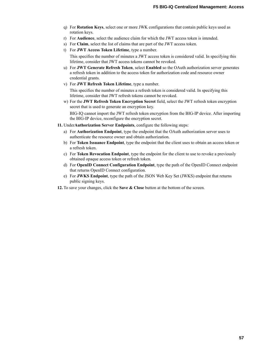- q) For **Rotation Keys**, select one or more JWK configurations that contain public keys used as rotation keys.
- r) For **Audience**, select the audience claim for which the JWT access token is intended.
- s) For **Claim**, select the list of claims that are part of the JWT access token.
- t) For **JWT Access Token Lifetime**, type a number.

This specifies the number of minutes a JWT access token is considered valid. In specifying this lifetime, consider that JWT access tokens cannot be revoked.

- u) For **JWT Generate Refresh Token**, select **Enabled** so the OAuth authorization server generates a refresh token in addition to the access token for authorization code and resource owner credential grants.
- v) For **JWT Refresh Token Lifetime**, type a number.

This specifies the number of minutes a refresh token is considered valid. In specifying this lifetime, consider that JWT refresh tokens cannot be revoked.

w) For the **JWT Refresh Token Encryption Secret** field, select the JWT refresh token encryption secret that is used to generate an encryption key.

BIG-IQ cannot import the JWT refresh token encryption from the BIG-IP device. After importing the BIG-IP device, reconfigure the encryption secret.

- **11.** Under**Authorization Server Endpoints**, configure the following steps:
	- a) For **Authorization Endpoint**, type the endpoint that the OAuth authorization server uses to authenticate the resource owner and obtain authorization.
	- b) For **Token Issuance Endpoint**, type the endpoint that the client uses to obtain an access token or a refresh token.
	- c) For **Token Revocation Endpoint**, type the endpoint for the client to use to revoke a previously obtained opaque access token or refresh token.
	- d) For **OpenID Connect Configuration Endpoint**, type the path of the OpenID Connect endpoint that returns OpenID Connect configuration.
	- e) For **JWKS Endpoint**, type the path of the JSON Web Key Set (JWKS) endpoint that returns public signing keys.
- **12.** To save your changes, click the **Save & Close** button at the bottom of the screen.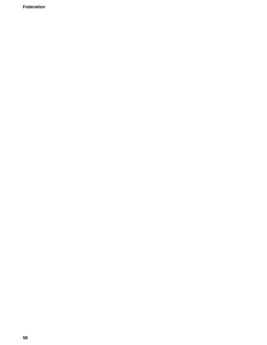**Federation**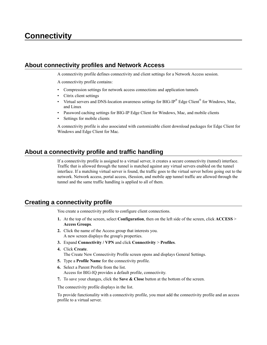# **Connectivity**

## **About connectivity profiles and Network Access**

A connectivity profile defines connectivity and client settings for a Network Access session.

A connectivity profile contains:

- Compression settings for network access connections and application tunnels
- Citrix client settings
- Virtual servers and DNS-location awareness settings for BIG-IP® Edge Client® for Windows, Mac, and Linux
- Password caching settings for BIG-IP Edge Client for Windows, Mac, and mobile clients
- Settings for mobile clients

A connectivity profile is also associated with customizable client download packages for Edge Client for Windows and Edge Client for Mac.

## **About a connectivity profile and traffic handling**

If a connectivity profile is assigned to a virtual server, it creates a secure connectivity (tunnel) interface. Traffic that is allowed through the tunnel is matched against any virtual servers enabled on the tunnel interface. If a matching virtual server is found, the traffic goes to the virtual server before going out to the network. Network access, portal access, iSession, and mobile app tunnel traffic are allowed through the tunnel and the same traffic handling is applied to all of them.

### **Creating a connectivity profile**

You create a connectivity profile to configure client connections.

- **1.** At the top of the screen, select **Configuration**, then on the left side of the screen, click **ACCESS** > **Access Groups**.
- **2.** Click the name of the Access group that interests you. A new screen displays the group's properties.
- **3.** Expand **Connectivity / VPN** and click **Connectivity** > **Profiles**.
- **4.** Click **Create**. The Create New Connectivity Profile screen opens and displays General Settings.
- **5.** Type a **Profile Name** for the connectivity profile.
- **6.** Select a Parent Profile from the list. Access for BIG-IQ provides a default profile, connectivity.
- **7.** To save your changes, click the **Save & Close** button at the bottom of the screen.

The connectivity profile displays in the list.

To provide functionality with a connectivity profile, you must add the connectivity profile and an access profile to a virtual server.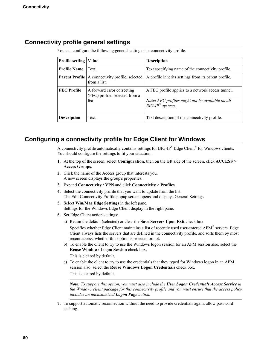## **Connectivity profile general settings**

| <b>Profile setting</b> | Value                                                                     | <b>Description</b>                                                                                                                              |
|------------------------|---------------------------------------------------------------------------|-------------------------------------------------------------------------------------------------------------------------------------------------|
| <b>Profile Name</b>    | Text.                                                                     | Text specifying name of the connectivity profile.                                                                                               |
|                        | <b>Parent Profile</b>   A connectivity profile, selected  <br>from a list | A profile inherits settings from its parent profile.                                                                                            |
| <b>FEC</b> Profile     | A forward error correcting<br>(FEC) profile, selected from a<br>list.     | A FEC profile applies to a network access tunnel.<br><b>Note:</b> FEC profiles might not be available on all<br>$BIG$ -IP <sup>®</sup> systems. |
| <b>Description</b>     | Text.                                                                     | Text description of the connectivity profile.                                                                                                   |

You can configure the following general settings in a connectivity profile.

## **Configuring a connectivity profile for Edge Client for Windows**

A connectivity profile automatically contains settings for BIG-IP<sup>®</sup> Edge Client<sup>®</sup> for Windows clients. You should configure the settings to fit your situation.

- **1.** At the top of the screen, select **Configuration**, then on the left side of the screen, click **ACCESS** > **Access Groups**.
- **2.** Click the name of the Access group that interests you. A new screen displays the group's properties.
- **3.** Expand **Connectivity / VPN** and click **Connectivity** > **Profiles**.
- **4.** Select the connectivity profile that you want to update from the list. The Edit Connectivity Profile popup screen opens and displays General Settings.
- **5.** Select **Win/Mac Edge Settings** in the left pane. Settings for the Windows Edge Client display in the right pane.
- **6.** Set Edge Client action settings:
	- a) Retain the default (selected) or clear the **Save Servers Upon Exit** check box.

Specifies whether Edge Client maintains a list of recently used user-entered APM® servers. Edge Client always lists the servers that are defined in the connectivity profile, and sorts them by most recent access, whether this option is selected or not.

b) To enable the client to try to use the Windows logon session for an APM session also, select the **Reuse Windows Logon Session** check box.

This is cleared by default.

c) To enable the client to try to use the credentials that they typed for Windows logon in an APM session also, select the **Reuse Windows Logon Credentials** check box.

This is cleared by default.

*Note: To support this option, you must also include the User Logon Credentials Access Service in the Windows client package for this connectivity profile and you must ensure that the access policy includes an uncustomized Logon Page action.*

**7.** To support automatic reconnection without the need to provide credentials again, allow password caching.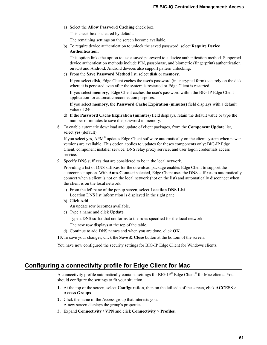a) Select the **Allow Password Caching** check box.

This check box is cleared by default.

The remaining settings on the screen become available.

b) To require device authentication to unlock the saved password, select **Require Device Authentication.**

This option links the option to use a saved password to a device authentication method. Supported device authentication methods include PIN, passphrase, and biometric (fingerprint) authentication on iOS and Android. Android devices also support pattern unlocking.

c) From the **Save Password Method** list, select **disk** or **memory**.

If you select **disk**, Edge Client caches the user's password (in encrypted form) securely on the disk where it is persisted even after the system is restarted or Edge Client is restarted.

If you select **memory**, Edge Client caches the user's password within the BIG-IP Edge Client application for automatic reconnection purposes.

If you select **memory**, the **Password Cache Expiration (minutes)** field displays with a default value of 240.

- d) If the **Password Cache Expiration (minutes)** field displays, retain the default value or type the number of minutes to save the password in memory.
- **8.** To enable automatic download and update of client packages, from the **Component Update** list, select **yes** (default).

If you select **yes**, APM® updates Edge Client software automatically on the client system when newer versions are available. This option applies to updates for theses components only: BIG-IP Edge Client, component installer service, DNS relay proxy service, and user logon credentials access service.

**9.** Specify DNS suffixes that are considered to be in the local network.

Providing a list of DNS suffixes for the download package enables Edge Client to support the autoconnect option. With **Auto-Connect** selected, Edge Client uses the DNS suffixes to automatically connect when a client is not on the local network (not on the list) and automatically disconnect when the client is on the local network.

- a) From the left pane of the popup screen, select **Location DNS List**. Location DNS list information is displayed in the right pane.
- b) Click **Add**.

An update row becomes available.

c) Type a name and click **Update**.

Type a DNS suffix that conforms to the rules specified for the local network.

The new row displays at the top of the table.

d) Continue to add DNS names and when you are done, click **OK**.

**10.** To save your changes, click the **Save & Close** button at the bottom of the screen.

You have now configured the security settings for BIG-IP Edge Client for Windows clients.

## **Configuring a connectivity profile for Edge Client for Mac**

A connectivity profile automatically contains settings for BIG-IP<sup>®</sup> Edge Client<sup>®</sup> for Mac clients. You should configure the settings to fit your situation.

- **1.** At the top of the screen, select **Configuration**, then on the left side of the screen, click **ACCESS** > **Access Groups**.
- **2.** Click the name of the Access group that interests you. A new screen displays the group's properties.
- **3.** Expand **Connectivity / VPN** and click **Connectivity** > **Profiles**.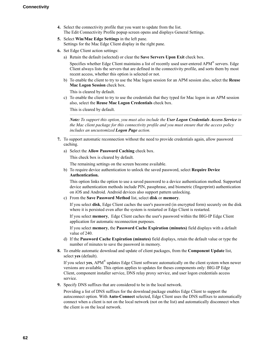- **4.** Select the connectivity profile that you want to update from the list. The Edit Connectivity Profile popup screen opens and displays General Settings.
- **5.** Select **Win/Mac Edge Settings** in the left pane. Settings for the Mac Edge Client display in the right pane.
- **6.** Set Edge Client action settings:
	- a) Retain the default (selected) or clear the **Save Servers Upon Exit** check box.

Specifies whether Edge Client maintains a list of recently used user-entered APM® servers. Edge Client always lists the servers that are defined in the connectivity profile, and sorts them by most recent access, whether this option is selected or not.

b) To enable the client to try to use the Mac logon session for an APM session also, select the **Reuse Mac Logon Session** check box.

This is cleared by default.

c) To enable the client to try to use the credentials that they typed for Mac logon in an APM session also, select the **Reuse Mac Logon Credentials** check box.

This is cleared by default.

*Note: To support this option, you must also include the User Logon Credentials Access Service in the Mac client package for this connectivity profile and you must ensure that the access policy includes an uncustomized Logon Page action.*

- **7.** To support automatic reconnection without the need to provide credentials again, allow password caching.
	- a) Select the **Allow Password Caching** check box.

This check box is cleared by default.

The remaining settings on the screen become available.

b) To require device authentication to unlock the saved password, select **Require Device Authentication.**

This option links the option to use a saved password to a device authentication method. Supported device authentication methods include PIN, passphrase, and biometric (fingerprint) authentication on iOS and Android. Android devices also support pattern unlocking.

c) From the **Save Password Method** list, select **disk** or **memory**.

If you select **disk**, Edge Client caches the user's password (in encrypted form) securely on the disk where it is persisted even after the system is restarted or Edge Client is restarted.

If you select **memory**, Edge Client caches the user's password within the BIG-IP Edge Client application for automatic reconnection purposes.

If you select **memory**, the **Password Cache Expiration (minutes)** field displays with a default value of 240.

- d) If the **Password Cache Expiration (minutes)** field displays, retain the default value or type the number of minutes to save the password in memory.
- **8.** To enable automatic download and update of client packages, from the **Component Update** list, select **yes** (default).

If you select **yes**, APM® updates Edge Client software automatically on the client system when newer versions are available. This option applies to updates for theses components only: BIG-IP Edge Client, component installer service, DNS relay proxy service, and user logon credentials access service.

**9.** Specify DNS suffixes that are considered to be in the local network.

Providing a list of DNS suffixes for the download package enables Edge Client to support the autoconnect option. With **Auto-Connect** selected, Edge Client uses the DNS suffixes to automatically connect when a client is not on the local network (not on the list) and automatically disconnect when the client is on the local network.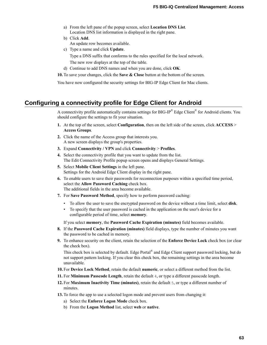- a) From the left pane of the popup screen, select **Location DNS List**. Location DNS list information is displayed in the right pane.
- b) Click **Add**. An update row becomes available.
- c) Type a name and click **Update**.

Type a DNS suffix that conforms to the rules specified for the local network.

The new row displays at the top of the table.

d) Continue to add DNS names and when you are done, click **OK**.

**10.** To save your changes, click the **Save & Close** button at the bottom of the screen.

You have now configured the security settings for BIG-IP Edge Client for Mac clients.

## **Configuring a connectivity profile for Edge Client for Android**

A connectivity profile automatically contains settings for BIG-IP® Edge Client® for Android clients. You should configure the settings to fit your situation.

- **1.** At the top of the screen, select **Configuration**, then on the left side of the screen, click **ACCESS** > **Access Groups**.
- **2.** Click the name of the Access group that interests you. A new screen displays the group's properties.
- **3.** Expand **Connectivity / VPN** and click **Connectivity** > **Profiles**.
- **4.** Select the connectivity profile that you want to update from the list. The Edit Connectivity Profile popup screen opens and displays General Settings.
- **5.** Select **Mobile Client Settings** in the left pane. Settings for the Android Edge Client display in the right pane.
- **6.** To enable users to save their passwords for reconnection purposes within a specified time period, select the **Allow Password Caching** check box. The additional fields in the area become available.
- **7.** For **Save Password Method**, specify how to perform password caching:
	- To allow the user to save the encrypted password on the device without a time limit, select **disk**.
	- To specify that the user password is cached in the application on the user's device for a configurable period of time, select **memory**.

If you select **memory**, the **Password Cache Expiration (minutes)** field becomes available.

- **8.** If the **Password Cache Expiration (minutes)** field displays, type the number of minutes you want the password to be cached in memory.
- **9.** To enhance security on the client, retain the selection of the **Enforce Device Lock** check box (or clear the check box).

This check box is selected by default. Edge Portal® and Edge Client support password locking, but do not support pattern locking. If you clear this check box, the remaining settings in the area become unavailable.

- **10.**For **Device Lock Method**, retain the default **numeric**, or select a different method from the list.
- **11.** For **Minimum Passcode Length**, retain the default 4, or type a different passcode length.
- **12.**For **Maximum Inactivity Time (minutes)**, retain the default 5, or type a different number of minutes.
- **13.** To force the app to use a selected logon mode and prevent users from changing it:
	- a) Select the **Enforce Logon Mode** check box.
	- b) From the **Logon Method** list, select **web** or **native**.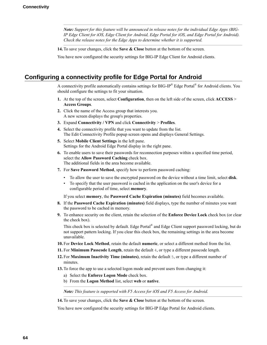*Note: Support for this feature will be announced in release notes for the individual Edge Apps (BIG-IP Edge Client for iOS, Edge Client for Android, Edge Portal for iOS, and Edge Portal for Android). Check the release notes for the Edge Apps to determine whether it is supported.*

**14.** To save your changes, click the **Save & Close** button at the bottom of the screen.

You have now configured the security settings for BIG-IP Edge Client for Android clients.

### **Configuring a connectivity profile for Edge Portal for Android**

A connectivity profile automatically contains settings for BIG-IP® Edge Portal® for Android clients. You should configure the settings to fit your situation.

- **1.** At the top of the screen, select **Configuration**, then on the left side of the screen, click **ACCESS** > **Access Groups**.
- **2.** Click the name of the Access group that interests you. A new screen displays the group's properties.
- **3.** Expand **Connectivity / VPN** and click **Connectivity** > **Profiles**.
- **4.** Select the connectivity profile that you want to update from the list. The Edit Connectivity Profile popup screen opens and displays General Settings.
- **5.** Select **Mobile Client Settings** in the left pane. Settings for the Android Edge Portal display in the right pane.
- **6.** To enable users to save their passwords for reconnection purposes within a specified time period, select the **Allow Password Caching** check box. The additional fields in the area become available.
- **7.** For **Save Password Method**, specify how to perform password caching:
	- To allow the user to save the encrypted password on the device without a time limit, select **disk**.
	- To specify that the user password is cached in the application on the user's device for a configurable period of time, select **memory**.

If you select **memory**, the **Password Cache Expiration (minutes)** field becomes available.

- **8.** If the **Password Cache Expiration (minutes)** field displays, type the number of minutes you want the password to be cached in memory.
- **9.** To enhance security on the client, retain the selection of the **Enforce Device Lock** check box (or clear the check box).

This check box is selected by default. Edge Portal® and Edge Client support password locking, but do not support pattern locking. If you clear this check box, the remaining settings in the area become unavailable.

- **10.**For **Device Lock Method**, retain the default **numeric**, or select a different method from the list.
- **11.** For **Minimum Passcode Length**, retain the default 4, or type a different passcode length.
- **12.**For **Maximum Inactivity Time (minutes)**, retain the default 5, or type a different number of minutes.
- **13.** To force the app to use a selected logon mode and prevent users from changing it:
	- a) Select the **Enforce Logon Mode** check box.
	- b) From the **Logon Method** list, select **web** or **native**.

*Note: This feature is supported with F5 Access for iOS and F5 Access for Android.*

**14.** To save your changes, click the **Save & Close** button at the bottom of the screen.

You have now configured the security settings for BIG-IP Edge Portal for Android clients.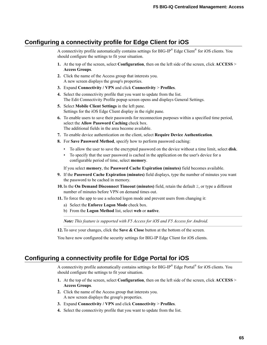## **Configuring a connectivity profile for Edge Client for iOS**

A connectivity profile automatically contains settings for BIG-IP® Edge Client® for iOS clients. You should configure the settings to fit your situation.

- **1.** At the top of the screen, select **Configuration**, then on the left side of the screen, click **ACCESS** > **Access Groups**.
- **2.** Click the name of the Access group that interests you. A new screen displays the group's properties.
- **3.** Expand **Connectivity / VPN** and click **Connectivity** > **Profiles**.
- **4.** Select the connectivity profile that you want to update from the list. The Edit Connectivity Profile popup screen opens and displays General Settings.
- **5.** Select **Mobile Client Settings** in the left pane. Settings for the iOS Edge Client display in the right pane.
- **6.** To enable users to save their passwords for reconnection purposes within a specified time period, select the **Allow Password Caching** check box. The additional fields in the area become available.
- **7.** To enable device authentication on the client, select **Require Device Authentication**.
- **8.** For **Save Password Method**, specify how to perform password caching:
	- To allow the user to save the encrypted password on the device without a time limit, select **disk**.
	- To specify that the user password is cached in the application on the user's device for a configurable period of time, select **memory**.

If you select **memory**, the **Password Cache Expiration (minutes)** field becomes available.

- **9.** If the **Password Cache Expiration (minutes)** field displays, type the number of minutes you want the password to be cached in memory.
- **10.** In the **On Demand Disconnect Timeout (minutes)** field, retain the default 2, or type a different number of minutes before VPN on demand times out.
- **11.** To force the app to use a selected logon mode and prevent users from changing it:
	- a) Select the **Enforce Logon Mode** check box.
	- b) From the **Logon Method** list, select **web** or **native**.

*Note: This feature is supported with F5 Access for iOS and F5 Access for Android.*

**12.** To save your changes, click the **Save & Close** button at the bottom of the screen.

You have now configured the security settings for BIG-IP Edge Client for iOS clients.

### **Configuring a connectivity profile for Edge Portal for iOS**

A connectivity profile automatically contains settings for BIG-IP® Edge Portal® for iOS clients. You should configure the settings to fit your situation.

- **1.** At the top of the screen, select **Configuration**, then on the left side of the screen, click **ACCESS** > **Access Groups**.
- **2.** Click the name of the Access group that interests you. A new screen displays the group's properties.
- **3.** Expand **Connectivity / VPN** and click **Connectivity** > **Profiles**.
- **4.** Select the connectivity profile that you want to update from the list.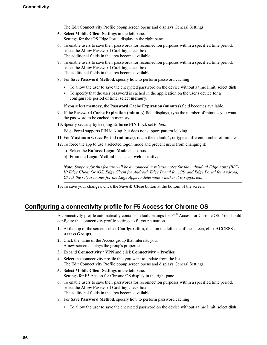The Edit Connectivity Profile popup screen opens and displays General Settings.

- **5.** Select **Mobile Client Settings** in the left pane. Settings for the iOS Edge Portal display in the right pane.
- **6.** To enable users to save their passwords for reconnection purposes within a specified time period, select the **Allow Password Caching** check box. The additional fields in the area become available.
- **7.** To enable users to save their passwords for reconnection purposes within a specified time period, select the **Allow Password Caching** check box. The additional fields in the area become available.
- **8.** For **Save Password Method**, specify how to perform password caching:
	- To allow the user to save the encrypted password on the device without a time limit, select **disk**.
	- To specify that the user password is cached in the application on the user's device for a configurable period of time, select **memory**.

If you select **memory**, the **Password Cache Expiration (minutes)** field becomes available.

- **9.** If the **Password Cache Expiration (minutes)** field displays, type the number of minutes you want the password to be cached in memory.
- **10.**Specify security by keeping **Enforce PIN Lock** set to **Yes**.

Edge Portal supports PIN locking, but does not support pattern locking.

- **11.** For **Maximum Grace Period (minutes)**, retain the default 2, or type a different number of minutes.
- **12.** To force the app to use a selected logon mode and prevent users from changing it:
	- a) Select the **Enforce Logon Mode** check box.
	- b) From the **Logon Method** list, select **web** or **native**.

*Note: Support for this feature will be announced in release notes for the individual Edge Apps (BIG-IP Edge Client for iOS, Edge Client for Android, Edge Portal for iOS, and Edge Portal for Android). Check the release notes for the Edge Apps to determine whether it is supported.*

**13.** To save your changes, click the **Save & Close** button at the bottom of the screen.

### **Configuring a connectivity profile for F5 Access for Chrome OS**

A connectivity profile automatically contains default settings for F5<sup>®</sup> Access for Chrome OS. You should configure the connectivity profile settings to fit your situation.

- **1.** At the top of the screen, select **Configuration**, then on the left side of the screen, click **ACCESS** > **Access Groups**.
- **2.** Click the name of the Access group that interests you. A new screen displays the group's properties.
- **3.** Expand **Connectivity / VPN** and click **Connectivity** > **Profiles**.
- **4.** Select the connectivity profile that you want to update from the list. The Edit Connectivity Profile popup screen opens and displays General Settings.
- **5.** Select **Mobile Client Settings** in the left pane. Settings for F5 Access for Chrome OS display in the right pane.
- **6.** To enable users to save their passwords for reconnection purposes within a specified time period, select the **Allow Password Caching** check box. The additional fields in the area become available.
- **7.** For **Save Password Method**, specify how to perform password caching:
	- To allow the user to save the encrypted password on the device without a time limit, select **disk**.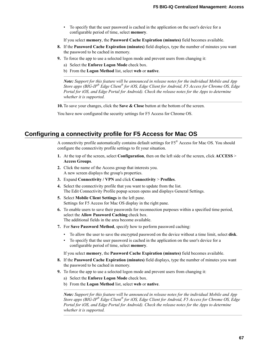• To specify that the user password is cached in the application on the user's device for a configurable period of time, select **memory**.

If you select **memory**, the **Password Cache Expiration (minutes)** field becomes available.

- **8.** If the **Password Cache Expiration (minutes)** field displays, type the number of minutes you want the password to be cached in memory.
- **9.** To force the app to use a selected logon mode and prevent users from changing it:
	- a) Select the **Enforce Logon Mode** check box.
	- b) From the **Logon Method** list, select **web** or **native**.

*Note: Support for this feature will be announced in release notes for the individual Mobile and App Store apps (BIG-IP® Edge Client® for iOS, Edge Client for Android, F5 Access for Chrome OS, Edge Portal for iOS, and Edge Portal for Android). Check the release notes for the Apps to determine whether it is supported.*

**10.** To save your changes, click the **Save & Close** button at the bottom of the screen.

You have now configured the security settings for F5 Access for Chrome OS.

## **Configuring a connectivity profile for F5 Access for Mac OS**

A connectivity profile automatically contains default settings for F5® Access for Mac OS. You should configure the connectivity profile settings to fit your situation.

- **1.** At the top of the screen, select **Configuration**, then on the left side of the screen, click **ACCESS** > **Access Groups**.
- **2.** Click the name of the Access group that interests you. A new screen displays the group's properties.
- **3.** Expand **Connectivity / VPN** and click **Connectivity** > **Profiles**.
- **4.** Select the connectivity profile that you want to update from the list. The Edit Connectivity Profile popup screen opens and displays General Settings.
- **5.** Select **Mobile Client Settings** in the left pane. Settings for F5 Access for Mac OS display in the right pane.
- **6.** To enable users to save their passwords for reconnection purposes within a specified time period, select the **Allow Password Caching** check box. The additional fields in the area become available.
- **7.** For **Save Password Method**, specify how to perform password caching:
	- To allow the user to save the encrypted password on the device without a time limit, select **disk**.
	- To specify that the user password is cached in the application on the user's device for a configurable period of time, select **memory**.

If you select **memory**, the **Password Cache Expiration (minutes)** field becomes available.

- **8.** If the **Password Cache Expiration (minutes)** field displays, type the number of minutes you want the password to be cached in memory.
- **9.** To force the app to use a selected logon mode and prevent users from changing it:
	- a) Select the **Enforce Logon Mode** check box.
	- b) From the **Logon Method** list, select **web** or **native**.

*Note: Support for this feature will be announced in release notes for the individual Mobile and App Store apps (BIG-IP® Edge Client® for iOS, Edge Client for Android, F5 Access for Chrome OS, Edge Portal for iOS, and Edge Portal for Android). Check the release notes for the Apps to determine whether it is supported.*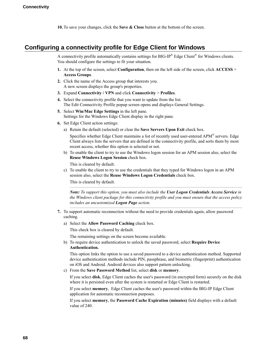**10.** To save your changes, click the **Save & Close** button at the bottom of the screen.

## **Configuring a connectivity profile for Edge Client for Windows**

A connectivity profile automatically contains settings for BIG-IP® Edge Client® for Windows clients. You should configure the settings to fit your situation.

- **1.** At the top of the screen, select **Configuration**, then on the left side of the screen, click **ACCESS** > **Access Groups**.
- **2.** Click the name of the Access group that interests you. A new screen displays the group's properties.
- **3.** Expand **Connectivity / VPN** and click **Connectivity** > **Profiles**.
- **4.** Select the connectivity profile that you want to update from the list. The Edit Connectivity Profile popup screen opens and displays General Settings.
- **5.** Select **Win/Mac Edge Settings** in the left pane. Settings for the Windows Edge Client display in the right pane.
- **6.** Set Edge Client action settings:
	- a) Retain the default (selected) or clear the **Save Servers Upon Exit** check box.

Specifies whether Edge Client maintains a list of recently used user-entered APM® servers. Edge Client always lists the servers that are defined in the connectivity profile, and sorts them by most recent access, whether this option is selected or not.

b) To enable the client to try to use the Windows logon session for an APM session also, select the **Reuse Windows Logon Session** check box.

This is cleared by default.

c) To enable the client to try to use the credentials that they typed for Windows logon in an APM session also, select the **Reuse Windows Logon Credentials** check box.

This is cleared by default.

*Note: To support this option, you must also include the User Logon Credentials Access Service in the Windows client package for this connectivity profile and you must ensure that the access policy includes an uncustomized Logon Page action.*

- **7.** To support automatic reconnection without the need to provide credentials again, allow password caching.
	- a) Select the **Allow Password Caching** check box.

This check box is cleared by default.

The remaining settings on the screen become available.

b) To require device authentication to unlock the saved password, select **Require Device Authentication.**

This option links the option to use a saved password to a device authentication method. Supported device authentication methods include PIN, passphrase, and biometric (fingerprint) authentication on iOS and Android. Android devices also support pattern unlocking.

c) From the **Save Password Method** list, select **disk** or **memory**.

If you select **disk**, Edge Client caches the user's password (in encrypted form) securely on the disk where it is persisted even after the system is restarted or Edge Client is restarted.

If you select **memory**, Edge Client caches the user's password within the BIG-IP Edge Client application for automatic reconnection purposes.

If you select **memory**, the **Password Cache Expiration (minutes)** field displays with a default value of 240.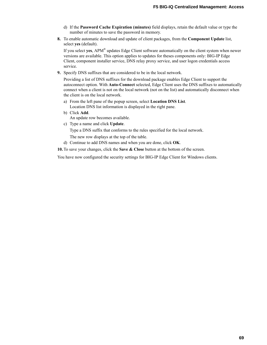- d) If the **Password Cache Expiration (minutes)** field displays, retain the default value or type the number of minutes to save the password in memory.
- **8.** To enable automatic download and update of client packages, from the **Component Update** list, select **yes** (default).

If you select **yes**, APM® updates Edge Client software automatically on the client system when newer versions are available. This option applies to updates for theses components only: BIG-IP Edge Client, component installer service, DNS relay proxy service, and user logon credentials access service.

**9.** Specify DNS suffixes that are considered to be in the local network.

Providing a list of DNS suffixes for the download package enables Edge Client to support the autoconnect option. With **Auto-Connect** selected, Edge Client uses the DNS suffixes to automatically connect when a client is not on the local network (not on the list) and automatically disconnect when the client is on the local network.

- a) From the left pane of the popup screen, select **Location DNS List**. Location DNS list information is displayed in the right pane.
- b) Click **Add**.

An update row becomes available.

c) Type a name and click **Update**.

Type a DNS suffix that conforms to the rules specified for the local network.

The new row displays at the top of the table.

d) Continue to add DNS names and when you are done, click **OK**.

**10.** To save your changes, click the **Save & Close** button at the bottom of the screen.

You have now configured the security settings for BIG-IP Edge Client for Windows clients.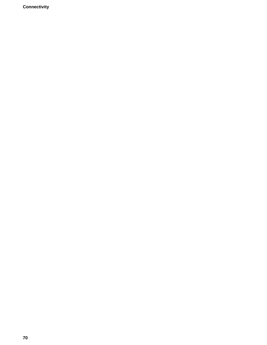**Connectivity**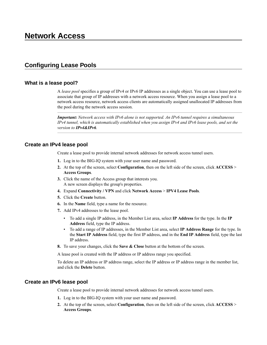## **Configuring Lease Pools**

#### **What is a lease pool?**

A *lease pool* specifies a group of IPv4 or IPv6 IP addresses as a single object. You can use a lease pool to associate that group of IP addresses with a network access resource. When you assign a lease pool to a network access resource, network access clients are automatically assigned unallocated IP addresses from the pool during the network access session.

*Important: Network access with IPv6 alone is not supported. An IPv6 tunnel requires a simultaneous IPv4 tunnel, which is automatically established when you assign IPv4 and IPv6 lease pools, and set the version to IPv4&IPv6.*

#### **Create an IPv4 lease pool**

Create a lease pool to provide internal network addresses for network access tunnel users.

- **1.** Log in to the BIG-IQ system with your user name and password.
- **2.** At the top of the screen, select **Configuration**, then on the left side of the screen, click **ACCESS** > **Access Groups**.
- **3.** Click the name of the Access group that interests you. A new screen displays the group's properties.
- **4.** Expand **Connectivity / VPN** and click **Network Access** > **IPV4 Lease Pools**.
- **5.** Click the **Create** button.
- **6.** In the **Name** field, type a name for the resource.
- **7.** Add IPv4 addresses to the lease pool.
	- To add a single IP address, in the Member List area, select **IP Address** for the type. In the **IP Address** field, type the IP address.
	- To add a range of IP addresses, in the Member List area, select **IP Address Range** for the type. In the **Start IP Address** field, type the first IP address, and in the **End IP Address** field, type the last IP address.
- **8.** To save your changes, click the **Save & Close** button at the bottom of the screen.

A lease pool is created with the IP address or IP address range you specified.

To delete an IP address or IP address range, select the IP address or IP address range in the member list, and click the **Delete** button.

#### **Create an IPv6 lease pool**

Create a lease pool to provide internal network addresses for network access tunnel users.

- **1.** Log in to the BIG-IQ system with your user name and password.
- **2.** At the top of the screen, select **Configuration**, then on the left side of the screen, click **ACCESS** > **Access Groups**.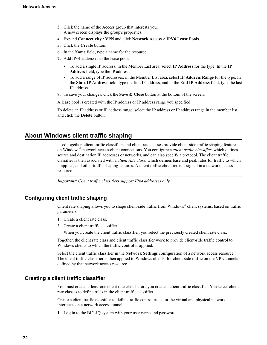- **3.** Click the name of the Access group that interests you. A new screen displays the group's properties.
- **4.** Expand **Connectivity / VPN** and click **Network Access** > **IPV6 Lease Pools**.
- **5.** Click the **Create** button.
- **6.** In the **Name** field, type a name for the resource.
- **7.** Add IPv4 addresses to the lease pool.
	- To add a single IP address, in the Member List area, select **IP Address** for the type. In the **IP Address** field, type the IP address.
	- To add a range of IP addresses, in the Member List area, select **IP Address Range** for the type. In the **Start IP Address** field, type the first IP address, and in the **End IP Address** field, type the last IP address.
- **8.** To save your changes, click the **Save & Close** button at the bottom of the screen.

A lease pool is created with the IP address or IP address range you specified.

To delete an IP address or IP address range, select the IP address or IP address range in the member list, and click the **Delete** button.

### **About Windows client traffic shaping**

Used together, client traffic classifiers and client rate classes provide client-side traffic shaping features on Windows® network access client connections. You configure a *client traffic classifier*, which defines source and destination IP addresses or networks, and can also specify a protocol. The client traffic classifier is then associated with a *client rate class*, which defines base and peak rates for traffic to which it applies, and other traffic shaping features. A client traffic classifier is assigned in a network access resource.

*Important: Client traffic classifiers support IPv4 addresses only.*

#### **Configuring client traffic shaping**

Client rate shaping allows you to shape client-side traffic from Windows® client systems, based on traffic parameters.

- **1.** Create a client rate class.
- **2.** Create a client traffic classifier.

When you create the client traffic classifier, you select the previously created client rate class.

Together, the client rate class and client traffic classifier work to provide client-side traffic control to Windows clients to which the traffic control is applied.

Select the client traffic classifier in the **Network Settings** configuration of a network access resource. The client traffic classifier is then applied to Windows clients, for client-side traffic on the VPN tunnels defined by that network access resource.

#### **Creating a client traffic classifier**

You must create at least one client rate class before you create a client traffic classifier. You select client rate classes to define rules in the client traffic classifier.

Create a client traffic classifier to define traffic control rules for the virtual and physical network interfaces on a network access tunnel.

**1.** Log in to the BIG-IQ system with your user name and password.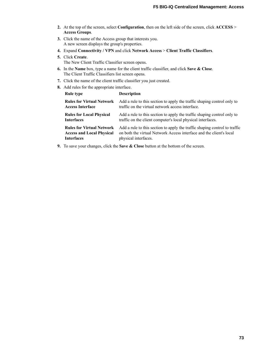- **2.** At the top of the screen, select **Configuration**, then on the left side of the screen, click **ACCESS** > **Access Groups**.
- **3.** Click the name of the Access group that interests you. A new screen displays the group's properties.
- **4.** Expand **Connectivity / VPN** and click **Network Access** > **Client Traffic Classifiers**.
- **5.** Click **Create**. The New Client Traffic Classifier screen opens.
- **6.** In the **Name** box, type a name for the client traffic classifier, and click **Save & Close**. The Client Traffic Classifiers list screen opens.
- **7.** Click the name of the client traffic classifier you just created.
- **8.** Add rules for the appropriate interface.

| <b>Rule type</b>                                                                 | <b>Description</b>                                                         |
|----------------------------------------------------------------------------------|----------------------------------------------------------------------------|
| <b>Rules for Virtual Network</b>                                                 | Add a rule to this section to apply the traffic shaping control only to    |
| <b>Access Interface</b>                                                          | traffic on the virtual network access interface.                           |
| <b>Rules for Local Physical</b>                                                  | Add a rule to this section to apply the traffic shaping control only to    |
| <b>Interfaces</b>                                                                | traffic on the client computer's local physical interfaces.                |
| <b>Rules for Virtual Network</b>                                                 | Add a rule to this section to apply the traffic shaping control to traffic |
| <b>Access and Local Physical</b>                                                 | on both the virtual Network Access interface and the client's local        |
| <b>Interfaces</b>                                                                | physical interfaces.                                                       |
| To save your abanges, glight the Rays & Class button at the bottom of the sergen |                                                                            |

**9.** To save your changes, click the **Save & Close** button at the bottom of the screen.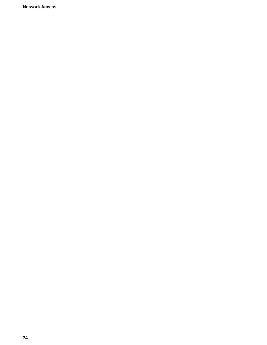**Network Access**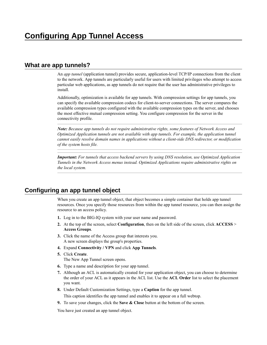### **What are app tunnels?**

An *app tunnel* (application tunnel) provides secure, application-level TCP/IP connections from the client to the network. App tunnels are particularly useful for users with limited privileges who attempt to access particular web applications, as app tunnels do not require that the user has administrative privileges to install.

Additionally, optimization is available for app tunnels. With compression settings for app tunnels, you can specify the available compression codecs for client-to-server connections. The server compares the available compression types configured with the available compression types on the server, and chooses the most effective mutual compression setting. You configure compression for the server in the connectivity profile.

*Note: Because app tunnels do not require administrative rights, some features of Network Access and Optimized Application tunnels are not available with app tunnels. For example, the application tunnel cannot easily resolve domain names in applications without a client-side DNS redirector, or modification of the system hosts file.*

*Important: For tunnels that access backend servers by using DNS resolution, use Optimized Application Tunnels in the Network Access menus instead. Optimized Applications require administrative rights on the local system.*

### **Configuring an app tunnel object**

When you create an app tunnel object, that object becomes a simple container that holds app tunnel resources. Once you specify those resources from within the app tunnel resource, you can then assign the resource to an access policy.

- **1.** Log in to the BIG-IQ system with your user name and password.
- **2.** At the top of the screen, select **Configuration**, then on the left side of the screen, click **ACCESS** > **Access Groups**.
- **3.** Click the name of the Access group that interests you. A new screen displays the group's properties.
- **4.** Expand **Connectivity / VPN** and click **App Tunnels**.
- **5.** Click **Create**. The New App Tunnel screen opens.
- **6.** Type a name and description for your app tunnel.
- **7.** Although an ACL is automatically created for your application object, you can choose to determine the order of your ACL as it appears in the ACL list. Use the **ACL Order** list to select the placement you want.
- **8.** Under Default Customization Settings, type a **Caption** for the app tunnel.

This caption identifies the app tunnel and enables it to appear on a full webtop.

**9.** To save your changes, click the **Save & Close** button at the bottom of the screen.

You have just created an app tunnel object.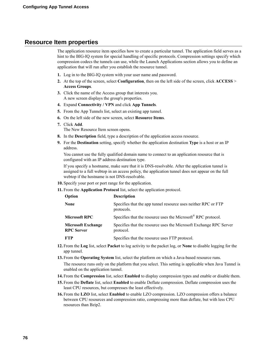#### **Resource Item properties**

The application resource item specifies how to create a particular tunnel. The application field serves as a hint to the BIG-IQ system for special handling of specific protocols. Compression settings specify which compression codecs the tunnels can use, while the Launch Applications section allows you to define an application that will run after you establish the resource tunnel.

- **1.** Log in to the BIG-IQ system with your user name and password.
- **2.** At the top of the screen, select **Configuration**, then on the left side of the screen, click **ACCESS** > **Access Groups**.
- **3.** Click the name of the Access group that interests you. A new screen displays the group's properties.
- **4.** Expand **Connectivity / VPN** and click **App Tunnels**.
- **5.** From the App Tunnels list, select an existing app tunnel.
- **6.** On the left side of the new screen, select **Resource Items**.
- **7.** Click **Add**.

The New Resource Item screen opens.

- **8.** In the **Description** field, type a description of the application access resource.
- **9.** For the **Destination** setting, specify whether the application destination **Type** is a host or an IP address.

You cannot use the fully qualified domain name to connect to an application resource that is configured with an IP address destination type.

If you specify a hostname, make sure that it is DNS-resolvable. After the application tunnel is assigned to a full webtop in an access policy, the application tunnel does not appear on the full webtop if the hostname is not DNS-resolvable.

- **10.**Specify your port or port range for the application.
- **11.** From the **Application Protocol** list, select the application protocol.

| Option                                         | <b>Description</b>                                                              |
|------------------------------------------------|---------------------------------------------------------------------------------|
| <b>None</b>                                    | Specifies that the app tunnel resource uses neither RPC or FTP<br>protocols.    |
| <b>Microsoft RPC</b>                           | Specifies that the resource uses the Microsoft <sup>®</sup> RPC protocol.       |
| <b>Microsoft Exchange</b><br><b>RPC</b> Server | Specifies that the resource uses the Microsoft Exchange RPC Server<br>protocol. |
| <b>FTP</b>                                     | Specifies that the resource uses FTP protocol.                                  |

- **12.**From the **Log** list, select **Packet** to log activity to the packet log, or **None** to disable logging for the app tunnel.
- **13.**From the **Operating System** list, select the platform on which a Java-based resource runs.

The resource runs only on the platform that you select. This setting is applicable when Java Tunnel is enabled on the application tunnel.

- **14.**From the **Compression** list, select **Enabled** to display compression types and enable or disable them.
- **15.**From the **Deflate** list, select **Enabled** to enable Deflate compression. Deflate compression uses the least CPU resources, but compresses the least effectively.
- **16.**From the **LZO** list, select **Enabled** to enable LZO compression. LZO compression offers a balance between CPU resources and compression ratio, compressing more than deflate, but with less CPU resources than Bzip2.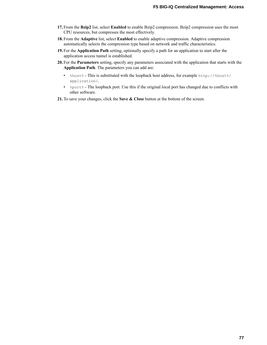- **17.**From the **Bzip2** list, select **Enabled** to enable Bzip2 compression. Bzip2 compression uses the most CPU resources, but compresses the most effectively.
- **18.**From the **Adaptive** list, select **Enabled** to enable adaptive compression. Adaptive compression automatically selects the compression type based on network and traffic characteristics.
- **19.**For the **Application Path** setting, optionally specify a path for an application to start after the application access tunnel is established.
- **20.**For the **Parameters** setting, specify any parameters associated with the application that starts with the **Application Path**. The parameters you can add are:
	- $\&$  host $\&$  This is substituted with the loopback host address, for example http:// $\&$ host $\frac{1}{2}$ / application/.
	- & port & The loopback port. Use this if the original local port has changed due to conflicts with other software.
- **21.** To save your changes, click the **Save & Close** button at the bottom of the screen.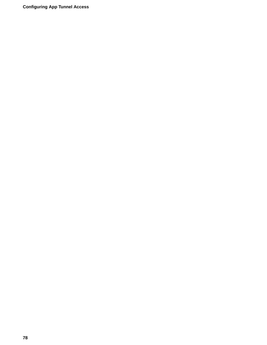**Configuring App Tunnel Access**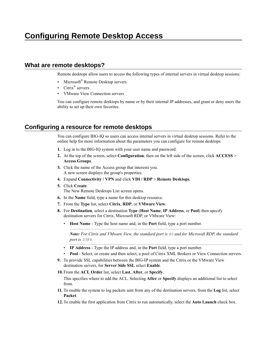# **What are remote desktops?**

Remote desktops allow users to access the following types of internal servers in virtual desktop sessions:

- Microsoft® Remote Desktop servers
- Citrix<sup>®</sup> servers
- VMware View Connection servers

You can configure remote desktops by name or by their internal IP addresses, and grant or deny users the ability to set up their own favorites.

# **Configuring a resource for remote desktops**

You can configure BIG-IQ so users can access internal servers in virtual desktop sessions. Refer to the online help for more information about the parameters you can configure for remote desktops.

- **1.** Log in to the BIG-IQ system with your user name and password.
- **2.** At the top of the screen, select **Configuration**, then on the left side of the screen, click **ACCESS** > **Access Groups**.
- **3.** Click the name of the Access group that interests you. A new screen displays the group's properties.
- **4.** Expand **Connectivity / VPN** and click **VDI / RDP** > **Remote Desktops**.
- **5.** Click **Create**. The New Remote Desktops List screen opens.
- **6.** In the **Name** field, type a name for this desktop resource.
- **7.** From the **Type** list, select **Citrix**, **RDP**, or **VMware View**.
- **8.** For **Destination**, select a destination **Type** (**Host Name**, **IP Address**, or **Pool**) then specify destination servers for Citrix, Microsoft RDP, or VMware View:
	- **Host Name** Type the host name and, in the **Port** field, type a port number.

*Note: For Citrix and VMware View, the standard port is 80 and for Microsoft RDP, the standard port is 3389.*

- **IP Address** Type the IP address and, in the **Port** field, type a port number.
- **Pool** Select, or create and then select, a pool of Citrix XML Brokers or View Connection servers.
- **9.** To provide SSL capabilities between the BIG-IP system and the Citrix or the VMware View destination servers, for **Server Side SSL** select **Enable**.
- **10.**From the **ACL Order** list, select **Last**, **After**, or **Specify**.

This specifies where to add the ACL. Selecting **After** or **Specify** displays an additional list to select from.

- **11.** To enable the system to log packets sent from any of the destination servers, from the **Log** list, select **Packet**.
- **12.** To enable the first application from Citrix to run automatically, select the **Auto Launch** check box.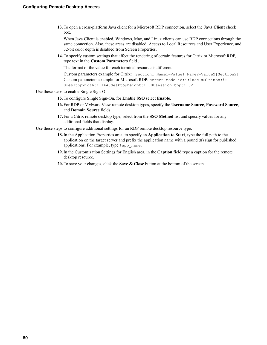**13.** To open a cross-platform Java client for a Microsoft RDP connection, select the **Java Client** check box.

When Java Client is enabled, Windows, Mac, and Linux clients can use RDP connections through the same connection. Also, these areas are disabled: Access to Local Resources and User Experience, and 32-bit color depth is disabled from Screen Properties.

**14.** To specify custom settings that affect the rendering of certain features for Citrix or Microsoft RDP, type text in the **Custom Parameters** field .

The format of the value for each terminal resource is different.

Custom parameters example for Citrix: [Section1]Name1=Value1 Name2=Value2[Section2] Custom parameters example for Microsoft RDP: screen mode id:i:1use multimon:i: 0desktopwidth:i:1440desktopheight:i:900session bpp:i:32

- Use these steps to enable Single Sign-On.
	- **15.** To configure Single Sign-On, for **Enable SSO** select **Enable**.
	- **16.**For RDP or VMware View remote desktop types, specify the **Username Source**, **Password Source**, and **Domain Source** fields.
	- **17.**For a Citrix remote desktop type, select from the **SSO Method** list and specify values for any additional fields that display.

Use these steps to configure additional settings for an RDP remote desktop resource type.

- **18.** In the Application Properties area, to specify an **Application to Start**, type the full path to the application on the target server and prefix the application name with a pound  $(\#)$  sign for published applications. For example, type #app\_name.
- **19.** In the Customization Settings for English area, in the **Caption** field type a caption for the remote desktop resource.
- **20.** To save your changes, click the **Save & Close** button at the bottom of the screen.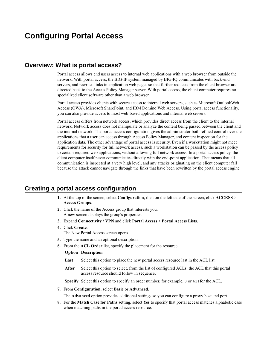# **Overview: What is portal access?**

Portal access allows end users access to internal web applications with a web browser from outside the network. With portal access, the BIG-IP system managed by BIG-IQ communicates with back-end servers, and rewrites links in application web pages so that further requests from the client browser are directed back to the Access Policy Manager server. With portal access, the client computer requires no specialized client software other than a web browser.

Portal access provides clients with secure access to internal web servers, such as Microsoft OutlookWeb Access (OWA), Microsoft SharePoint, and IBM Domino Web Access. Using portal access functionality, you can also provide access to most web-based applications and internal web servers.

Portal access differs from network access, which provides direct access from the client to the internal network. Network access does not manipulate or analyze the content being passed between the client and the internal network. The portal access configuration gives the administrator both refined control over the applications that a user can access through Access Policy Manager, and content inspection for the application data. The other advantage of portal access is security. Even if a workstation might not meet requirements for security for full network access, such a workstation can be passed by the access policy to certain required web applications, without allowing full network access. In a portal access policy, the client computer itself never communicates directly with the end-point application. That means that all communication is inspected at a very high level, and any attacks originating on the client computer fail because the attack cannot navigate through the links that have been rewritten by the portal access engine.

### **Creating a portal access configuration**

- **1.** At the top of the screen, select **Configuration**, then on the left side of the screen, click **ACCESS** > **Access Groups**.
- **2.** Click the name of the Access group that interests you. A new screen displays the group's properties.
- **3.** Expand **Connectivity / VPN** and click **Portal Access** > **Portal Access Lists**.
- **4.** Click **Create**. The New Portal Access screen opens.
- **5.** Type the name and an optional description.
- **6.** From the **ACL Order** list, specify the placement for the resource.

#### **Option Description**

- Last Select this option to place the new portal access resource last in the ACL list.
- **After** Select this option to select, from the list of configured ACLs, the ACL that this portal access resource should follow in sequence.

**Specify** Select this option to specify an order number, for example, 0 or 631for the ACL.

**7.** From **Configuration**, select **Basic** or **Advanced**.

The **Advanced** option provides additional settings so you can configure a proxy host and port.

**8.** For the **Match Case for Paths** setting, select **Yes** to specify that portal access matches alphabetic case when matching paths in the portal access resource.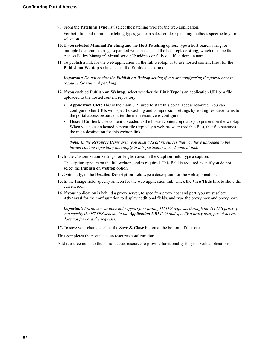- **9.** From the **Patching Type** list, select the patching type for the web application. For both full and minimal patching types, you can select or clear patching methods specific to your selection.
- **10.** If you selected **Minimal Patching** and the **Host Patching** option, type a host search string, or multiple host search strings separated with spaces, and the host replace string, which must be the Access Policy Manager® virtual server IP address or fully qualified domain name.
- **11.** To publish a link for the web application on the full webtop, or to use hosted content files, for the **Publish on Webtop** setting, select the **Enable** check box.

*Important: Do not enable the Publish on Webtop setting if you are configuring the portal access resource for minimal patching.*

- **12.** If you enabled **Publish on Webtop**, select whether the **Link Type** is an application URI or a file uploaded to the hosted content repository.
	- **Application URI:** This is the main URI used to start this portal access resource. You can configure other URIs with specific caching and compression settings by adding resource items to the portal access resource, after the main resource is configured.
	- **Hosted Content:** Use content uploaded to the hosted content repository to present on the webtop. When you select a hosted content file (typically a web-browser readable file), that file becomes the main destination for this webtop link.

*Note: In the Resource Items area, you must add all resources that you have uploaded to the hosted content repository that apply to this particular hosted content link.*

**13.** In the Customization Settings for English area, in the **Caption** field, type a caption.

The caption appears on the full webtop, and is required. This field is required even if you do not select the **Publish on webtop** option.

- **14.** Optionally, in the **Detailed Description** field type a description for the web application.
- **15.** In the **Image** field, specify an icon for the web application link. Click the **View/Hide** link to show the current icon.
- **16.** If your application is behind a proxy server, to specify a proxy host and port, you must select **Advanced** for the configuration to display additional fields, and type the proxy host and proxy port.

*Important: Portal access does not support forwarding HTTPS requests through the HTTPS proxy. If you specify the HTTPS scheme in the Application URI field and specify a proxy host, portal access does not forward the requests.*

**17.** To save your changes, click the **Save & Close** button at the bottom of the screen.

This completes the portal access resource configuration.

Add resource items to the portal access resource to provide functionality for your web applications.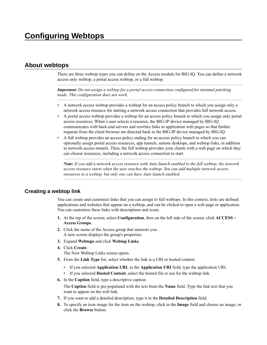## **About webtops**

There are three webtop types you can define on the Access module for BIG-IQ. You can define a network access only webtop, a portal access webtop, or a full webtop.

*Important: Do not assign a webtop for a portal access connection configured for minimal patching mode. This configuration does not work.*

- A network access webtop provides a webtop for an access policy branch to which you assign only a network access resource for starting a network access connection that provides full network access.
- A portal access webtop provides a webtop for an access policy branch to which you assign only portal access resources. When a user selects a resource, the BIG-IP device managed by BIG-IQ communicates with back-end servers and rewrites links in application web pages so that further requests from the client browser are directed back to the BIG-IP device managed by BIG-IQ.
- A full webtop provides an access policy ending for an access policy branch to which you can optionally assign portal access resources, app tunnels, remote desktops, and webtop links, in addition to network access tunnels. Then, the full webtop provides your clients with a web page on which they can choose resources, including a network access connection to start.

*Note: If you add a network access resource with Auto launch enabled to the full webtop, the network access resource starts when the user reaches the webtop. You can add multiple network access resources to a webtop, but only one can have Auto launch enabled.*

#### **Creating a webtop link**

You can create and customize links that you can assign to full webtops. In this context, *links* are defined applications and websites that appear on a webtop, and can be clicked to open a web page or application. You can customize these links with descriptions and icons.

- **1.** At the top of the screen, select **Configuration**, then on the left side of the screen, click **ACCESS** > **Access Groups**.
- **2.** Click the name of the Access group that interests you. A new screen displays the group's properties.
- **3.** Expand **Webtops** and click **Webtop Links**.
- **4.** Click **Create**.

The New Webtop Links screen opens.

- **5.** From the **Link Type** list, select whether the link is a URI or hosted content.
	- If you selected **Application URI**, in the **Application URI** field, type the application URI.
	- If you selected **Hosted Content**, select the hosted file to use for the webtop link.
- **6.** In the **Caption** field, type a descriptive caption.

The **Caption** field is pre-populated with the text from the **Name** field. Type the link text that you want to appear on the web link.

- **7.** If you want to add a detailed description, type it in the **Detailed Description** field.
- **8.** To specify an icon image for the item on the webtop, click in the **Image** field and choose an image, or click the **Browse** button.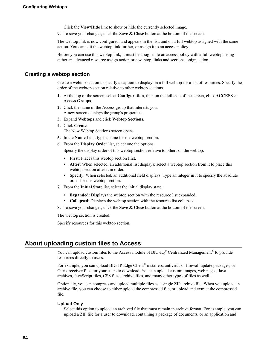Click the **View/Hide** link to show or hide the currently selected image.

**9.** To save your changes, click the **Save & Close** button at the bottom of the screen.

The webtop link is now configured, and appears in the list, and on a full webtop assigned with the same action. You can edit the webtop link further, or assign it to an access policy.

Before you can use this webtop link, it must be assigned to an access policy with a full webtop, using either an advanced resource assign action or a webtop, links and sections assign action.

#### **Creating a webtop section**

Create a webtop section to specify a caption to display on a full webtop for a list of resources. Specify the order of the webtop section relative to other webtop sections.

- **1.** At the top of the screen, select **Configuration**, then on the left side of the screen, click **ACCESS** > **Access Groups**.
- **2.** Click the name of the Access group that interests you. A new screen displays the group's properties.
- **3.** Expand **Webtops** and click **Webtop Sections**.
- **4.** Click **Create**. The New Webtop Sections screen opens.
- **5.** In the **Name** field, type a name for the webtop section.
- **6.** From the **Display Order** list, select one the options.

Specify the display order of this webtop section relative to others on the webtop.

- **First:** Places this webtop section first.
- **After**: When selected, an additional list displays; select a webtop section from it to place this webtop section after it in order.
- **Specify:** When selected, an additional field displays. Type an integer in it to specify the absolute order for this webtop section.
- **7.** From the **Initial State** list, select the initial display state:
	- **Expanded**: Displays the webtop section with the resource list expanded.
	- **Collapsed**: Displays the webtop section with the resource list collapsed.

**8.** To save your changes, click the **Save & Close** button at the bottom of the screen.

The webtop section is created.

Specify resources for this webtop section.

### **About uploading custom files to Access**

You can upload custom files to the Access module of BIG-IQ® Centralized Management® to provide resources directly to users.

For example, you can upload BIG-IP Edge Client® installers, antivirus or firewall update packages, or Citrix receiver files for your users to download. You can upload custom images, web pages, Java archives, JavaScript files, CSS files, archive files, and many other types of files as well.

Optionally, you can compress and upload multiple files as a single ZIP archive file. When you upload an archive file, you can choose to either upload the compressed file, or upload and extract the compressed file.

#### **Upload Only**

Select this option to upload an archived file that must remain in archive format. For example, you can upload a ZIP file for a user to download, containing a package of documents, or an application and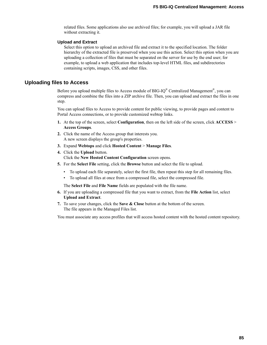related files. Some applications also use archived files; for example, you will upload a JAR file without extracting it.

#### **Upload and Extract**

Select this option to upload an archived file and extract it to the specified location. The folder hierarchy of the extracted file is preserved when you use this action. Select this option when you are uploading a collection of files that must be separated on the server for use by the end user; for example, to upload a web application that includes top-level HTML files, and subdirectories containing scripts, images, CSS, and other files.

#### **Uploading files to Access**

Before you upload multiple files to Access module of BIG-IQ® Centralized Management®, you can compress and combine the files into a ZIP archive file. Then, you can upload and extract the files in one step.

You can upload files to Access to provide content for public viewing, to provide pages and content to Portal Access connections, or to provide customized webtop links.

- **1.** At the top of the screen, select **Configuration**, then on the left side of the screen, click **ACCESS** > **Access Groups**.
- **2.** Click the name of the Access group that interests you. A new screen displays the group's properties.
- **3.** Expand **Webtops** and click **Hosted Content** > **Manage Files**.
- **4.** Click the **Upload** button. Click the **New Hosted Content Configuration** screen opens.
- **5.** For the **Select File** setting, click the **Browse** button and select the file to upload.
	- To upload each file separately, select the first file, then repeat this step for all remaining files.
	- To upload all files at once from a compressed file, select the compressed file.

The **Select File** and **File Name** fields are populated with the file name.

- **6.** If you are uploading a compressed file that you want to extract, from the **File Action** list, select **Upload and Extract**.
- **7.** To save your changes, click the **Save & Close** button at the bottom of the screen. The file appears in the Managed Files list.

You must associate any access profiles that will access hosted content with the hosted content repository.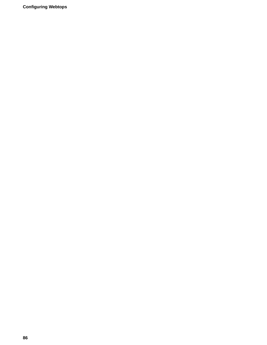**Configuring Webtops**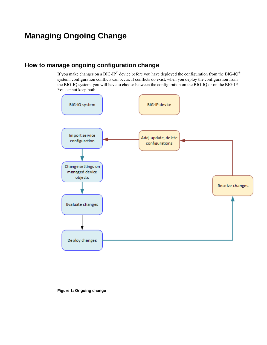# **Managing Ongoing Change**

# **How to manage ongoing configuration change**

If you make changes on a BIG-IP® device before you have deployed the configuration from the BIG-IQ® system, configuration conflicts can occur. If conflicts do exist, when you deploy the configuration from the BIG-IQ system, you will have to choose between the configuration on the BIG-IQ or on the BIG-IP. You cannot keep both.



#### **Figure 1: Ongoing change**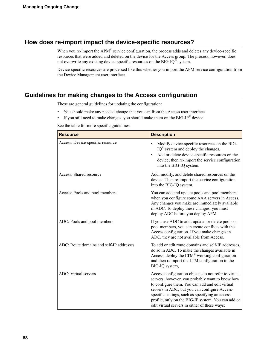# **How does re-import impact the device-specific resources?**

When you re-import the  $APM^{\circledast}$  service configuration, the process adds and deletes any device-specific resources that were added and deleted on the device for the Access group. The process, however, does not overwrite any existing device-specific resources on the BIG-IQ<sup>®</sup> system.

Device-specific resources are processed like this whether you import the APM service configuration from the Device Management user interface.

# **Guidelines for making changes to the Access configuration**

These are general guidelines for updating the configuration:

- You should make any needed change that you can from the Access user interface.
- If you still need to make changes, you should make them on the BIG-IP<sup>®</sup> device.

See the table for more specific guidelines.

| <b>Resource</b>                          | <b>Description</b>                                                                                                                                                                                                                                                                                                                                                    |
|------------------------------------------|-----------------------------------------------------------------------------------------------------------------------------------------------------------------------------------------------------------------------------------------------------------------------------------------------------------------------------------------------------------------------|
| Access: Device-specific resource         | Modify device-specific resources on the BIG-<br>$IQ^{\circledR}$ system and deploy the changes.<br>Add or delete device-specific resources on the<br>device; then re-import the service configuration<br>into the BIG-IQ system.                                                                                                                                      |
| Access: Shared resource                  | Add, modify, and delete shared resources on the<br>device. Then re-import the service configuration<br>into the BIG-IQ system.                                                                                                                                                                                                                                        |
| Access: Pools and pool members           | You can add and update pools and pool members<br>when you configure some AAA servers in Access.<br>Any changes you make are immediately available<br>in ADC. To deploy these changes, you must<br>deploy ADC before you deploy APM.                                                                                                                                   |
| ADC: Pools and pool members              | If you use ADC to add, update, or delete pools or<br>pool members, you can create conflicts with the<br>Access configuration. If you make changes in<br>ADC, they are not available from Access.                                                                                                                                                                      |
| ADC: Route domains and self-IP addresses | To add or edit route domains and self-IP addresses,<br>do so in ADC. To make the changes available in<br>Access, deploy the LTM® working configuration<br>and then reimport the LTM configuration to the<br>BIG-IQ system,                                                                                                                                            |
| <b>ADC:</b> Virtual servers              | Access configuration objects do not refer to virtual<br>servers; however, you probably want to know how<br>to configure them. You can add and edit virtual<br>servers in ADC, but you can configure Access-<br>specific settings, such as specifying an access<br>profile, only on the BIG-IP system. You can add or<br>edit virtual servers in either of these ways: |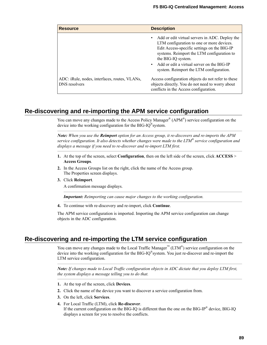| <b>Resource</b>                                                       | <b>Description</b>                                                                                                                                                                                                                                                                                                        |
|-----------------------------------------------------------------------|---------------------------------------------------------------------------------------------------------------------------------------------------------------------------------------------------------------------------------------------------------------------------------------------------------------------------|
|                                                                       | Add or edit virtual servers in ADC. Deploy the<br>$\bullet$<br>LTM configuration to one or more devices.<br>Edit Access-specific settings on the BIG-IP<br>systems. Reimport the LTM configuration to<br>the BIG-IQ system.<br>Add or edit a virtual server on the BIG-IP<br>٠<br>system. Reimport the LTM configuration. |
| ADC: iRule, nodes, interfaces, routes, VLANs,<br><b>DNS</b> resolvers | Access configuration objects do not refer to these<br>objects directly. You do not need to worry about<br>conflicts in the Access configuration.                                                                                                                                                                          |

# **Re-discovering and re-importing the APM service configuration**

You can move any changes made to the Access Policy Manager® (APM®) service configuration on the device into the working configuration for the BIG-IQ® system.

*Note: When you use the Reimport option for an Access group, it re-discovers and re-imports the APM service configuration. It also detects whether changes were made to the LTM® service configuration and displays a message if you need to re-discover and re-import LTM first.*

- **1.** At the top of the screen, select **Configuration**, then on the left side of the screen, click **ACCESS** > **Access Groups**.
- **2.** In the Access Groups list on the right, click the name of the Access group. The Properties screen displays.
- **3.** Click **Reimport**.

A confirmation message displays.

*Important: Reimporting can cause major changes to the working configuration.*

**4.** To continue with re-discovery and re-import, click **Continue**.

The APM service configuration is imported. Importing the APM service configuration can change objects in the ADC configuration.

# **Re-discovering and re-importing the LTM service configuration**

You can move any changes made to the Local Traffic Manager<sup>™</sup> (LTM<sup>®</sup>) service configuration on the device into the working configuration for the BIG-IQ<sup>®</sup>system. You just re-discover and re-import the LTM service configuration.

*Note: If changes made to Local Traffic configuration objects in ADC dictate that you deploy LTM first, the system displays a message telling you to do that.*

- **1.** At the top of the screen, click **Devices**.
- **2.** Click the name of the device you want to discover a service configuration from.
- **3.** On the left, click **Services**.
- **4.** For Local Traffic (LTM), click **Re-discover**. If the current configuration on the BIG-IQ is different than the one on the BIG-IP<sup>®</sup> device, BIG-IQ displays a screen for you to resolve the conflicts.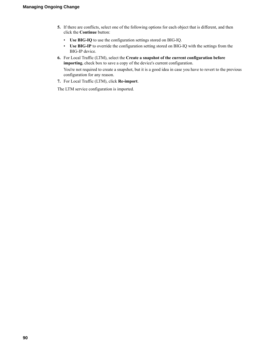- **5.** If there are conflicts, select one of the following options for each object that is different, and then click the **Continue** button:
	- **Use BIG-IQ** to use the configuration settings stored on BIG-IQ.
	- **Use BIG-IP** to override the configuration setting stored on BIG-IQ with the settings from the BIG-IP device.
- **6.** For Local Traffic (LTM), select the **Create a snapshot of the current configuration before importing.** check box to save a copy of the device's current configuration.

You're not required to create a snapshot, but it is a good idea in case you have to revert to the previous configuration for any reason.

**7.** For Local Traffic (LTM), click **Re-import**.

The LTM service configuration is imported.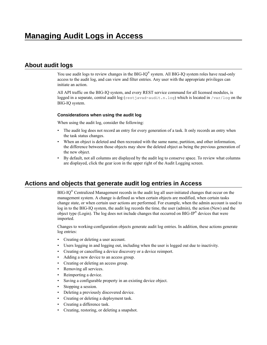# **About audit logs**

You use audit logs to review changes in the BIG-IQ® system. All BIG-IQ system roles have read-only access to the audit log, and can view and filter entries. Any user with the appropriate privileges can initiate an action.

All API traffic on the BIG-IQ system, and every REST service command for all licensed modules, is logged in a separate, central audit log (restjavad-audit.n.log) which is located in  $/\text{var}/\text{log}$  on the BIG-IQ system.

#### **Considerations when using the audit log**

When using the audit log, consider the following:

- The audit log does not record an entry for every generation of a task. It only records an entry when the task status changes.
- When an object is deleted and then recreated with the same name, partition, and other information, the difference between those objects may show the deleted object as being the previous generation of the new object.
- By default, not all columns are displayed by the audit log to conserve space. To review what columns are displayed, click the gear icon in the upper right of the Audit Logging screen.

# **Actions and objects that generate audit log entries in Access**

BIG-IQ<sup>®</sup> Centralized Management records in the audit log all user-initiated changes that occur on the management system. A change is defined as when certain objects are modified, when certain tasks change state, or when certain user actions are performed. For example, when the admin account is used to log in to the BIG-IQ system, the audit log records the time, the user (admin), the action (New) and the object type (Login). The log does not include changes that occurred on BIG-IP<sup>®</sup> devices that were imported.

Changes to working-configuration objects generate audit log entries. In addition, these actions generate log entries:

- Creating or deleting a user account.
- Users logging in and logging out, including when the user is logged out due to inactivity.
- Creating or cancelling a device discovery or a device reimport.
- Adding a new device to an access group.
- Creating or deleting an access group.
- Removing all services.
- Reimporting a device.
- Saving a configurable property in an existing device object.
- Stopping a session.
- Deleting a previously discovered device.
- Creating or deleting a deployment task.
- Creating a difference task.
- Creating, restoring, or deleting a snapshot.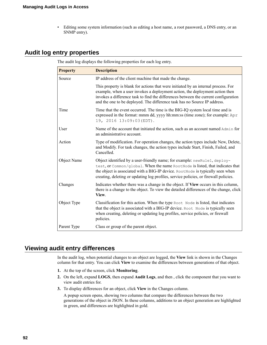• Editing some system information (such as editing a host name, a root password, a DNS entry, or an SNMP entry).

# **Audit log entry properties**

The audit log displays the following properties for each log entry.

| <b>Property</b> | <b>Description</b>                                                                                                                                                                                                                                                                                                                     |
|-----------------|----------------------------------------------------------------------------------------------------------------------------------------------------------------------------------------------------------------------------------------------------------------------------------------------------------------------------------------|
| Source          | IP address of the client machine that made the change.                                                                                                                                                                                                                                                                                 |
|                 | This property is blank for actions that were initiated by an internal process. For<br>example, when a user invokes a deployment action, the deployment action then<br>invokes a difference task to find the differences between the current configuration<br>and the one to be deployed. The difference task has no Source IP address. |
| Time            | Time that the event occurred. The time is the BIG-IQ system local time and is<br>expressed in the format: mmm dd, yyyy hh:mm:ss (time zone); for example: Apr<br>19, 2016 13:09:03 (EDT).                                                                                                                                              |
| User            | Name of the account that initiated the action, such as an account named Admin for<br>an administrative account.                                                                                                                                                                                                                        |
| Action          | Type of modification. For operation changes, the action types include New, Delete,<br>and Modify. For task changes, the action types include Start, Finish, Failed, and<br>Cancelled.                                                                                                                                                  |
| Object Name     | Object identified by a user-friendly name; for example: newRule1, deploy-<br>test, or Common/global. When the name RootNode is listed, that indicates that<br>the object is associated with a BIG-IP device. Root Node is typically seen when<br>creating, deleting or updating log profiles, service policies, or firewall policies.  |
| Changes         | Indicates whether there was a change in the object. If View occurs in this column,<br>there is a change to the object. To view the detailed differences of the change, click<br>View.                                                                                                                                                  |
| Object Type     | Classification for this action. When the type Root Node is listed, that indicates<br>that the object is associated with a BIG-IP device. Root Node is typically seen<br>when creating, deleting or updating log profiles, service policies, or firewall<br>policies.                                                                   |
| Parent Type     | Class or group of the parent object.                                                                                                                                                                                                                                                                                                   |

# **Viewing audit entry differences**

In the audit log, when potential changes to an object are logged, the **View** link is shown in the Changes column for that entry. You can click **View** to examine the differences between generations of that object.

- **1.** At the top of the screen, click **Monitoring**.
- **2.** On the left, expand **LOGS**, then expand **Audit Logs**, and then , click the component that you want to view audit entries for.
- **3.** To display differences for an object, click **View** in the Changes column.

A popup screen opens, showing two columns that compare the differences between the two generations of the object in JSON. In these columns, additions to an object generation are highlighted in green, and differences are highlighted in gold.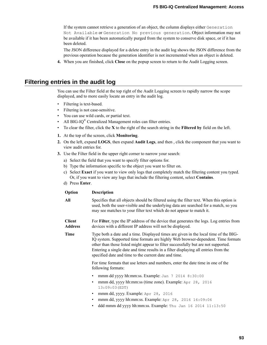If the system cannot retrieve a generation of an object, the column displays either Generation Not Available or Generation No previous generation. Object information may not be available if it has been automatically purged from the system to conserve disk space, or if it has been deleted.

The JSON difference displayed for a delete entry in the audit log shows the JSON difference from the previous operation because the generation identifier is not incremented when an object is deleted.

**4.** When you are finished, click **Close** on the popup screen to return to the Audit Logging screen.

### **Filtering entries in the audit log**

You can use the Filter field at the top right of the Audit Logging screen to rapidly narrow the scope displayed, and to more easily locate an entry in the audit log.

- Filtering is text-based.
- Filtering is not case-sensitive.
- You can use wild cards, or partial text.
- All BIG-IQ<sup>®</sup> Centralized Management roles can filter entries.
- To clear the filter, click the **X** to the right of the search string in the **Filtered by** field on the left.
- **1.** At the top of the screen, click **Monitoring**.
- **2.** On the left, expand **LOGS**, then expand **Audit Logs**, and then , click the component that you want to view audit entries for.
- **3.** Use the Filter field in the upper right corner to narrow your search:
	- a) Select the field that you want to specify filter options for.
	- b) Type the information specific to the object you want to filter on.
	- c) Select **Exact** if you want to view only logs that completely match the filtering content you typed. Or, if you want to view any logs that include the filtering content, select **Contains**.
	- d) Press **Enter**.

#### **Option Description**

**All** Specifies that all objects should be filtered using the filter text. When this option is used, both the user-visible and the underlying data are searched for a match, so you may see matches to your filter text which do not appear to match it.

**Client Address** For **Filter**, type the IP address of the device that generates the logs. Log entries from devices with a different IP address will not be displayed.

**Time** Type both a date and a time. Displayed times are given in the local time of the BIG-IQ system. Supported time formats are highly Web browser-dependent. Time formats other than those listed might appear to filter successfully but are not supported. Entering a single date and time results in a filter displaying all entries from the specified date and time to the current date and time.

> For time formats that use letters and numbers, enter the date time in one of the following formats:

- mmm dd yyyy hh:mm:ss. Example: Jan 7 2014 8:30:00
- mmm dd, yyyy hh:mm:ss (time zone). Example: Apr 28, 2016 13:09:03(EDT)
- mmm dd, yyyy. Example: Apr 28, 2016
- mmm dd, yyyy hh:mm:ss. Example: Apr 28, 2016 16:09:06
- ddd mmm dd yyyy hh:mm:ss. Example: Thu Jan 16 2014 11:13:50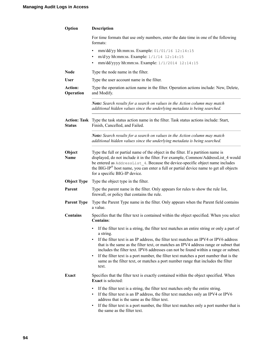| Option                               | Description                                                                                                                                                                                                                                                                                                                                                                                                                                                                                                                                                                                          |
|--------------------------------------|------------------------------------------------------------------------------------------------------------------------------------------------------------------------------------------------------------------------------------------------------------------------------------------------------------------------------------------------------------------------------------------------------------------------------------------------------------------------------------------------------------------------------------------------------------------------------------------------------|
|                                      | For time formats that use only numbers, enter the date time in one of the following<br>formats:                                                                                                                                                                                                                                                                                                                                                                                                                                                                                                      |
|                                      | mm/dd/yy hh:mm:ss. Example: 01/01/16 12:14:15<br>٠<br>m/d/yy hh:mm:ss. Example: 1/1/14 12:14:15<br>٠                                                                                                                                                                                                                                                                                                                                                                                                                                                                                                 |
|                                      | mm/dd/yyyy hh:mm:ss. Example: 1/1/2014 12:14:15<br>٠                                                                                                                                                                                                                                                                                                                                                                                                                                                                                                                                                 |
| <b>Node</b>                          | Type the node name in the filter.                                                                                                                                                                                                                                                                                                                                                                                                                                                                                                                                                                    |
| <b>User</b>                          | Type the user account name in the filter.                                                                                                                                                                                                                                                                                                                                                                                                                                                                                                                                                            |
| <b>Action:</b><br>Operation          | Type the operation action name in the filter. Operation actions include: New, Delete,<br>and Modify.                                                                                                                                                                                                                                                                                                                                                                                                                                                                                                 |
|                                      | Note: Search results for a search on values in the Action column may match<br>additional hidden values since the underlying metadata is being searched.                                                                                                                                                                                                                                                                                                                                                                                                                                              |
| <b>Action: Task</b><br><b>Status</b> | Type the task status action name in the filter. Task status actions include: Start,<br>Finish, Cancelled, and Failed.                                                                                                                                                                                                                                                                                                                                                                                                                                                                                |
|                                      | Note: Search results for a search on values in the Action column may match<br>additional hidden values since the underlying metadata is being searched.                                                                                                                                                                                                                                                                                                                                                                                                                                              |
| Object<br>Name                       | Type the full or partial name of the object in the filter. If a partition name is<br>displayed, do not include it in the filter. For example, Common/AddressList_4 would<br>be entered as AddressList 4. Because the device-specific object name includes<br>the BIG-IP <sup>®</sup> host name, you can enter a full or partial device name to get all objects<br>for a specific BIG-IP device.                                                                                                                                                                                                      |
| <b>Object Type</b>                   | Type the object type in the filter.                                                                                                                                                                                                                                                                                                                                                                                                                                                                                                                                                                  |
| Parent                               | Type the parent name in the filter. Only appears for rules to show the rule list,<br>firewall, or policy that contains the rule.                                                                                                                                                                                                                                                                                                                                                                                                                                                                     |
| <b>Parent Type</b>                   | Type the Parent Type name in the filter. Only appears when the Parent field contains<br>a value.                                                                                                                                                                                                                                                                                                                                                                                                                                                                                                     |
| Contains                             | Specifies that the filter text is contained within the object specified. When you select<br><b>Contains:</b>                                                                                                                                                                                                                                                                                                                                                                                                                                                                                         |
|                                      | If the filter text is a string, the filter text matches an entire string or only a part of<br>٠<br>a string.<br>If the filter text is an IP address, the filter text matches an IPV4 or IPV6 address<br>$\bullet$<br>that is the same as the filter text, or matches an IPV4 address range or subnet that<br>includes the filter text. IPV6 addresses can not be found within a range or subnet.<br>If the filter text is a port number, the filter text matches a port number that is the<br>$\bullet$<br>same as the filter text, or matches a port number range that includes the filter<br>text. |
| <b>Exact</b>                         | Specifies that the filter text is exactly contained within the object specified. When<br><b>Exact</b> is selected:                                                                                                                                                                                                                                                                                                                                                                                                                                                                                   |
|                                      | If the filter text is a string, the filter text matches only the entire string.<br>٠<br>If the filter text is an IP address, the filter text matches only an IPV4 or IPV6<br>٠<br>address that is the same as the filter text.<br>If the filter text is a port number, the filter text matches only a port number that is<br>٠<br>the same as the filter text.                                                                                                                                                                                                                                       |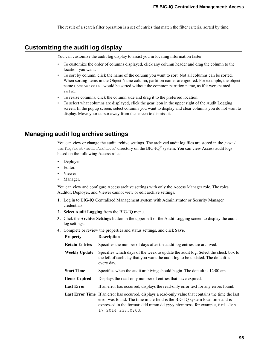The result of a search filter operation is a set of entries that match the filter criteria, sorted by time.

# **Customizing the audit log display**

You can customize the audit log display to assist you in locating information faster.

- To customize the order of columns displayed, click any column header and drag the column to the location you want.
- To sort by column, click the name of the column you want to sort. Not all columns can be sorted. When sorting items in the Object Name column, partition names are ignored. For example, the object name Common/rule1 would be sorted without the common partition name, as if it were named rule1.
- To resize columns, click the column side and drag it to the preferred location.
- To select what columns are displayed, click the gear icon in the upper right of the Audit Logging screen. In the popup screen, select columns you want to display and clear columns you do not want to display. Move your cursor away from the screen to dismiss it.

### **Managing audit log archive settings**

You can view or change the audit archive settings. The archived audit log files are stored in the /var/ config/rest/auditArchive/ **directory on the BIG-IQ** $^{\circledR}$  **system. You can view Access audit logs** based on the following Access roles:

- Deployer.
- Editor.
- Viewer
- Manager.

You can view and configure Access archive settings with only the Access Manager role. The roles Auditor, Deployer, and Viewer cannot view or edit archive settings.

- **1.** Log in to BIG-IQ Centralized Management system with Administrator or Security Manager credentials.
- **2.** Select **Audit Logging** from the BIG-IQ menu.
- **3.** Click the **Archive Settings** button in the upper left of the Audit Logging screen to display the audit log settings.
- **4.** Complete or review the properties and status settings, and click **Save**.

| <b>Property</b>       | <b>Description</b>                                                                                                                                                                                                                                                                           |
|-----------------------|----------------------------------------------------------------------------------------------------------------------------------------------------------------------------------------------------------------------------------------------------------------------------------------------|
| <b>Retain Entries</b> | Specifies the number of days after the audit log entries are archived.                                                                                                                                                                                                                       |
| <b>Weekly Update</b>  | Specifies which days of the week to update the audit log. Select the check box to<br>the left of each day that you want the audit log to be updated. The default is<br>every day.                                                                                                            |
| <b>Start Time</b>     | Specifies when the audit archiving should begin. The default is 12:00 am.                                                                                                                                                                                                                    |
| <b>Items Expired</b>  | Displays the read-only number of entries that have expired.                                                                                                                                                                                                                                  |
| <b>Last Error</b>     | If an error has occurred, displays the read-only error text for any errors found.                                                                                                                                                                                                            |
|                       | <b>Last Error Time</b> If an error has occurred, displays a read-only value that contains the time the last<br>error was found. The time in the field is the BIG-IQ system local time and is<br>expressed in the format: ddd mmm dd yyyy hh:mm:ss, for example, Fri Jan<br>17 2014 23:50:00. |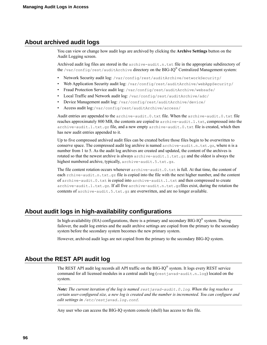# **About archived audit logs**

You can view or change how audit logs are archived by clicking the **Archive Settings** button on the Audit Logging screen.

Archived audit log files are stored in the archive-audit.n.txt file in the appropriate subdirectory of the /var/config/rest/auditArchive directory on the BIG-IQ® Centralized Management system:

- Network Security audit log: /var/config/rest/auditArchive/networkSecurity/
- Web Application Security audit log: /var/config/rest/auditArchive/webAppSecurity/
- Fraud Protection Service audit log: /var/config/rest/auditArchive/websafe/
- Local Traffic and Network audit log: /var/config/rest/auditArchive/adc/
- Device Management audit log: /var/config/rest/auditArchive/device/
- Access audit log:/var/config/rest/auditArchive/access/

Audit entries are appended to the archive-audit.0.txt file. When the archive-audit.0.txt file reaches approximately 800 MB, the contents are copied to archive-audit.1.txt, compressed into the archive-audit.1.txt.gz file, and a new empty archive-audit.0.txt file is created, which then has new audit entries appended to it.

Up to five compressed archived audit files can be created before those files begin to be overwritten to conserve space. The compressed audit log archive is named  $\alpha$ rchive-audit.n.txt.gz, where n is a number from 1 to 5. As the audit log archives are created and updated, the content of the archives is rotated so that the newest archive is always  $\arctan z$  and  $\arctan z$  and the oldest is always the highest numbered archive, typically, archive-audit.5.txt.gz.

The file content rotation occurs whenever archive-audit.0.txt is full. At that time, the content of each rchive-audit.n.txt.gz file is copied into the file with the next higher number, and the content of archive-audit.0.txt is copied into archive-audit.1.txt and then compressed to create archive-audit.1.txt.gz. If all five archive-audit.n.txt.gzfiles exist, during the rotation the contents of archive-audit.5.txt.gz are overwritten, and are no longer available.

### **About audit logs in high-availability configurations**

In high-availability (HA) configurations, there is a primary and secondary BIG-IQ<sup>®</sup> system. During failover, the audit log entries and the audit archive settings are copied from the primary to the secondary system before the secondary system becomes the new primary system.

However, archived audit logs are not copied from the primary to the secondary BIG-IQ system.

#### **About the REST API audit log**

The REST API audit log records all API traffic on the BIG-IQ® system. It logs every REST service command for all licensed modules in a central audit log (restjavad-audit.n.log) located on the system.

*Note: The current iteration of the log is named restjavad-audit.0.log. When the log reaches a certain user-configured size, a new log is created and the number is incremented. You can configure and edit settings in /etc/restjavad.log.conf.*

Any user who can access the BIG-IQ system console (shell) has access to this file.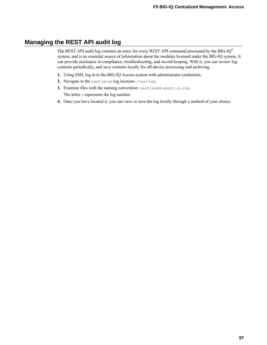# **Managing the REST API audit log**

The REST API audit log contains an entry for every REST API command processed by the BIG-IQ<sup>®</sup> system, and is an essential source of information about the modules licensed under the BIG-IQ system. It can provide assistance in compliance, troubleshooting, and record-keeping. With it, you can review log contents periodically, and save contents locally for off-device processing and archiving.

- **1.** Using SSH, log in to the BIG-IQ Access system with administrator credentials.
- **2.** Navigate to the restjavad log location: /var/log.
- **3.** Examine files with the naming convention: restjavad-audit.n.log. The letter *n* represents the log number.
- **4.** Once you have located it, you can view or save the log locally through a method of your choice.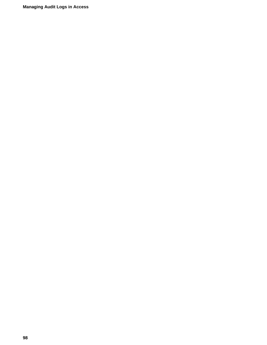**Managing Audit Logs in Access**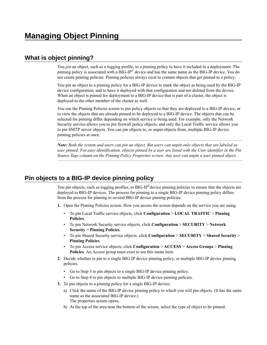# **What is object pinning?**

You *pin* an object, such as a logging profile, to a pinning policy to have it included in a deployment. The pinning policy is associated with a BIG-IP® device and has the same name as the BIG-IP device. You do not create pinning policies. Pinning policies always exist to contain objects that get pinned to a policy.

You pin an object to a pinning policy for a BIG-IP device to mark the object as being used by the BIG-IP device configuration, and to have it deployed with that configuration and not deleted from the device. When an object is pinned for deployment to a BIG-IP device that is part of a cluster, the object is deployed to the other member of the cluster as well.

You use the Pinning Policies screen to pin policy objects so that they are deployed to a BIG-IP device, or to view the objects that are already pinned to be deployed to a BIG-IP device. The objects that can be selected for pinning differ depending on which service is being used. For example, only the Network Security service allows you to pin firewall policy objects, and only the Local Traffic service allows you to pin SMTP server objects. You can pin objects to, or unpin objects from, multiple BIG-IP device pinning policies at once.

*Note: Both the system and users can pin an object. But users can unpin only objects that are labeled as user pinned. For easy identification, objects pinned by a user are listed with the User identifier in the Pin Source Tags column on the Pinning Policy Properties screen. Any user can unpin a user pinned object.*

# **Pin objects to a BIG-IP device pinning policy**

You pin objects, such as logging profiles, to BIG-IP<sup>®</sup>device pinning policies to ensure that the objects are deployed to BIG-IP devices. The process for pinning to a single BIG-IP device pinning policy differs from the process for pinning to several BIG-IP device pinning policies.

**1.** Open the Pinning Policies screen. How you access the screen depends on the service you are using.

- To pin Local Traffic service objects, click **Configuration** > **LOCAL TRAFFIC** > **Pinning Policies**.
- To pin Network Security service objects, click **Configuration** > **SECURITY** > **Network Security** > **Pinning Policies**.
- To pin Shared Security service objects, click **Configuration** > **SECURITY** > **Shared Security** > **Pinning Policies**.
- To pin Access service objects, click **Configuration** > **ACCESS** > **Access Groups** > **Pinning Policies**. An Access group must exist to see this menu item.
- **2.** Decide whether to pin to a single BIG-IP device pinning policy, or multiple BIG-IP device pinning policies.
	- Go to Step 3 to pin objects to a single BIG-IP device pinning policy.
	- Go to Step 4 to pin objects to multiple BIG-IP device pinning policies.
- **3.** To pin objects to a pinning policy for a single BIG-IP device:
	- a) Click the name of the BIG-IP device pinning policy to which you will pin objects. (It has the same name as the associated BIG-IP device.) The properties screen opens.
	- b) At the top of the area near the bottom of the screen, select the type of object to be pinned.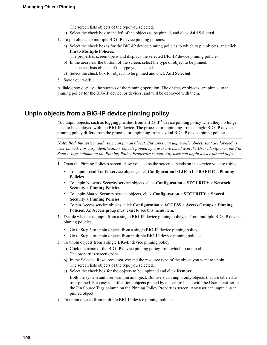The screen lists objects of the type you selected.

- c) Select the check box to the left of the objects to be pinned, and click **Add Selected**.
- **4.** To pin objects to multiple BIG-IP device pinning policies:
	- a) Select the check boxes for the BIG-IP device pinning policies to which to pin objects, and click **Pin to Multiple Policies**.
		- The properties screen opens and displays the selected BIG-IP device pinning policies.
	- b) In the area near the bottom of the screen, select the type of object to be pinned. The screen lists objects of the type you selected.
	- c) Select the check box for objects to be pinned and click **Add Selected**.
- **5.** Save your work.

A dialog box displays the success of the pinning operation. The object, or objects, are pinned to the pinning policy for the BIG-IP device, or devices, and will be deployed with them.

## **Unpin objects from a BIG-IP device pinning policy**

You unpin objects, such as logging profiles, from a BIG-IP<sup>®</sup> device pinning policy when they no longer need to be deployed with the BIG-IP device. The process for unpinning from a single BIG-IP device pinning policy differs from the process for unpinning from several BIG-IP device pining policies.

*Note: Both the system and users can pin an object. But users can unpin only objects that are labeled as user pinned. For easy identification, objects pinned by a user are listed with the User identifier in the Pin Source Tags column on the Pinning Policy Properties screen. Any user can unpin a user pinned object.*

- **1.** Open the Pinning Policies screen. How you access the screen depends on the service you are using.
	- To unpin Local Traffic service objects, click **Configuration** > **LOCAL TRAFFIC** > **Pinning Policies**.
	- To unpin Network Security service objects, click **Configuration** > **SECURITY** > **Network Security** > **Pinning Policies**.
	- To unpin Shared Security service objects, click **Configuration** > **SECURITY** > **Shared Security** > **Pinning Policies**.
	- To pin Access service objects, click **Configuration** > **ACCESS** > **Access Groups** > **Pinning Policies**. An Access group must exist to see this menu item.
- **2.** Decide whether to unpin from a single BIG-IP device pinning policy, or from multiple BIG-IP device pinning policies.
	- Go to Step 3 to unpin objects from a single BIG-IP device pinning policy.
	- Go to Step 4 to unpin objects from multiple BIG-IP device pinning policies.
- **3.** To unpin objects from a single BIG-IP device pinning policy:
	- a) Click the name of the BIG-IP device pinning policy from which to unpin objects. The properties screen opens.
	- b) In the Selected Resources area, expand the resource type of the object you want to unpin. The screen lists objects of the type you selected.
	- c) Select the check box for the objects to be unpinned and click **Remove**.

Both the system and users can pin an object. But users can unpin only objects that are labeled as user pinned. For easy identification, objects pinned by a user are listed with the User identifier in the Pin Source Tags column on the Pinning Policy Properties screen. Any user can unpin a user pinned object.

**4.** To unpin objects from multiple BIG-IP device pinning policies: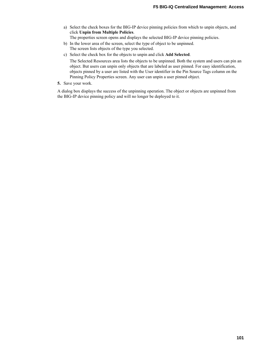a) Select the check boxes for the BIG-IP device pinning policies from which to unpin objects, and click **Unpin from Multiple Policies**.

The properties screen opens and displays the selected BIG-IP device pinning policies.

- b) In the lower area of the screen, select the type of object to be unpinned. The screen lists objects of the type you selected.
- c) Select the check box for the objects to unpin and click **Add Selected**.

The Selected Resources area lists the objects to be unpinned. Both the system and users can pin an object. But users can unpin only objects that are labeled as user pinned. For easy identification, objects pinned by a user are listed with the User identifier in the Pin Source Tags column on the Pinning Policy Properties screen. Any user can unpin a user pinned object.

**5.** Save your work.

A dialog box displays the success of the unpinning operation. The object or objects are unpinned from the BIG-IP device pinning policy and will no longer be deployed to it.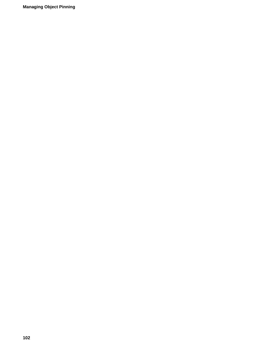**Managing Object Pinning**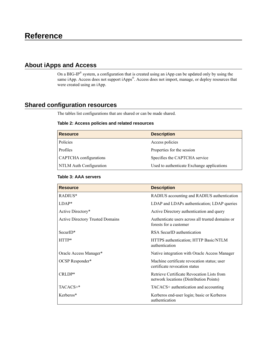# **About iApps and Access**

On a BIG-IP<sup>®</sup> system, a configuration that is created using an iApp can be updated only by using the same iApp. Access does not support iApps<sup>®</sup>. Access does not import, manage, or deploy resources that were created using an iApp.

# **Shared configuration resources**

The tables list configurations that are shared or can be made shared.

#### **Table 2: Access policies and related resources**

| <b>Resource</b>         | <b>Description</b>                         |
|-------------------------|--------------------------------------------|
| Policies                | Access policies                            |
| Profiles                | Properties for the session                 |
| CAPTCHA configurations  | Specifies the CAPTCHA service              |
| NTLM Auth Configuration | Used to authenticate Exchange applications |

#### **Table 3: AAA servers**

| <b>Resource</b>                         | <b>Description</b>                                                                    |
|-----------------------------------------|---------------------------------------------------------------------------------------|
| RADIUS*                                 | RADIUS accounting and RADIUS authentication                                           |
| $LDAP*$                                 | LDAP and LDAPs authentication; LDAP queries                                           |
| Active Directory*                       | Active Directory authentication and query                                             |
| <b>Active Directory Trusted Domains</b> | Authenticate users across all trusted domains or<br>forests for a customer            |
| $SecurID*$                              | RSA SecurID authentication                                                            |
| $HTTP*$                                 | HTTPS authentication; HTTP Basic/NTLM<br>authentication                               |
| Oracle Access Manager*                  | Native integration with Oracle Access Manager                                         |
| OCSP Responder*                         | Machine certificate revocation status; user<br>certificate revocation status          |
| CRLDP*                                  | Retrieve Certificate Revocation Lists from<br>network locations (Distribution Points) |
| TACACS+*                                | TACACS+ authentication and accounting                                                 |
| Kerberos*                               | Kerberos end-user login; basic or Kerberos<br>authentication                          |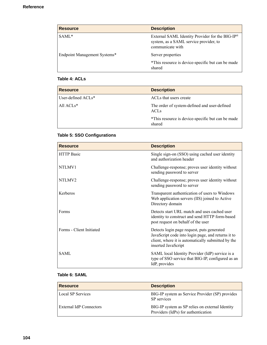| <b>Resource</b>              | <b>Description</b>                                                                                                        |
|------------------------------|---------------------------------------------------------------------------------------------------------------------------|
| $SAML^*$                     | External SAML Identity Provider for the BIG-IP <sup>®</sup><br>system, as a SAML service provider, to<br>communicate with |
| Endpoint Management Systems* | Server properties                                                                                                         |
|                              | *This resource is device-specific but can be made<br>shared                                                               |

#### **Table 4: ACLs**

| <b>Resource</b>    | <b>Description</b>                                          |
|--------------------|-------------------------------------------------------------|
|                    |                                                             |
| User-defined ACLs* | ACLs that users create                                      |
| All $ACLs^*$       | The order of system-defined and user-defined<br><b>ACLs</b> |
|                    | *This resource is device-specific but can be made<br>shared |

### **Table 5: SSO Configurations**

| <b>Resource</b>          | <b>Description</b>                                                                                                                                                            |
|--------------------------|-------------------------------------------------------------------------------------------------------------------------------------------------------------------------------|
| <b>HTTP</b> Basic        | Single sign-on (SSO) using cached user identity<br>and authorization header                                                                                                   |
| NTLMV1                   | Challenge-response; proves user identity without<br>sending password to server                                                                                                |
| NTLMV2                   | Challenge-response; proves user identity without<br>sending password to server                                                                                                |
| Kerberos                 | Transparent authentication of users to Windows<br>Web application servers (IIS) joined to Active<br>Directory domain                                                          |
| Forms                    | Detects start URL match and uses cached user<br>identity to construct and send HTTP form-based<br>post request on behalf of the user                                          |
| Forms - Client Initiated | Detects login page request, puts generated<br>JavaScript code into login page, and returns it to<br>client, where it is automatically submitted by the<br>inserted JavaScript |
| SAML                     | SAML local Identity Provider (IdP) service is a<br>type of SSO service that BIG-IP, configured as an<br>IdP, provides                                                         |

#### **Table 6: SAML**

| <b>Resource</b>                | <b>Description</b>                                                                     |
|--------------------------------|----------------------------------------------------------------------------------------|
| <b>Local SP Services</b>       | BIG-IP system as Service Provider (SP) provides<br>SP services                         |
| <b>External IdP Connectors</b> | BIG-IP system as SP relies on external Identity<br>Providers (IdPs) for authentication |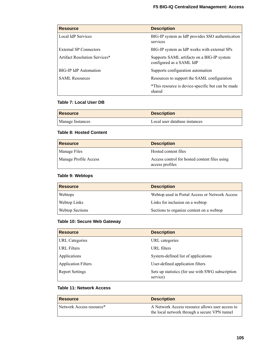| <b>Resource</b>               | <b>Description</b>                                                     |
|-------------------------------|------------------------------------------------------------------------|
| Local IdP Services            | BIG-IP system as IdP provides SSO authentication<br>services           |
| External SP Connectors        | BIG-IP system as IdP works with external SPs                           |
| Artifact Resolution Services* | Supports SAML artifacts on a BIG-IP system<br>configured as a SAML IdP |
| BIG-IP IdP Automation         | Supports configuration automation                                      |
| <b>SAML</b> Resources         | Resources to support the SAML configuration                            |
|                               | *This resource is device-specific but can be made<br>shared            |

#### **Table 7: Local User DB**

| ∣ Resource       | <b>Description</b>            |
|------------------|-------------------------------|
| Manage Instances | Local user database instances |

#### **Table 8: Hosted Content**

| <b>Resource</b>       | <b>Description</b>                                               |
|-----------------------|------------------------------------------------------------------|
| Manage Files          | Hosted content files                                             |
| Manage Profile Access | Access control for hosted content files using<br>access profiles |

### **Table 9: Webtops**

| <b>Resource</b>        | <b>Description</b>                             |
|------------------------|------------------------------------------------|
| Webtops                | Webtop used in Portal Access or Network Access |
| Webtop Links           | Links for inclusion on a webtop                |
| <b>Webtop Sections</b> | Sections to organize content on a webtop       |

#### **Table 10: Secure Web Gateway**

| <b>Resource</b>            | <b>Description</b>                                            |
|----------------------------|---------------------------------------------------------------|
| <b>URL</b> Categories      | URL categories                                                |
| <b>URL</b> Filters         | URL filters                                                   |
| Applications               | System-defined list of applications                           |
| <b>Application Filters</b> | User-defined application filters                              |
| <b>Report Settings</b>     | Sets up statistics (for use with SWG subscription<br>service) |

#### **Table 11: Network Access**

| <b>Resource</b>          | <b>Description</b>                                                                               |
|--------------------------|--------------------------------------------------------------------------------------------------|
| Network Access resource* | A Network Access resource allows user access to<br>the local network through a secure VPN tunnel |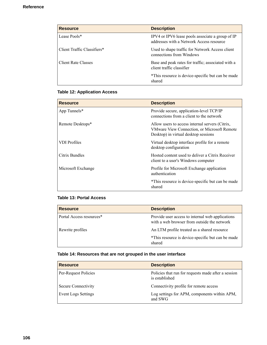| <b>Resource</b>             | <b>Description</b>                                                                           |
|-----------------------------|----------------------------------------------------------------------------------------------|
| Lease Pools*                | IPV4 or IPV6 lease pools associate a group of IP<br>addresses with a Network Access resource |
| Client Traffic Classifiers* | Used to shape traffic for Network Access client<br>connections from Windows                  |
| Client Rate Classes         | Base and peak rates for traffic; associated with a<br>client traffic classifier              |
|                             | *This resource is device-specific but can be made<br>shared                                  |

### **Table 12: Application Access**

| <b>Resource</b>    | <b>Description</b>                                                                                                                     |
|--------------------|----------------------------------------------------------------------------------------------------------------------------------------|
| App Tunnels*       | Provide secure, application-level TCP/IP<br>connections from a client to the network                                                   |
| Remote Desktops*   | Allow users to access internal servers (Citrix,<br>VMware View Connection, or Microsoft Remote<br>Desktop) in virtual desktop sessions |
| VDI Profiles       | Virtual desktop interface profile for a remote<br>desktop configuration                                                                |
| Citrix Bundles     | Hosted content used to deliver a Citrix Receiver<br>client to a user's Windows computer                                                |
| Microsoft Exchange | Profile for Microsoft Exchange application<br>authentication                                                                           |
|                    | *This resource is device-specific but can be made<br>shared                                                                            |

#### **Table 13: Portal Access**

| <b>Resource</b>          | <b>Description</b>                                                                              |
|--------------------------|-------------------------------------------------------------------------------------------------|
| Portal Access resources* | Provide user access to internal web applications<br>with a web browser from outside the network |
| Rewrite profiles         | An LTM profile treated as a shared resource                                                     |
|                          | *This resource is device-specific but can be made<br>shared                                     |

#### **Table 14: Resources that are not grouped in the user interface**

| <b>Resource</b>      | <b>Description</b>                                                    |
|----------------------|-----------------------------------------------------------------------|
| Per-Request Policies | Policies that run for requests made after a session<br>is established |
| Secure Connectivity  | Connectivity profile for remote access                                |
| Event Logs Settings  | Log settings for APM, components within APM,<br>and SWG               |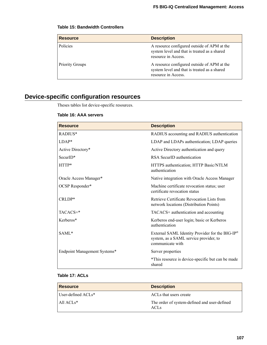| <b>Resource</b>        | <b>Description</b>                                                                                                 |
|------------------------|--------------------------------------------------------------------------------------------------------------------|
| Policies               | A resource configured outside of APM at the<br>system level and that is treated as a shared<br>resource in Access. |
| <b>Priority Groups</b> | A resource configured outside of APM at the<br>system level and that is treated as a shared<br>resource in Access. |

#### **Table 15: Bandwidth Controllers**

# **Device-specific configuration resources**

Theses tables list device-specific resources.

#### **Table 16: AAA servers**

| <b>Resource</b>              | <b>Description</b>                                                                                                        |
|------------------------------|---------------------------------------------------------------------------------------------------------------------------|
| RADIUS*                      | RADIUS accounting and RADIUS authentication                                                                               |
| $LDAP*$                      | LDAP and LDAPs authentication; LDAP queries                                                                               |
| Active Directory*            | Active Directory authentication and query                                                                                 |
| $Security*$                  | RSA SecurID authentication                                                                                                |
| HTTP*                        | HTTPS authentication; HTTP Basic/NTLM<br>authentication                                                                   |
| Oracle Access Manager*       | Native integration with Oracle Access Manager                                                                             |
| OCSP Responder*              | Machine certificate revocation status; user<br>certificate revocation status                                              |
| CRLDP*                       | Retrieve Certificate Revocation Lists from<br>network locations (Distribution Points)                                     |
| TACACS+*                     | TACACS+ authentication and accounting                                                                                     |
| Kerberos*                    | Kerberos end-user login; basic or Kerberos<br>authentication                                                              |
| $SAMI.*$                     | External SAML Identity Provider for the BIG-IP <sup>®</sup><br>system, as a SAML service provider, to<br>communicate with |
| Endpoint Management Systems* | Server properties                                                                                                         |
|                              | *This resource is device-specific but can be made<br>shared                                                               |

#### **Table 17: ACLs**

| <b>Resource</b>            | <b>Description</b>                                               |
|----------------------------|------------------------------------------------------------------|
| $\vert$ User-defined ACLs* | ACLs that users create                                           |
| $ $ All ACLs*              | The order of system-defined and user-defined<br>ACL <sub>s</sub> |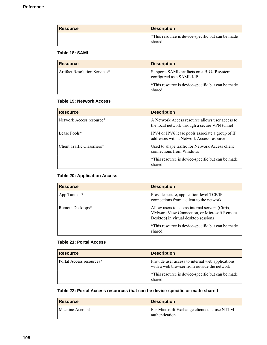| <b>Resource</b> | <b>Description</b>                                          |
|-----------------|-------------------------------------------------------------|
|                 | *This resource is device-specific but can be made<br>shared |

#### **Table 18: SAML**

| <b>Resource</b>               | <b>Description</b>                                                     |
|-------------------------------|------------------------------------------------------------------------|
| Artifact Resolution Services* | Supports SAML artifacts on a BIG-IP system<br>configured as a SAML IdP |
|                               | *This resource is device-specific but can be made<br>shared            |

#### **Table 19: Network Access**

| <b>Resource</b>             | <b>Description</b>                                                                               |
|-----------------------------|--------------------------------------------------------------------------------------------------|
| Network Access resource*    | A Network Access resource allows user access to<br>the local network through a secure VPN tunnel |
| Lease Pools*                | IPV4 or IPV6 lease pools associate a group of IP<br>addresses with a Network Access resource     |
| Client Traffic Classifiers* | Used to shape traffic for Network Access client<br>connections from Windows                      |
|                             | *This resource is device-specific but can be made<br>shared                                      |

### **Table 20: Application Access**

| <b>Resource</b>  | <b>Description</b>                                                                                                                     |
|------------------|----------------------------------------------------------------------------------------------------------------------------------------|
| App Tunnels*     | Provide secure, application-level TCP/IP<br>connections from a client to the network                                                   |
| Remote Desktops* | Allow users to access internal servers (Citrix,<br>VMware View Connection, or Microsoft Remote<br>Desktop) in virtual desktop sessions |
|                  | *This resource is device-specific but can be made<br>shared                                                                            |

#### **Table 21: Portal Access**

| <b>Resource</b>                      | <b>Description</b>                                                                              |
|--------------------------------------|-------------------------------------------------------------------------------------------------|
| Portal Access resources <sup>*</sup> | Provide user access to internal web applications<br>with a web browser from outside the network |
|                                      | *This resource is device-specific but can be made<br>shared                                     |

### **Table 22: Portal Access resources that can be device-specific or made shared**

| <b>Resource</b> | <b>Description</b>                                             |
|-----------------|----------------------------------------------------------------|
| Machine Account | For Microsoft Exchange clients that use NTLM<br>authentication |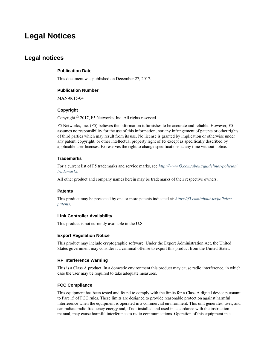# **Legal Notices**

### **Legal notices**

#### **Publication Date**

This document was published on December 27, 2017.

#### **Publication Number**

MAN-0615-04

#### **Copyright**

Copyright © 2017, F5 Networks, Inc. All rights reserved.

F5 Networks, Inc. (F5) believes the information it furnishes to be accurate and reliable. However, F5 assumes no responsibility for the use of this information, nor any infringement of patents or other rights of third parties which may result from its use. No license is granted by implication or otherwise under any patent, copyright, or other intellectual property right of F5 except as specifically described by applicable user licenses. F5 reserves the right to change specifications at any time without notice.

#### **Trademarks**

For a current list of F5 trademarks and service marks, see *[http://www.f5.com/about/guidelines-policies/](http://www.f5.com/about/guidelines-policies/trademarks/) [trademarks](http://www.f5.com/about/guidelines-policies/trademarks/)*.

All other product and company names herein may be trademarks of their respective owners.

#### **Patents**

This product may be protected by one or more patents indicated at: *[https://f5.com/about-us/policies/](https://f5.com/about-us/policies/patents) [patents](https://f5.com/about-us/policies/patents)*.

#### **Link Controller Availability**

This product is not currently available in the U.S.

#### **Export Regulation Notice**

This product may include cryptographic software. Under the Export Administration Act, the United States government may consider it a criminal offense to export this product from the United States.

#### **RF Interference Warning**

This is a Class A product. In a domestic environment this product may cause radio interference, in which case the user may be required to take adequate measures.

#### **FCC Compliance**

This equipment has been tested and found to comply with the limits for a Class A digital device pursuant to Part 15 of FCC rules. These limits are designed to provide reasonable protection against harmful interference when the equipment is operated in a commercial environment. This unit generates, uses, and can radiate radio frequency energy and, if not installed and used in accordance with the instruction manual, may cause harmful interference to radio communications. Operation of this equipment in a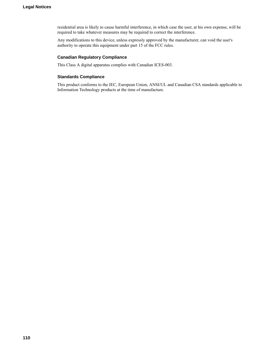residential area is likely to cause harmful interference, in which case the user, at his own expense, will be required to take whatever measures may be required to correct the interference.

Any modifications to this device, unless expressly approved by the manufacturer, can void the user's authority to operate this equipment under part 15 of the FCC rules.

#### **Canadian Regulatory Compliance**

This Class A digital apparatus complies with Canadian ICES-003.

#### **Standards Compliance**

This product conforms to the IEC, European Union, ANSI/UL and Canadian CSA standards applicable to Information Technology products at the time of manufacture.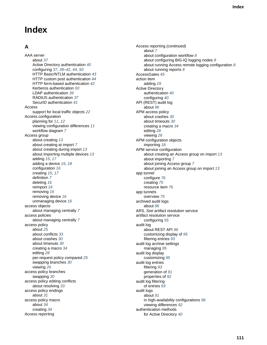# **Index**

### **A**

AAA server about [37](#page-36-0) Active Directory authentication [40](#page-39-0) configuring [37](#page-36-0), [39](#page-38-0)–[42](#page-41-0), [44](#page-43-0), [50](#page-49-0) HTTP Basic/NTLM authentication [43](#page-42-0) HTTP custom post authentication [44](#page-43-0) HTTP form-based authentication [42](#page-41-0) Kerberos authentication [50](#page-49-0) LDAP authentication [39](#page-38-0) RADIUS authentication [37](#page-36-0) SecurID authentication [41](#page-40-0) Access support for local traffic objects [22](#page-21-0) Access configuration planning for [11](#page-10-0), [12](#page-11-0) viewing configuration differences [11](#page-10-0) workflow diagram [7](#page-6-0) Access group about creating [13](#page-12-0) about creating at import [7](#page-6-0) about creating during import [13](#page-12-0) about importing multiple devices [13](#page-12-0) adding [15](#page-14-0), [17](#page-16-0) adding a device [15](#page-14-0), [18](#page-17-0) configuration [16](#page-15-0) creating [15](#page-14-0), [17](#page-16-0) definition [7](#page-6-0) deleting [16](#page-15-0) reimport [16](#page-15-0) removing [16](#page-15-0) removing device [16](#page-15-0) unmanaging device [16](#page-15-0) access objects about managing centrally [7](#page-6-0) access policies about managing centrally [7](#page-6-0) access policy about [25](#page-24-0) about conflicts [33](#page-32-0) about crashes [30](#page-29-0) about timeouts [30](#page-29-0) creating a macro [34](#page-33-0) editing [28](#page-27-0) per-request policy compared [25](#page-24-0) swapping branches [30](#page-29-0) viewing [26](#page-25-0) access policy branches swapping [30](#page-29-0) access policy editing conflicts about resolving [33](#page-32-0) access policy endings about [31](#page-30-0) access policy macro about [34](#page-33-0) creating [34](#page-33-0) Access reporting

Access reporting (continued) about [7](#page-6-0) about configuration workflow [8](#page-7-0) about configuring BIG-IQ logging nodes [8](#page-7-0) about running Access remote logging configuration [8](#page-7-0) about running reports [8](#page-7-0) AccessGates [45](#page-44-0) action item adding [29](#page-28-0) Active Directory authentication [40](#page-39-0) configuring [40](#page-39-0) API (REST) audit log about [96](#page-95-0) APM access policy about crashes [30](#page-29-0) about timeouts [30](#page-29-0) creating a macro [34](#page-33-0) editing [28](#page-27-0) viewing [26](#page-25-0) APM configuration objects importing [18](#page-17-0) APM service configuration about creating an Access group on import [13](#page-12-0) about importing [7](#page-6-0) about joining Access group [7](#page-6-0) about joining an Access group on import [13](#page-12-0) app tunnel configure [76](#page-75-0) creating [75](#page-74-0) resource item [76](#page-75-0) app tunnels overview [75](#page-74-0) archived audit logs about [96](#page-95-0) ARS, See artifact resolution service artifact resolution service configuring [55](#page-54-0) audit log about REST API [96](#page-95-0) customizing display of [95](#page-94-0) filtering entries [93](#page-92-0) audit log archive settings managing [95](#page-94-0) audit log display customizing [95](#page-94-0) audit log entries filtering [93](#page-92-0) generation of [91](#page-90-0) properties of [92](#page-91-0) audit log filtering of entries [93](#page-92-0) audit logs about [91](#page-90-0) in high-availability configurations [96](#page-95-0) viewing differences [92](#page-91-0) authentication methods for Active Directory [40](#page-39-0)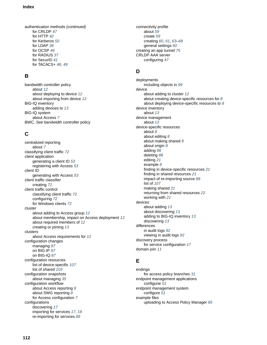authentication methods (continued) for CRLDP [47](#page-46-0) for HTTP [42](#page-41-0) for Kerberos [50](#page-49-0) for LDAP [38](#page-37-0) for OCSP [46](#page-45-0) for RADIUS [37](#page-36-0) for SecurID [41](#page-40-0) for TACACS+ [48](#page-47-0), [49](#page-48-0)

## **B**

bandwidth controller policy about [12](#page-11-0) about deploying to device [12](#page-11-0) about importing from device [12](#page-11-0) BIG-IQ inventory adding devices to [13](#page-12-0) BIG-IQ system about Access [7](#page-6-0) BWC, See bandwidth controller policy

## **C**

centralized reporting about [7](#page-6-0) classifying client traffic [72](#page-71-0) client application generating a client ID [53](#page-52-0) registering with Access [53](#page-52-0) client ID generating with Access [53](#page-52-0) client traffic classifier creating [72](#page-71-0) client traffic control classifying client traffic [72](#page-71-0) configuring [72](#page-71-0) for Windows clients [72](#page-71-0) cluster about adding to Access group [12](#page-11-0) about membership, impact on Access deployment [12](#page-11-0) about required members of [12](#page-11-0) creating or joining [13](#page-12-0) clusters about Access requirements for [12](#page-11-0) configuration changes managing [87](#page-86-0) on BIG-IP [87](#page-86-0) on BIG-IQ [87](#page-86-0) configuration resources list of device-specific [107](#page-106-0) list of shared [103](#page-102-0) configuration snapshots about managing [35](#page-34-0) configuration workflow about Access reporting [8](#page-7-0) about SWG reporting [8](#page-7-0) for Access configuration [7](#page-6-0) configurations discovering [17](#page-16-0) importing for services [17](#page-16-0), [18](#page-17-0) re-importing for services [89](#page-88-0)

connectivity profile about [59](#page-58-0) create [59](#page-58-0) creating [60](#page-59-0), [61](#page-60-0), [63](#page-62-0)–[68](#page-67-0) general settings [60](#page-59-0) creating an app tunnel [75](#page-74-0) CRLDP AAA server configuring [47](#page-46-0)

## **D**

deployments including objects in [99](#page-98-0) device about adding to cluster [12](#page-11-0) about creating device-specific resources for [8](#page-7-0) about deploying device-specific resources to [8](#page-7-0) device inventory about [13](#page-12-0) device management about [13](#page-12-0) device-specific resources about [8](#page-7-0) about editing [8](#page-7-0) about making shared [8](#page-7-0) about origin [8](#page-7-0) adding [88](#page-87-0) deleting [88](#page-87-0) editing [21](#page-20-0) example [8](#page-7-0) finding in device-specific resources [21](#page-20-0) finding in shared resources [21](#page-20-0) impact of re-importing source [88](#page-87-0) list of [107](#page-106-0) making shared [21](#page-20-0) returning from shared resources [22](#page-21-0) working with [21](#page-20-0) devices about adding [13](#page-12-0) about discovering [13](#page-12-0) adding to BIG-IQ inventory [13](#page-12-0) discovering [13](#page-12-0) differences in audit logs [92](#page-91-0) viewing in audit logs [92](#page-91-0) discovery process for service configuration [17](#page-16-0) domain join [11](#page-10-0)

## **E**

endings for access policy branches [31](#page-30-0) endpoint management applications configurie [51](#page-50-0) endpoint management system configure [51](#page-50-0) example files uploading to Access Policy Manager [85](#page-84-0)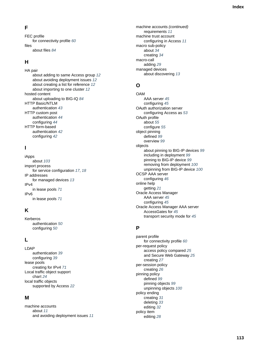### **F**

FEC profile for connectivity profile [60](#page-59-0) files about files [84](#page-83-0)

### **H**

HA pair about adding to same Access group [12](#page-11-0) about avoiding deployment issues [12](#page-11-0) about creating a list for reference [12](#page-11-0) about importing to one cluster [12](#page-11-0) hosted content about uploading to BIG-IQ [84](#page-83-0) HTTP Basic/NTLM authentication [43](#page-42-0) HTTP custom post authentication [44](#page-43-0) configuring [44](#page-43-0) HTTP form-based authentication [42](#page-41-0) configuring [42](#page-41-0)

### **I**

iApps about [103](#page-102-0) import process for service configuration [17](#page-16-0), [18](#page-17-0) IP addresses for managed devices [13](#page-12-0) IPv4 in lease pools [71](#page-70-0) IPv6 in lease pools [71](#page-70-0)

## **K**

Kerberos authentication [50](#page-49-0) configuring [50](#page-49-0)

### **L**

LDAP authentication [39](#page-38-0) configuring [39](#page-38-0) lease pools creating for IPv4 [71](#page-70-0) Local traffic object support chart [24](#page-23-0) local traffic objects supported by Access [22](#page-21-0)

### **M**

machine accounts about [11](#page-10-0) and avoiding deployment issues [11](#page-10-0) machine accounts (continued) requirements [11](#page-10-0) machine trust account configuring in Access [11](#page-10-0) macro sub-policy about [34](#page-33-0) creating [34](#page-33-0) macro-call adding [29](#page-28-0) managed devices about discovering [13](#page-12-0)

### **O**

OAM AAA server [45](#page-44-0) configuring [45](#page-44-0) OAuth authorization server configuring Access as [53](#page-52-0) OAuth profile about [55](#page-54-0) configure [55](#page-54-0) object pinning defined [99](#page-98-0) overview [99](#page-98-0) objects about pinning to BIG-IP devices [99](#page-98-0) including in deployment [99](#page-98-0) pinning to BIG-IP device [99](#page-98-0) removing from deployment [100](#page-99-0) unpinning from BIG-IP device [100](#page-99-0) OCSP AAA server configuring [46](#page-45-0) online help getting [21](#page-20-0) Oracle Access Manager AAA server [45](#page-44-0) configuring [45](#page-44-0) Oracle Access Manager AAA server AccessGates for [45](#page-44-0) transport security mode for [45](#page-44-0)

### **P**

parent profile for connectivity profile [60](#page-59-0) per-request policy access policy compared [25](#page-24-0) and Secure Web Gateway [25](#page-24-0) creating [27](#page-26-0) per-session policy creating [26](#page-25-0) pinning policy defined [99](#page-98-0) pinning objects [99](#page-98-0) unpinning objects [100](#page-99-0) policy ending creating [31](#page-30-0) deleting [33](#page-32-0) editing [32](#page-31-0) policy item editing [28](#page-27-0)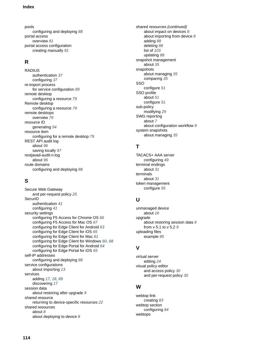pools configuring and deploying [88](#page-87-0) portal access overview [81](#page-80-0) portal access configuration creating manually [81](#page-80-0)

## **R**

RADIUS authentication [37](#page-36-0) configuring [37](#page-36-0) re-import process for service configuration [89](#page-88-0) remote desktop configuring a resource [79](#page-78-0) Remote desktop configuring a resource [79](#page-78-0) remote desktops overview [79](#page-78-0) resource ID generating [54](#page-53-0) resource item configuring for a remote desktop [79](#page-78-0) REST API audit log about [96](#page-95-0) saving locally [97](#page-96-0) restjavad-audit.n.log about [96](#page-95-0) route domains configuring and deploying [88](#page-87-0)

## **S**

Secure Web Gateway and per-request policy [25](#page-24-0) **SecurID** authentication [41](#page-40-0) configuring [41](#page-40-0) security settings configuring F5 Access for Chrome OS [66](#page-65-0) configuring F5 Access for Mac OS [67](#page-66-0) configuring for Edge Client for Android [63](#page-62-0) configuring for Edge Client for iOS [65](#page-64-0) configuring for Edge Client for Mac [61](#page-60-0) configuring for Edge Client for Windows [60](#page-59-0), [68](#page-67-0) configuring for Edge Portal for Android [64](#page-63-0) configuring for Edge Portal for iOS [65](#page-64-0) self-IP addresses configuring and deploying [88](#page-87-0) service configurations about importing [13](#page-12-0) services adding [17](#page-16-0), [18](#page-17-0), [89](#page-88-0) discovering [17](#page-16-0) session data about restoring after upgrade [9](#page-8-0) shared resource returning to device-specific resources [22](#page-21-0) shared resources about [8](#page-7-0) about deploying to device [8](#page-7-0)

shared resources (continued) about impact on devices [8](#page-7-0) about importing from device [8](#page-7-0) adding [88](#page-87-0) deleting [88](#page-87-0) list of [103](#page-102-0) updating [88](#page-87-0) snapshot management about [35](#page-34-0) snapshots about managing [35](#page-34-0) comparing [35](#page-34-0) SSO configure [51](#page-50-0) SSO profile about [51](#page-50-0) configure [51](#page-50-0) sub-policy modifying [29](#page-28-0) SWG reporting about [7](#page-6-0) about configuration workflow [8](#page-7-0) system snapshots about managing [35](#page-34-0)

## **T**

```
TACACS+ AAA server
    configuring 49
terminal endings
    about 31
terminals
    about 31
token management
    configure 55
```
## **U**

```
unmanaged device
    about 16
upgrade
    about restoring session data 9
    from v 5.1 to v 5.2 9
uploading files
    example 85
```
## **V**

```
virtual server
    editing 24
visual policy editor
    and access policy 30
    and per-request policy 30
```
### **W**

webtop link creating [83](#page-82-0) webtop section configuring [84](#page-83-0) webtops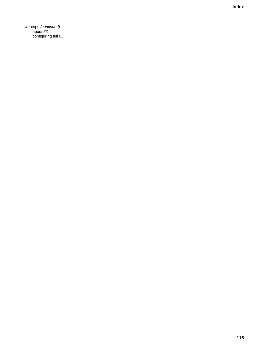**Index**

webtops (continued) about [83](#page-82-0) configuring full [83](#page-82-0)